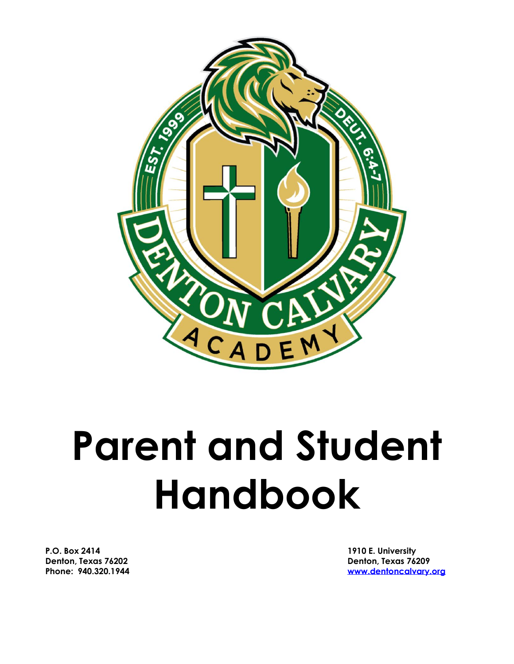

# **Parent and Student Handbook**

**P.O. Box 2414 1910 E. University Denton, Texas 76202 Denton, Texas 76209**

**Phone: 940.320.1944 [www.dentoncalvary.org](http://www.dentoncalvary.org/)**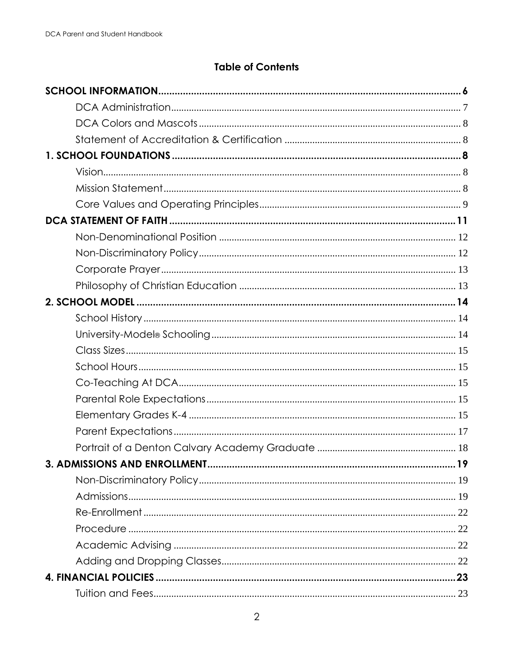## **Table of Contents**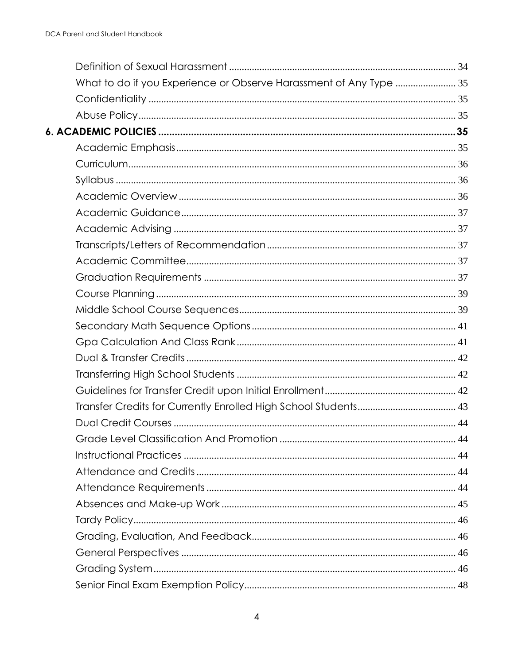| What to do if you Experience or Observe Harassment of Any Type  35 |  |
|--------------------------------------------------------------------|--|
|                                                                    |  |
|                                                                    |  |
|                                                                    |  |
|                                                                    |  |
|                                                                    |  |
|                                                                    |  |
|                                                                    |  |
|                                                                    |  |
|                                                                    |  |
|                                                                    |  |
|                                                                    |  |
|                                                                    |  |
|                                                                    |  |
|                                                                    |  |
|                                                                    |  |
|                                                                    |  |
|                                                                    |  |
|                                                                    |  |
|                                                                    |  |
|                                                                    |  |
|                                                                    |  |
|                                                                    |  |
|                                                                    |  |
|                                                                    |  |
|                                                                    |  |
|                                                                    |  |
|                                                                    |  |
|                                                                    |  |
|                                                                    |  |
|                                                                    |  |
|                                                                    |  |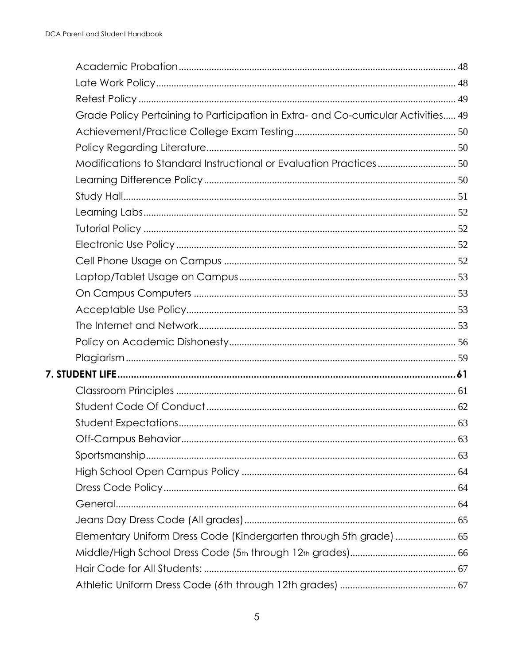| Grade Policy Pertaining to Participation in Extra- and Co-curricular Activities 49 |  |
|------------------------------------------------------------------------------------|--|
|                                                                                    |  |
|                                                                                    |  |
| Modifications to Standard Instructional or Evaluation Practices 50                 |  |
|                                                                                    |  |
|                                                                                    |  |
|                                                                                    |  |
|                                                                                    |  |
|                                                                                    |  |
|                                                                                    |  |
|                                                                                    |  |
|                                                                                    |  |
|                                                                                    |  |
|                                                                                    |  |
|                                                                                    |  |
|                                                                                    |  |
|                                                                                    |  |
|                                                                                    |  |
|                                                                                    |  |
|                                                                                    |  |
|                                                                                    |  |
|                                                                                    |  |
|                                                                                    |  |
|                                                                                    |  |
|                                                                                    |  |
|                                                                                    |  |
| Elementary Uniform Dress Code (Kindergarten through 5th grade)  65                 |  |
|                                                                                    |  |
|                                                                                    |  |
|                                                                                    |  |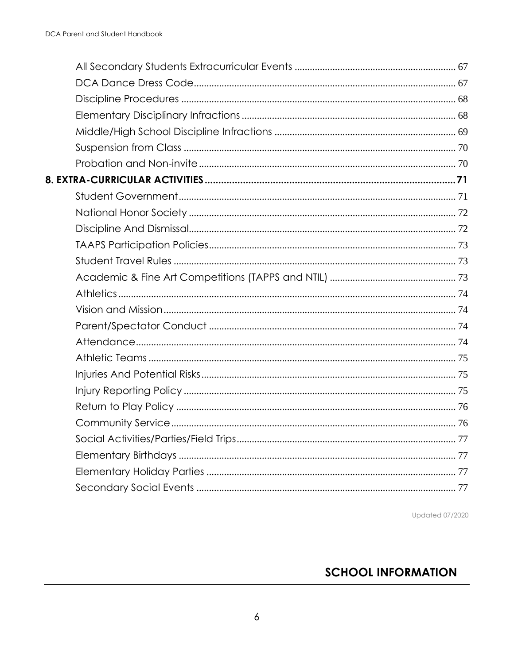**Updated 07/2020** 

# <span id="page-5-0"></span>**SCHOOL INFORMATION**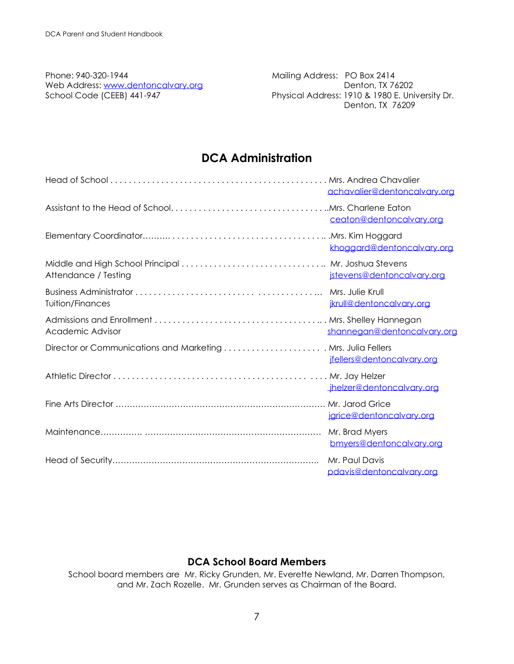Phone: 940-320-1944 **Mailing Address: PO Box 2414** Web Address: [www.dentoncalvary.org](http://www.dentoncalvary.org/) dental and the Denton, TX 76202

School Code (CEEB) 441-947 **Physical Address: 1910 & 1980 E. University Dr.** Denton, TX 76209

# **DCA Administration**

<span id="page-6-0"></span>

|                                                              | achavalier@dentoncalvary.org                 |
|--------------------------------------------------------------|----------------------------------------------|
|                                                              | ceaton@dentoncalvary.org                     |
|                                                              | khoggard@dentoncalvary.org                   |
| Attendance / Testing                                         | jstevens@dentoncalvary.org                   |
| <b>Tuition/Finances</b>                                      | Mrs. Julie Krull<br>jkrull@dentoncalvary.org |
| <b>Academic Advisor</b>                                      | shannegan@dentoncalvary.org                  |
| Director or Communications and Marketing  Mrs. Julia Fellers | jfellers@dentoncalvary.org                   |
|                                                              | jhelzer@dentoncalvary.org                    |
|                                                              | Mr. Jarod Grice<br>jgrice@dentoncalvary.org  |
|                                                              | Mr. Brad Myers<br>bmyers@dentoncalvary.org   |
|                                                              | Mr. Paul Davis<br>pdavis@dentoncalvary.org   |

#### **DCA School Board Members**

School board members are Mr. Ricky Grunden, Mr. Everette Newland, Mr. Darren Thompson, and Mr. Zach Rozelle. Mr. Grunden serves as Chairman of the Board.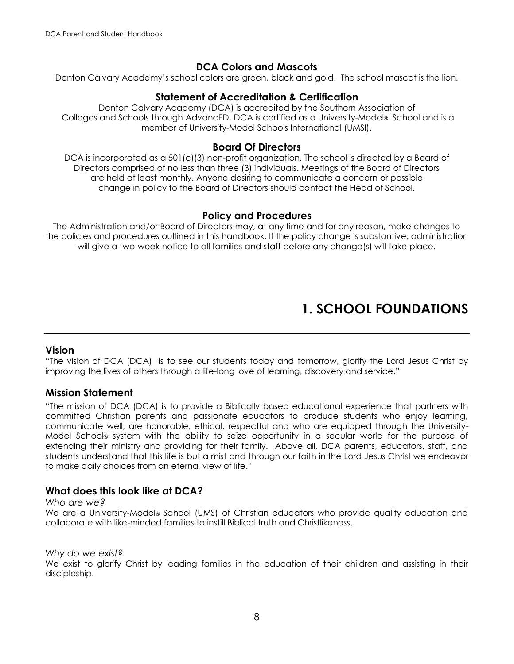#### **DCA Colors and Mascots**

<span id="page-7-1"></span><span id="page-7-0"></span>Denton Calvary Academy's school colors are green, black and gold. The school mascot is the lion.

#### **Statement of Accreditation & Certification**

Denton Calvary Academy (DCA) is accredited by the Southern Association of Colleges and Schools through AdvancED. DCA is certified as a University-Model® School and is a member of University-Model Schools International (UMSI).

#### **Board Of Directors**

DCA is incorporated as a 501(c)(3) non-profit organization. The school is directed by a Board of Directors comprised of no less than three (3) individuals. Meetings of the Board of Directors are held at least monthly. Anyone desiring to communicate a concern or possible change in policy to the Board of Directors should contact the Head of School.

#### **Policy and Procedures**

The Administration and/or Board of Directors may, at any time and for any reason, make changes to the policies and procedures outlined in this handbook. If the policy change is substantive, administration will give a two-week notice to all families and staff before any change(s) will take place.

# **1. SCHOOL FOUNDATIONS**

#### <span id="page-7-3"></span><span id="page-7-2"></span>**Vision**

"The vision of DCA (DCA) is to see our students today and tomorrow, glorify the Lord Jesus Christ by improving the lives of others through a life-long love of learning, discovery and service."

#### <span id="page-7-4"></span>**Mission Statement**

"The mission of DCA (DCA) is to provide a Biblically based educational experience that partners with committed Christian parents and passionate educators to produce students who enjoy learning, communicate well, are honorable, ethical, respectful and who are equipped through the University-Model School® system with the ability to seize opportunity in a secular world for the purpose of extending their ministry and providing for their family. Above all, DCA parents, educators, staff, and students understand that this life is but a mist and through our faith in the Lord Jesus Christ we endeavor to make daily choices from an eternal view of life."

#### **What does this look like at DCA?**

#### *Who are we?*

We are a University-Model<sup>®</sup> School (UMS) of Christian educators who provide quality education and collaborate with like-minded families to instill Biblical truth and Christlikeness.

#### *Why do we exist?*

We exist to glorify Christ by leading families in the education of their children and assisting in their discipleship.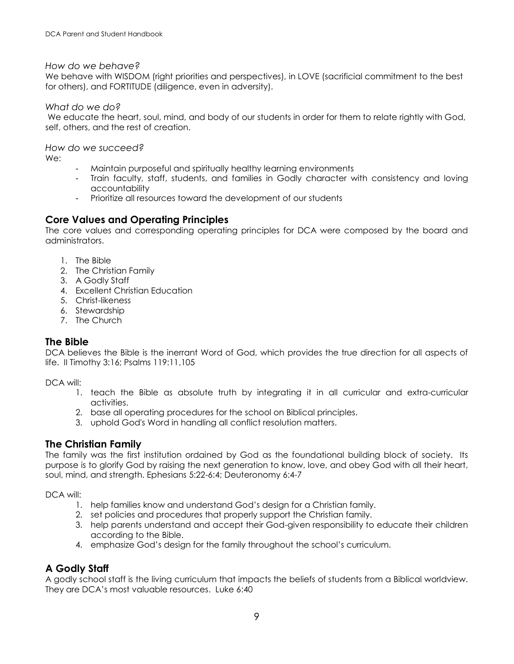#### *How do we behave?*

We behave with WISDOM (right priorities and perspectives), in LOVE (sacrificial commitment to the best for others), and FORTITUDE (diligence, even in adversity).

#### *What do we do?*

We educate the heart, soul, mind, and body of our students in order for them to relate rightly with God, self, others, and the rest of creation.

*How do we succeed?*

We:

- Maintain purposeful and spiritually healthy learning environments
- Train faculty, staff, students, and families in Godly character with consistency and loving accountability
- Prioritize all resources toward the development of our students

#### <span id="page-8-0"></span>**Core Values and Operating Principles**

The core values and corresponding operating principles for DCA were composed by the board and administrators.

- 1. The Bible
- 2. The Christian Family
- 3. A Godly Staff
- 4. Excellent Christian Education
- 5. Christ-likeness
- 6. Stewardship
- 7. The Church

#### **The Bible**

DCA believes the Bible is the inerrant Word of God, which provides the true direction for all aspects of life. II Timothy 3:16; Psalms 119:11,105

DCA will:

- 1. teach the Bible as absolute truth by integrating it in all curricular and extra-curricular activities.
- 2. base all operating procedures for the school on Biblical principles.
- 3. uphold God's Word in handling all conflict resolution matters.

#### **The Christian Family**

The family was the first institution ordained by God as the foundational building block of society. Its purpose is to glorify God by raising the next generation to know, love, and obey God with all their heart, soul, mind, and strength. Ephesians 5:22-6:4; Deuteronomy 6:4-7

DCA will:

- 1. help families know and understand God's design for a Christian family.
- 2. set policies and procedures that properly support the Christian family.
- 3. help parents understand and accept their God-given responsibility to educate their children according to the Bible.
- 4. emphasize God's design for the family throughout the school's curriculum.

#### **A Godly Staff**

A godly school staff is the living curriculum that impacts the beliefs of students from a Biblical worldview. They are DCA's most valuable resources. Luke 6:40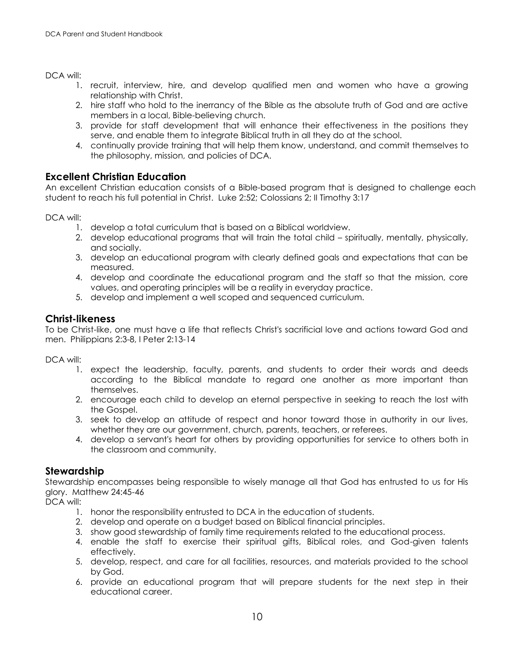#### DCA will:

- 1. recruit, interview, hire, and develop qualified men and women who have a growing relationship with Christ.
- 2. hire staff who hold to the inerrancy of the Bible as the absolute truth of God and are active members in a local, Bible-believing church.
- 3. provide for staff development that will enhance their effectiveness in the positions they serve, and enable them to integrate Biblical truth in all they do at the school.
- 4. continually provide training that will help them know, understand, and commit themselves to the philosophy, mission, and policies of DCA.

#### **Excellent Christian Education**

An excellent Christian education consists of a Bible-based program that is designed to challenge each student to reach his full potential in Christ. Luke 2:52; Colossians 2; II Timothy 3:17

DCA will:

- 1. develop a total curriculum that is based on a Biblical worldview.
- 2. develop educational programs that will train the total child spiritually, mentally, physically, and socially.
- 3. develop an educational program with clearly defined goals and expectations that can be measured.
- 4. develop and coordinate the educational program and the staff so that the mission, core values, and operating principles will be a reality in everyday practice.
- 5. develop and implement a well scoped and sequenced curriculum.

#### **Christ-likeness**

To be Christ-like, one must have a life that reflects Christ's sacrificial love and actions toward God and men. Philippians 2:3-8, I Peter 2:13-14

DCA will:

- 1. expect the leadership, faculty, parents, and students to order their words and deeds according to the Biblical mandate to regard one another as more important than themselves.
- 2. encourage each child to develop an eternal perspective in seeking to reach the lost with the Gospel.
- 3. seek to develop an attitude of respect and honor toward those in authority in our lives, whether they are our government, church, parents, teachers, or referees.
- 4. develop a servant's heart for others by providing opportunities for service to others both in the classroom and community.

#### **Stewardship**

Stewardship encompasses being responsible to wisely manage all that God has entrusted to us for His glory. Matthew 24:45-46

DCA will:

- 1. honor the responsibility entrusted to DCA in the education of students.
- 2. develop and operate on a budget based on Biblical financial principles.
- 3. show good stewardship of family time requirements related to the educational process.
- 4. enable the staff to exercise their spiritual gifts, Biblical roles, and God-given talents effectively.
- 5. develop, respect, and care for all facilities, resources, and materials provided to the school by God.
- 6. provide an educational program that will prepare students for the next step in their educational career.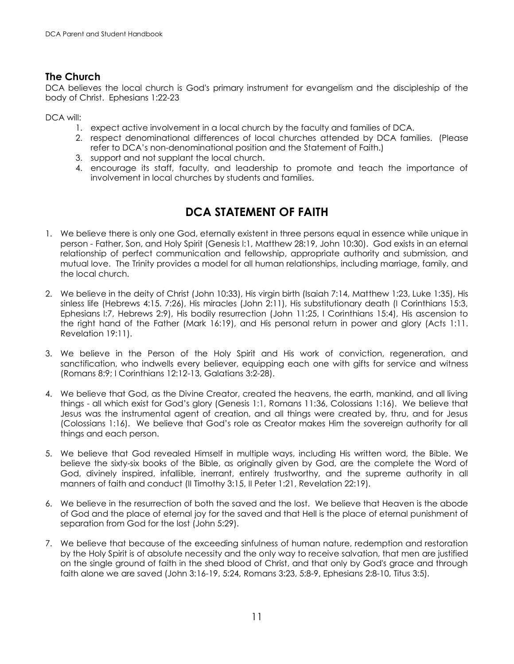#### **The Church**

DCA believes the local church is God's primary instrument for evangelism and the discipleship of the body of Christ. Ephesians 1:22-23

#### DCA will:

- 1. expect active involvement in a local church by the faculty and families of DCA.
- 2. respect denominational differences of local churches attended by DCA families. (Please refer to DCA's non-denominational position and the Statement of Faith.)
- 3. support and not supplant the local church.
- 4. encourage its staff, faculty, and leadership to promote and teach the importance of involvement in local churches by students and families.

# **DCA STATEMENT OF FAITH**

- <span id="page-10-0"></span>1. We believe there is only one God, eternally existent in three persons equal in essence while unique in person - Father, Son, and Holy Spirit (Genesis l:1, Matthew 28:19, John 10:30). God exists in an eternal relationship of perfect communication and fellowship, appropriate authority and submission, and mutual love. The Trinity provides a model for all human relationships, including marriage, family, and the local church.
- 2. We believe in the deity of Christ (John 10:33), His virgin birth (Isaiah 7:14, Matthew 1:23, Luke 1:35), His sinless life (Hebrews 4:15. 7:26), His miracles (John 2:11), His substitutionary death (I Corinthians 15:3, Ephesians l:7, Hebrews 2:9), His bodily resurrection (John 11:25, I Corinthians 15:4), His ascension to the right hand of the Father (Mark 16:19), and His personal return in power and glory (Acts 1:11. Revelation 19:11).
- 3. We believe in the Person of the Holy Spirit and His work of conviction, regeneration, and sanctification, who indwells every believer, equipping each one with gifts for service and witness (Romans 8:9; I Corinthians 12:12-13, Galatians 3:2-28).
- 4. We believe that God, as the Divine Creator, created the heavens, the earth, mankind, and all living things - all which exist for God's glory (Genesis 1:1, Romans 11:36, Colossians 1:16). We believe that Jesus was the instrumental agent of creation, and all things were created by, thru, and for Jesus (Colossians 1:16). We believe that God's role as Creator makes Him the sovereign authority for all things and each person.
- 5. We believe that God revealed Himself in multiple ways, including His written word, the Bible. We believe the sixty-six books of the Bible, as originally given by God, are the complete the Word of God, divinely inspired, infallible, inerrant, entirely trustworthy, and the supreme authority in all manners of faith and conduct (II Timothy 3:15, II Peter 1:21, Revelation 22:19).
- 6. We believe in the resurrection of both the saved and the lost. We believe that Heaven is the abode of God and the place of eternal joy for the saved and that Hell is the place of eternal punishment of separation from God for the lost (John 5:29).
- 7. We believe that because of the exceeding sinfulness of human nature, redemption and restoration by the Holy Spirit is of absolute necessity and the only way to receive salvation, that men are justified on the single ground of faith in the shed blood of Christ, and that only by God's grace and through faith alone we are saved (John 3:16-19, 5:24, Romans 3:23, 5:8-9, Ephesians 2:8-10, Titus 3:5).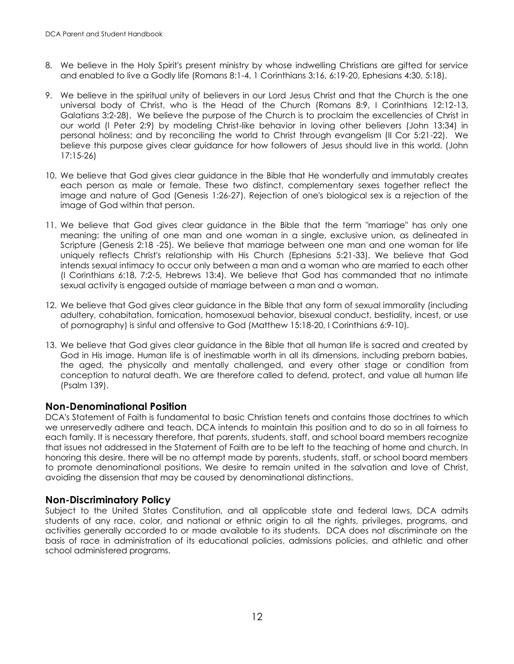- 8. We believe in the Holy Spirit's present ministry by whose indwelling Christians are gifted for service and enabled to live a Godly life (Romans 8:1-4, 1 Corinthians 3:16, 6:19-20, Ephesians 4:30, 5:18).
- 9. We believe in the spiritual unity of believers in our Lord Jesus Christ and that the Church is the one universal body of Christ, who is the Head of the Church (Romans 8:9, I Corinthians 12:12-13, Galatians 3:2-28). We believe the purpose of the Church is to proclaim the excellencies of Christ in our world (I Peter 2:9) by modeling Christ-like behavior in loving other believers (John 13:34) in personal holiness; and by reconciling the world to Christ through evangelism (II Cor 5:21-22). We believe this purpose gives clear guidance for how followers of Jesus should live in this world. (John 17:15-26)
- 10. We believe that God gives clear guidance in the Bible that He wonderfully and immutably creates each person as male or female. These two distinct, complementary sexes together reflect the image and nature of God (Genesis 1:26-27). Rejection of one's biological sex is a rejection of the image of God within that person.
- 11. We believe that God gives clear guidance in the Bible that the term "marriage" has only one meaning: the uniting of one man and one woman in a single, exclusive union, as delineated in Scripture (Genesis 2:18 -25). We believe that marriage between one man and one woman for life uniquely reflects Christ's relationship with His Church (Ephesians 5:21-33). We believe that God intends sexual intimacy to occur only between a man and a woman who are married to each other (I Corinthians 6:18, 7:2-5, Hebrews 13:4). We believe that God has commanded that no intimate sexual activity is engaged outside of marriage between a man and a woman.
- 12. We believe that God gives clear guidance in the Bible that any form of sexual immorality (including adultery, cohabitation, fornication, homosexual behavior, bisexual conduct, bestiality, incest, or use of pornography) is sinful and offensive to God (Matthew 15:18-20, I Corinthians 6:9-10).
- 13. We believe that God gives clear guidance in the Bible that all human life is sacred and created by God in His image. Human life is of inestimable worth in all its dimensions, including preborn babies, the aged, the physically and mentally challenged, and every other stage or condition from conception to natural death. We are therefore called to defend, protect, and value all human life (Psalm 139).

#### <span id="page-11-0"></span>**Non-Denominational Position**

DCA's Statement of Faith is fundamental to basic Christian tenets and contains those doctrines to which we unreservedly adhere and teach. DCA intends to maintain this position and to do so in all fairness to each family. It is necessary therefore, that parents, students, staff, and school board members recognize that issues not addressed in the Statement of Faith are to be left to the teaching of home and church. In honoring this desire, there will be no attempt made by parents, students, staff, or school board members to promote denominational positions. We desire to remain united in the salvation and love of Christ, avoiding the dissension that may be caused by denominational distinctions.

#### <span id="page-11-1"></span>**Non-Discriminatory Policy**

Subject to the United States Constitution, and all applicable state and federal laws, DCA admits students of any race, color, and national or ethnic origin to all the rights, privileges, programs, and activities generally accorded to or made available to its students. DCA does not discriminate on the basis of race in administration of its educational policies, admissions policies, and athletic and other school administered programs.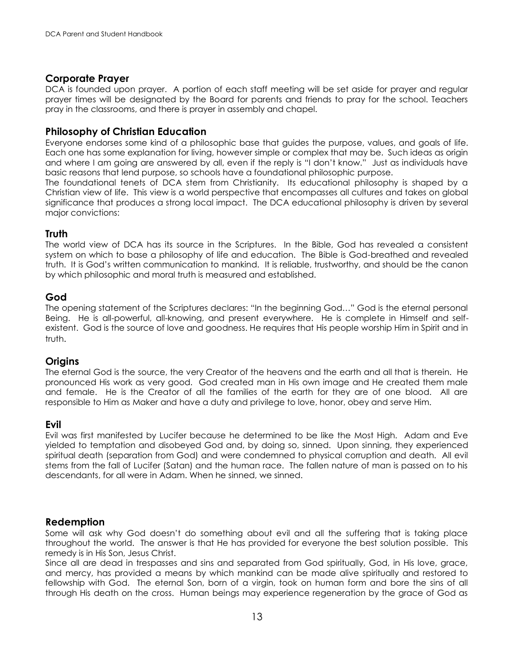#### <span id="page-12-0"></span>**Corporate Prayer**

DCA is founded upon prayer. A portion of each staff meeting will be set aside for prayer and regular prayer times will be designated by the Board for parents and friends to pray for the school. Teachers pray in the classrooms, and there is prayer in assembly and chapel.

#### <span id="page-12-1"></span>**Philosophy of Christian Education**

Everyone endorses some kind of a philosophic base that guides the purpose, values, and goals of life. Each one has some explanation for living, however simple or complex that may be. Such ideas as origin and where I am going are answered by all, even if the reply is "I don't know." Just as individuals have basic reasons that lend purpose, so schools have a foundational philosophic purpose.

The foundational tenets of DCA stem from Christianity. Its educational philosophy is shaped by a Christian view of life. This view is a world perspective that encompasses all cultures and takes on global significance that produces a strong local impact. The DCA educational philosophy is driven by several major convictions:

#### **Truth**

The world view of DCA has its source in the Scriptures. In the Bible, God has revealed a consistent system on which to base a philosophy of life and education. The Bible is God-breathed and revealed truth. It is God's written communication to mankind. It is reliable, trustworthy, and should be the canon by which philosophic and moral truth is measured and established.

#### **God**

The opening statement of the Scriptures declares: "In the beginning God…" God is the eternal personal Being. He is all-powerful, all-knowing, and present everywhere. He is complete in Himself and selfexistent. God is the source of love and goodness. He requires that His people worship Him in Spirit and in truth.

#### **Origins**

The eternal God is the source, the very Creator of the heavens and the earth and all that is therein. He pronounced His work as very good. God created man in His own image and He created them male and female. He is the Creator of all the families of the earth for they are of one blood. All are responsible to Him as Maker and have a duty and privilege to love, honor, obey and serve Him.

#### **Evil**

Evil was first manifested by Lucifer because he determined to be like the Most High. Adam and Eve yielded to temptation and disobeyed God and, by doing so, sinned. Upon sinning, they experienced spiritual death (separation from God) and were condemned to physical corruption and death. All evil stems from the fall of Lucifer (Satan) and the human race. The fallen nature of man is passed on to his descendants, for all were in Adam. When he sinned, we sinned.

#### **Redemption**

Some will ask why God doesn't do something about evil and all the suffering that is taking place throughout the world. The answer is that He has provided for everyone the best solution possible. This remedy is in His Son, Jesus Christ.

Since all are dead in trespasses and sins and separated from God spiritually, God, in His love, grace, and mercy, has provided a means by which mankind can be made alive spiritually and restored to fellowship with God. The eternal Son, born of a virgin, took on human form and bore the sins of all through His death on the cross. Human beings may experience regeneration by the grace of God as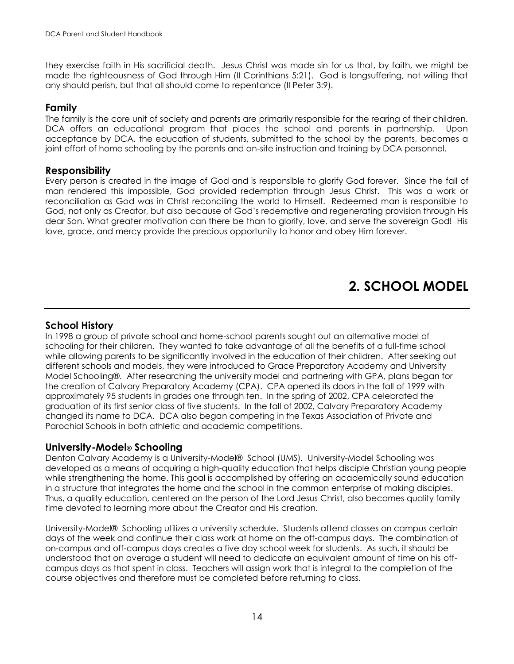they exercise faith in His sacrificial death. Jesus Christ was made sin for us that, by faith, we might be made the righteousness of God through Him (II Corinthians 5:21). God is longsuffering, not willing that any should perish, but that all should come to repentance (II Peter 3:9).

#### **Family**

The family is the core unit of society and parents are primarily responsible for the rearing of their children. DCA offers an educational program that places the school and parents in partnership. Upon acceptance by DCA, the education of students, submitted to the school by the parents, becomes a joint effort of home schooling by the parents and on-site instruction and training by DCA personnel.

#### **Responsibility**

Every person is created in the image of God and is responsible to glorify God forever. Since the fall of man rendered this impossible, God provided redemption through Jesus Christ. This was a work or reconciliation as God was in Christ reconciling the world to Himself. Redeemed man is responsible to God, not only as Creator, but also because of God's redemptive and regenerating provision through His dear Son. What greater motivation can there be than to glorify, love, and serve the sovereign God! His love, grace, and mercy provide the precious opportunity to honor and obey Him forever.

# **2. SCHOOL MODEL**

#### <span id="page-13-1"></span><span id="page-13-0"></span>**School History**

In 1998 a group of private school and home-school parents sought out an alternative model of schooling for their children. They wanted to take advantage of all the benefits of a full-time school while allowing parents to be significantly involved in the education of their children. After seeking out different schools and models, they were introduced to Grace Preparatory Academy and University Model Schooling®. After researching the university model and partnering with GPA, plans began for the creation of Calvary Preparatory Academy (CPA). CPA opened its doors in the fall of 1999 with approximately 95 students in grades one through ten. In the spring of 2002, CPA celebrated the graduation of its first senior class of five students. In the fall of 2002, Calvary Preparatory Academy changed its name to DCA. DCA also began competing in the Texas Association of Private and Parochial Schools in both athletic and academic competitions.

#### <span id="page-13-2"></span>**University-Model® Schooling**

Denton Calvary Academy is a University-Model® School (UMS). University-Model Schooling was developed as a means of acquiring a high-quality education that helps disciple Christian young people while strengthening the home. This goal is accomplished by offering an academically sound education in a structure that integrates the home and the school in the common enterprise of making disciples. Thus, a quality education, centered on the person of the Lord Jesus Christ, also becomes quality family time devoted to learning more about the Creator and His creation.

University-Model® Schooling utilizes a university schedule. Students attend classes on campus certain days of the week and continue their class work at home on the off-campus days. The combination of on-campus and off-campus days creates a five day school week for students. As such, it should be understood that on average a student will need to dedicate an equivalent amount of time on his offcampus days as that spent in class. Teachers will assign work that is integral to the completion of the course objectives and therefore must be completed before returning to class.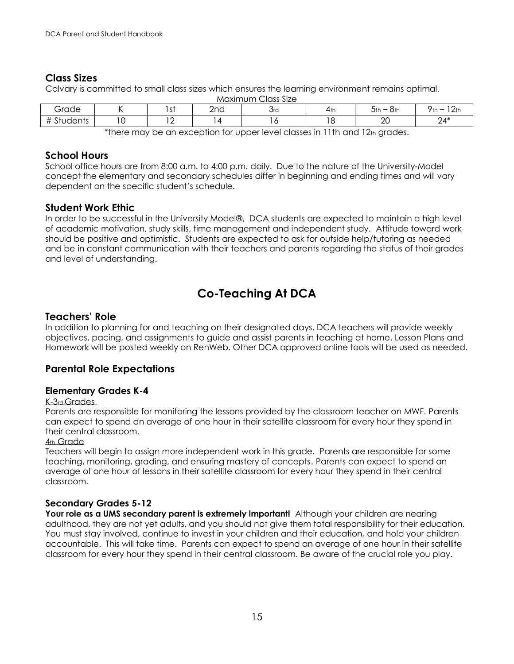#### <span id="page-14-0"></span>**Class Sizes**

Calvary is committed to small class sizes which ensures the learning environment remains optimal.

| __<br>Class Size<br>Maximum |   |                 |     |     |     |                |                                         |
|-----------------------------|---|-----------------|-----|-----|-----|----------------|-----------------------------------------|
| Grade                       |   | $\sim$ +<br>ו כ | 2nd | Ord | 4th | $5th -$<br>ඊth | 12th<br>Yth<br>$\overline{\phantom{0}}$ |
| $+2+$<br>Students           | ັ | $\sim$<br>. .   | , 4 | 0،  | 18  | ററ<br>∠∪       | $24*$                                   |

\*there may be an exception for upper level classes in 11th and 12th grades.

#### <span id="page-14-1"></span>**School Hours**

School office hours are from 8:00 a.m. to 4:00 p.m. daily. Due to the nature of the University-Model concept the elementary and secondary schedules differ in beginning and ending times and will vary dependent on the specific student's schedule.

#### **Student Work Ethic**

In order to be successful in the University Model®, DCA students are expected to maintain a high level of academic motivation, study skills, time management and independent study. Attitude toward work should be positive and optimistic. Students are expected to ask for outside help/tutoring as needed and be in constant communication with their teachers and parents regarding the status of their grades and level of understanding.

# **Co-Teaching At DCA**

#### <span id="page-14-2"></span>**Teachers' Role**

In addition to planning for and teaching on their designated days, DCA teachers will provide weekly objectives, pacing, and assignments to guide and assist parents in teaching at home. Lesson Plans and Homework will be posted weekly on RenWeb. Other DCA approved online tools will be used as needed.

#### <span id="page-14-3"></span>**Parental Role Expectations**

#### <span id="page-14-4"></span>**Elementary Grades K-4**

#### K-3rd Grades

Parents are responsible for monitoring the lessons provided by the classroom teacher on MWF. Parents can expect to spend an average of one hour in their satellite classroom for every hour they spend in their central classroom.

#### 4th Grade

Teachers will begin to assign more independent work in this grade. Parents are responsible for some teaching, monitoring, grading, and ensuring mastery of concepts. Parents can expect to spend an average of one hour of lessons in their satellite classroom for every hour they spend in their central classroom.

#### **Secondary Grades 5-12**

Your role as a UMS secondary parent is extremely important! Although your children are nearing adulthood, they are not yet adults, and you should not give them total responsibility for their education. You must stay involved, continue to invest in your children and their education, and hold your children accountable. This will take time. Parents can expect to spend an average of one hour in their satellite classroom for every hour they spend in their central classroom. Be aware of the crucial role you play.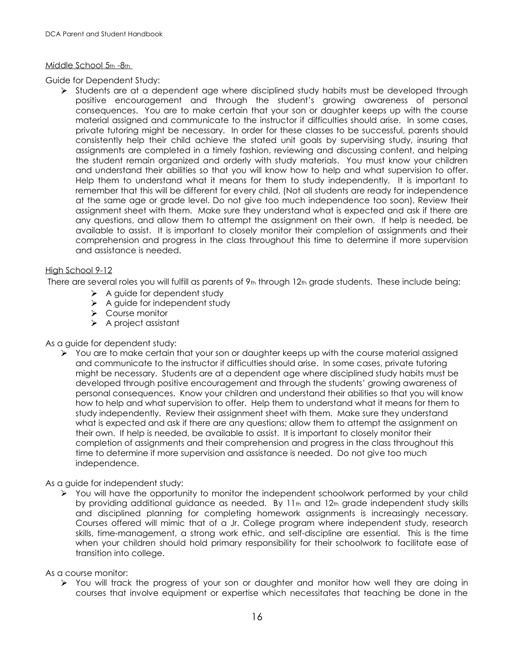#### Middle School 5th -8th

Guide for Dependent Study:

 $\triangleright$  Students are at a dependent age where disciplined study habits must be developed through positive encouragement and through the student's growing awareness of personal consequences. You are to make certain that your son or daughter keeps up with the course material assigned and communicate to the instructor if difficulties should arise. In some cases, private tutoring might be necessary. In order for these classes to be successful, parents should consistently help their child achieve the stated unit goals by supervising study, insuring that assignments are completed in a timely fashion, reviewing and discussing content, and helping the student remain organized and orderly with study materials. You must know your children and understand their abilities so that you will know how to help and what supervision to offer. Help them to understand what it means for them to study independently. It is important to remember that this will be different for every child. (Not all students are ready for independence at the same age or grade level. Do not give too much independence too soon). Review their assignment sheet with them. Make sure they understand what is expected and ask if there are any questions, and allow them to attempt the assignment on their own. If help is needed, be available to assist. It is important to closely monitor their completion of assignments and their comprehension and progress in the class throughout this time to determine if more supervision and assistance is needed.

#### High School 9-12

There are several roles you will fulfill as parents of  $9<sub>th</sub>$  through 12th grade students. These include being:

- $\triangleright$  A guide for dependent study
- $\triangleright$  A guide for independent study
- ▶ Course monitor
- $\triangleright$  A project assistant

#### As a guide for dependent study:

 $\triangleright$  You are to make certain that your son or daughter keeps up with the course material assigned and communicate to the instructor if difficulties should arise. In some cases, private tutoring might be necessary. Students are at a dependent age where disciplined study habits must be developed through positive encouragement and through the students' growing awareness of personal consequences. Know your children and understand their abilities so that you will know how to help and what supervision to offer. Help them to understand what it means for them to study independently. Review their assignment sheet with them. Make sure they understand what is expected and ask if there are any questions; allow them to attempt the assignment on their own. If help is needed, be available to assist. It is important to closely monitor their completion of assignments and their comprehension and progress in the class throughout this time to determine if more supervision and assistance is needed. Do not give too much independence.

#### As a guide for independent study:

You will have the opportunity to monitor the independent schoolwork performed by your child  $\blacktriangleright$ by providing additional guidance as needed. By  $11<sub>th</sub>$  and  $12<sub>th</sub>$  grade independent study skills and disciplined planning for completing homework assignments is increasingly necessary. Courses offered will mimic that of a Jr. College program where independent study, research skills, time-management, a strong work ethic, and self-discipline are essential. This is the time when your children should hold primary responsibility for their schoolwork to facilitate ease of transition into college.

#### As a course monitor:

You will track the progress of your son or daughter and monitor how well they are doing in courses that involve equipment or expertise which necessitates that teaching be done in the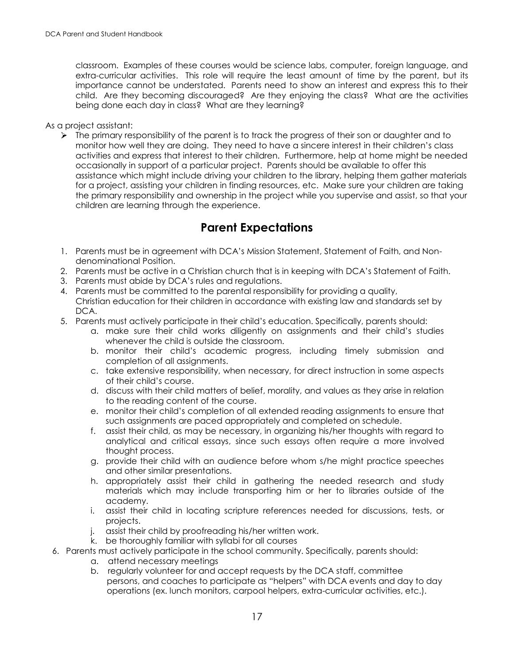classroom. Examples of these courses would be science labs, computer, foreign language, and extra-curricular activities. This role will require the least amount of time by the parent, but its importance cannot be understated. Parents need to show an interest and express this to their child. Are they becoming discouraged? Are they enjoying the class? What are the activities being done each day in class? What are they learning?

#### As a project assistant:

 $\triangleright$  The primary responsibility of the parent is to track the progress of their son or daughter and to monitor how well they are doing. They need to have a sincere interest in their children's class activities and express that interest to their children. Furthermore, help at home might be needed occasionally in support of a particular project. Parents should be available to offer this assistance which might include driving your children to the library, helping them gather materials for a project, assisting your children in finding resources, etc. Make sure your children are taking the primary responsibility and ownership in the project while you supervise and assist, so that your children are learning through the experience.

# **Parent Expectations**

- <span id="page-16-0"></span>1. Parents must be in agreement with DCA's Mission Statement, Statement of Faith, and Nondenominational Position.
- 2. Parents must be active in a Christian church that is in keeping with DCA's Statement of Faith.
- 3. Parents must abide by DCA's rules and regulations.
- 4. Parents must be committed to the parental responsibility for providing a quality, Christian education for their children in accordance with existing law and standards set by DCA.
- 5. Parents must actively participate in their child's education. Specifically, parents should:
	- a. make sure their child works diligently on assignments and their child's studies whenever the child is outside the classroom.
	- b. monitor their child's academic progress, including timely submission and completion of all assignments.
	- c. take extensive responsibility, when necessary, for direct instruction in some aspects of their child's course.
	- d. discuss with their child matters of belief, morality, and values as they arise in relation to the reading content of the course.
	- e. monitor their child's completion of all extended reading assignments to ensure that such assignments are paced appropriately and completed on schedule.
	- f. assist their child, as may be necessary, in organizing his/her thoughts with regard to analytical and critical essays, since such essays often require a more involved thought process.
	- g. provide their child with an audience before whom s/he might practice speeches and other similar presentations.
	- h. appropriately assist their child in gathering the needed research and study materials which may include transporting him or her to libraries outside of the academy.
	- i. assist their child in locating scripture references needed for discussions, tests, or projects.
	- j. assist their child by proofreading his/her written work.
	- k. be thoroughly familiar with syllabi for all courses
- 6. Parents must actively participate in the school community. Specifically, parents should:
	- a. attend necessary meetings
		- b. regularly volunteer for and accept requests by the DCA staff, committee persons, and coaches to participate as "helpers" with DCA events and day to day operations (ex. lunch monitors, carpool helpers, extra-curricular activities, etc.).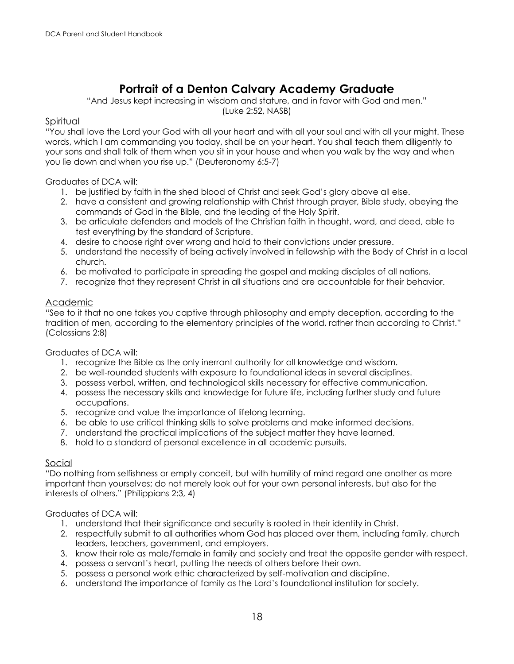# **Portrait of a Denton Calvary Academy Graduate**

"And Jesus kept increasing in wisdom and stature, and in favor with God and men." (Luke 2:52, NASB)

#### <span id="page-17-0"></span>Spiritual

"You shall love the Lord your God with all your heart and with all your soul and with all your might. These words, which I am commanding you today, shall be on your heart. You shall teach them diligently to your sons and shall talk of them when you sit in your house and when you walk by the way and when you lie down and when you rise up." (Deuteronomy 6:5-7)

Graduates of DCA will:

- 1. be justified by faith in the shed blood of Christ and seek God's glory above all else.
- 2. have a consistent and growing relationship with Christ through prayer, Bible study, obeying the commands of God in the Bible, and the leading of the Holy Spirit.
- 3. be articulate defenders and models of the Christian faith in thought, word, and deed, able to test everything by the standard of Scripture.
- 4. desire to choose right over wrong and hold to their convictions under pressure.
- 5. understand the necessity of being actively involved in fellowship with the Body of Christ in a local church.
- 6. be motivated to participate in spreading the gospel and making disciples of all nations.
- 7. recognize that they represent Christ in all situations and are accountable for their behavior.

#### Academic

"See to it that no one takes you captive through philosophy and empty deception, according to the tradition of men, according to the elementary principles of the world, rather than according to Christ." (Colossians 2:8)

Graduates of DCA will:

- 1. recognize the Bible as the only inerrant authority for all knowledge and wisdom.
- 2. be well-rounded students with exposure to foundational ideas in several disciplines.
- 3. possess verbal, written, and technological skills necessary for effective communication.
- 4. possess the necessary skills and knowledge for future life, including further study and future occupations.
- 5. recognize and value the importance of lifelong learning.
- 6. be able to use critical thinking skills to solve problems and make informed decisions.
- 7. understand the practical implications of the subject matter they have learned.
- 8. hold to a standard of personal excellence in all academic pursuits.

#### Social

"Do nothing from selfishness or empty conceit, but with humility of mind regard one another as more important than yourselves; do not merely look out for your own personal interests, but also for the interests of others." (Philippians 2:3, 4)

#### Graduates of DCA will:

- 1. understand that their significance and security is rooted in their identity in Christ.
- 2. respectfully submit to all authorities whom God has placed over them, including family, church leaders, teachers, government, and employers.
- 3. know their role as male/female in family and society and treat the opposite gender with respect.
- 4. possess a servant's heart, putting the needs of others before their own.
- 5. possess a personal work ethic characterized by self-motivation and discipline.
- 6. understand the importance of family as the Lord's foundational institution for society.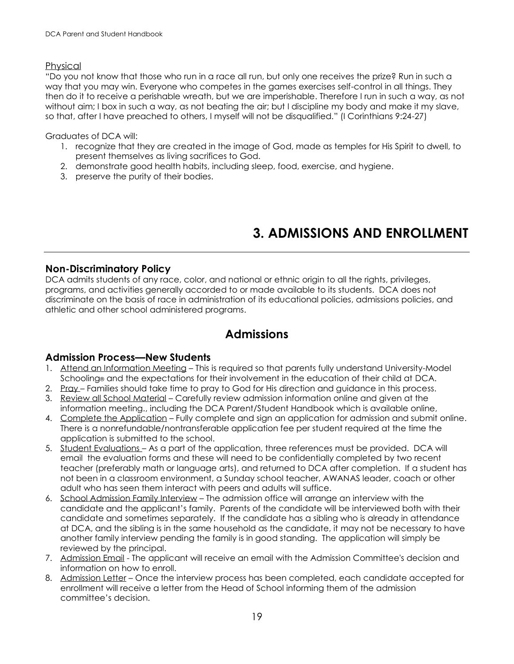#### Physical

"Do you not know that those who run in a race all run, but only one receives the prize? Run in such a way that you may win. Everyone who competes in the games exercises self-control in all things. They then do it to receive a perishable wreath, but we are imperishable. Therefore I run in such a way, as not without aim; I box in such a way, as not beating the air; but I discipline my body and make it my slave, so that, after I have preached to others, I myself will not be disqualified." (I Corinthians 9:24-27)

Graduates of DCA will:

- 1. recognize that they are created in the image of God, made as temples for His Spirit to dwell, to present themselves as living sacrifices to God.
- 2. demonstrate good health habits, including sleep, food, exercise, and hygiene.
- 3. preserve the purity of their bodies.

# **3. ADMISSIONS AND ENROLLMENT**

#### <span id="page-18-1"></span><span id="page-18-0"></span>**Non-Discriminatory Policy**

DCA admits students of any race, color, and national or ethnic origin to all the rights, privileges, programs, and activities generally accorded to or made available to its students. DCA does not discriminate on the basis of race in administration of its educational policies, admissions policies, and athletic and other school administered programs.

## **Admissions**

#### <span id="page-18-2"></span>**Admission Process—New Students**

- 1. Attend an Information Meeting This is required so that parents fully understand University-Model Schooling® and the expectations for their involvement in the education of their child at DCA.
- 2. Pray Families should take time to pray to God for His direction and guidance in this process.
- 3. Review all School Material Carefully review admission information online and given at the information meeting., including the DCA Parent/Student Handbook which is available online,
- 4. Complete the Application Fully complete and sign an application for admission and submit online. There is a nonrefundable/nontransferable application fee per student required at the time the application is submitted to the school.
- 5. Student Evaluations As a part of the application, three references must be provided. DCA will email the evaluation forms and these will need to be confidentially completed by two recent teacher (preferably math or language arts), and returned to DCA after completion. If a student has not been in a classroom environment, a Sunday school teacher, AWANAS leader, coach or other adult who has seen them interact with peers and adults will suffice.
- 6. School Admission Family Interview The admission office will arrange an interview with the candidate and the applicant's family. Parents of the candidate will be interviewed both with their candidate and sometimes separately. If the candidate has a sibling who is already in attendance at DCA, and the sibling is in the same household as the candidate, it may not be necessary to have another family interview pending the family is in good standing. The application will simply be reviewed by the principal.
- 7. Admission Email The applicant will receive an email with the Admission Committee's decision and information on how to enroll.
- 8. Admission Letter Once the interview process has been completed, each candidate accepted for enrollment will receive a letter from the Head of School informing them of the admission committee's decision.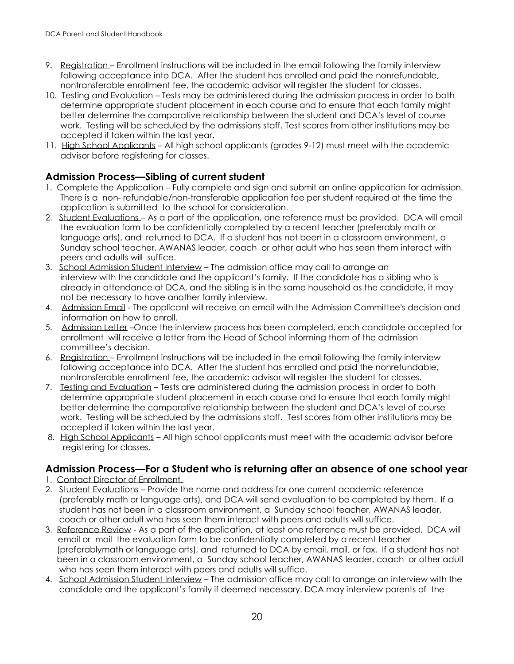- 9. Registration Enrollment instructions will be included in the email following the family interview following acceptance into DCA. After the student has enrolled and paid the nonrefundable, nontransferable enrollment fee, the academic advisor will register the student for classes.
- 10. Testing and Evaluation Tests may be administered during the admission process in order to both determine appropriate student placement in each course and to ensure that each family might better determine the comparative relationship between the student and DCA's level of course work. Testing will be scheduled by the admissions staff. Test scores from other institutions may be accepted if taken within the last year.
- 11. High School Applicants All high school applicants (grades 9-12) must meet with the academic advisor before registering for classes.

#### **Admission Process—Sibling of current student**

- 1. Complete the Application Fully complete and sign and submit an online application for admission. There is a non- refundable/non-transferable application fee per student required at the time the application is submitted to the school for consideration.
- 2. Student Evaluations As a part of the application, one reference must be provided. DCA will email the evaluation form to be confidentially completed by a recent teacher (preferably math or language arts), and returned to DCA. If a student has not been in a classroom environment, a Sunday school teacher, AWANAS leader, coach or other adult who has seen them interact with peers and adults will suffice.
- 3. School Admission Student Interview The admission office may call to arrange an interview with the candidate and the applicant's family. If the candidate has a sibling who is already in attendance at DCA, and the sibling is in the same household as the candidate, it may not be necessary to have another family interview.
- 4. Admission Email The applicant will receive an email with the Admission Committee's decision and information on how to enroll.
- 5. Admission Letter –Once the interview process has been completed, each candidate accepted for enrollment will receive a letter from the Head of School informing them of the admission committee's decision.
- 6. Registration Enrollment instructions will be included in the email following the family interview following acceptance into DCA. After the student has enrolled and paid the nonrefundable, nontransferable enrollment fee, the academic advisor will register the student for classes.
- 7. Testing and Evaluation Tests are administered during the admission process in order to both determine appropriate student placement in each course and to ensure that each family might better determine the comparative relationship between the student and DCA's level of course work. Testing will be scheduled by the admissions staff. Test scores from other institutions may be accepted if taken within the last year.
- 8. High School Applicants All high school applicants must meet with the academic advisor before registering for classes.

#### **Admission Process—For a Student who is returning after an absence of one school year**

- 1. Contact Director of Enrollment.
- 2. Student Evaluations Provide the name and address for one current academic reference (preferably math or language arts), and DCA will send evaluation to be completed by them. If a student has not been in a classroom environment, a Sunday school teacher, AWANAS leader, coach or other adult who has seen them interact with peers and adults will suffice.
- 3. Reference Review As a part of the application, at least one reference must be provided. DCA will email or mail the evaluation form to be confidentially completed by a recent teacher (preferablymath or language arts), and returned to DCA by email, mail, or fax. If a student has not been in a classroom environment, a Sunday school teacher, AWANAS leader, coach or other adult who has seen them interact with peers and adults will suffice.
- 4. School Admission Student Interview The admission office may call to arrange an interview with the candidate and the applicant's family if deemed necessary. DCA may interview parents of the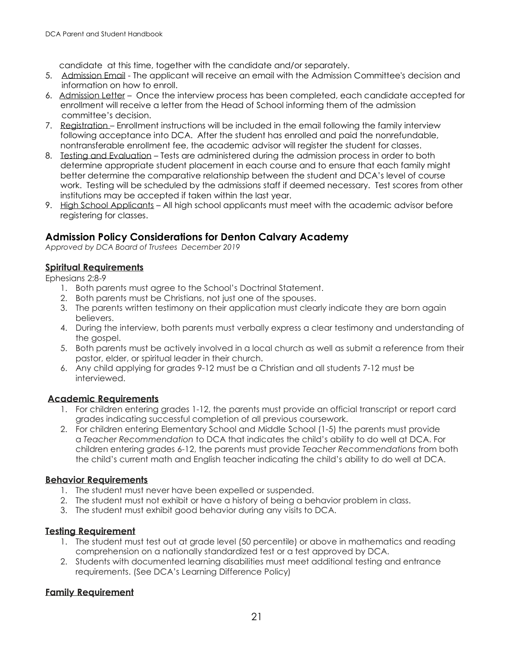candidate at this time, together with the candidate and/or separately.

- 5. Admission Email The applicant will receive an email with the Admission Committee's decision and information on how to enroll.
- 6. Admission Letter Once the interview process has been completed, each candidate accepted for enrollment will receive a letter from the Head of School informing them of the admission committee's decision.
- 7. Registration Enrollment instructions will be included in the email following the family interview following acceptance into DCA. After the student has enrolled and paid the nonrefundable, nontransferable enrollment fee, the academic advisor will register the student for classes.
- 8. Testing and Evaluation Tests are administered during the admission process in order to both determine appropriate student placement in each course and to ensure that each family might better determine the comparative relationship between the student and DCA's level of course work. Testing will be scheduled by the admissions staff if deemed necessary. Test scores from other institutions may be accepted if taken within the last year.
- 9. High School Applicants All high school applicants must meet with the academic advisor before registering for classes.

#### **Admission Policy Considerations for Denton Calvary Academy**

*Approved by DCA Board of Trustees December 2019*

#### **Spiritual Requirements**

Ephesians 2:8-9

- 1. Both parents must agree to the School's Doctrinal Statement.
- 2. Both parents must be Christians, not just one of the spouses.
- 3. The parents written testimony on their application must clearly indicate they are born again believers.
- 4. During the interview, both parents must verbally express a clear testimony and understanding of the gospel.
- 5. Both parents must be actively involved in a local church as well as submit a reference from their pastor, elder, or spiritual leader in their church.
- 6. Any child applying for grades 9-12 must be a Christian and all students 7-12 must be interviewed.

#### **Academic Requirements**

- 1. For children entering grades 1-12, the parents must provide an official transcript or report card grades indicating successful completion of all previous coursework.
- 2. For children entering Elementary School and Middle School (1-5) the parents must provide a *Teacher Recommendation* to DCA that indicates the child's ability to do well at DCA. For children entering grades 6-12, the parents must provide *Teacher Recommendations* from both the child's current math and English teacher indicating the child's ability to do well at DCA.

#### **Behavior Requirements**

- 1. The student must never have been expelled or suspended.
- 2. The student must not exhibit or have a history of being a behavior problem in class.
- 3. The student must exhibit good behavior during any visits to DCA.

#### **Testing Requirement**

- 1. The student must test out at grade level (50 percentile) or above in mathematics and reading comprehension on a nationally standardized test or a test approved by DCA.
- 2. Students with documented learning disabilities must meet additional testing and entrance requirements. (See DCA's Learning Difference Policy)

#### **Family Requirement**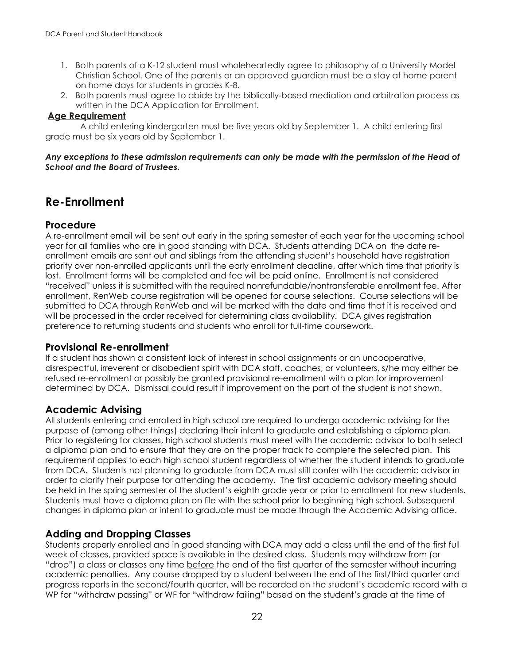- 1. Both parents of a K-12 student must wholeheartedly agree to philosophy of a University Model Christian School. One of the parents or an approved guardian must be a stay at home parent on home days for students in grades K-8.
- 2. Both parents must agree to abide by the biblically-based mediation and arbitration process as written in the DCA Application for Enrollment.

#### **Age Requirement**

 A child entering kindergarten must be five years old by September 1. A child entering first grade must be six years old by September 1.

#### *Any exceptions to these admission requirements can only be made with the permission of the Head of School and the Board of Trustees.*

## <span id="page-21-0"></span>**Re-Enrollment**

#### <span id="page-21-1"></span>**Procedure**

A re-enrollment email will be sent out early in the spring semester of each year for the upcoming school year for all families who are in good standing with DCA. Students attending DCA on the date reenrollment emails are sent out and siblings from the attending student's household have registration priority over non-enrolled applicants until the early enrollment deadline, after which time that priority is lost. Enrollment forms will be completed and fee will be paid online. Enrollment is not considered "received" unless it is submitted with the required nonrefundable/nontransferable enrollment fee. After enrollment, RenWeb course registration will be opened for course selections. Course selections will be submitted to DCA through RenWeb and will be marked with the date and time that it is received and will be processed in the order received for determining class availability. DCA gives registration preference to returning students and students who enroll for full-time coursework.

#### **Provisional Re-enrollment**

If a student has shown a consistent lack of interest in school assignments or an uncooperative, disrespectful, irreverent or disobedient spirit with DCA staff, coaches, or volunteers, s/he may either be refused re-enrollment or possibly be granted provisional re-enrollment with a plan for improvement determined by DCA. Dismissal could result if improvement on the part of the student is not shown.

#### <span id="page-21-2"></span>**Academic Advising**

All students entering and enrolled in high school are required to undergo academic advising for the purpose of (among other things) declaring their intent to graduate and establishing a diploma plan. Prior to registering for classes, high school students must meet with the academic advisor to both select a diploma plan and to ensure that they are on the proper track to complete the selected plan. This requirement applies to each high school student regardless of whether the student intends to graduate from DCA. Students not planning to graduate from DCA must still confer with the academic advisor in order to clarify their purpose for attending the academy. The first academic advisory meeting should be held in the spring semester of the student's eighth grade year or prior to enrollment for new students. Students must have a diploma plan on file with the school prior to beginning high school. Subsequent changes in diploma plan or intent to graduate must be made through the Academic Advising office.

#### <span id="page-21-3"></span>**Adding and Dropping Classes**

Students properly enrolled and in good standing with DCA may add a class until the end of the first full week of classes, provided space is available in the desired class. Students may withdraw from (or "drop") a class or classes any time before the end of the first quarter of the semester without incurring academic penalties. Any course dropped by a student between the end of the first/third quarter and progress reports in the second/fourth quarter, will be recorded on the student's academic record with a WP for "withdraw passing" or WF for "withdraw failing" based on the student's grade at the time of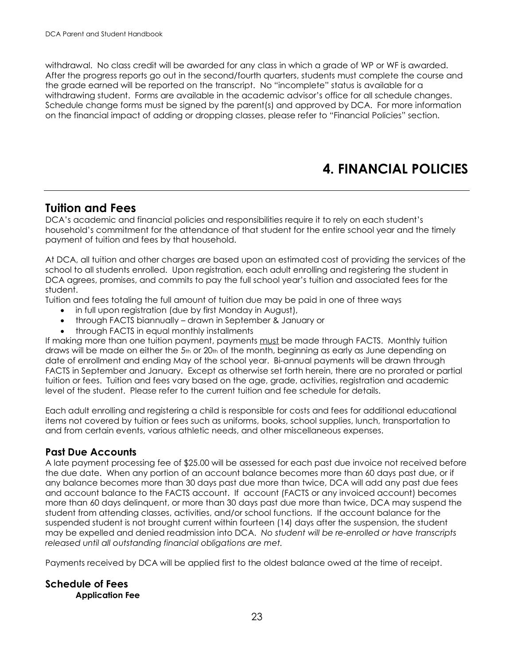withdrawal. No class credit will be awarded for any class in which a grade of WP or WF is awarded. After the progress reports go out in the second/fourth quarters, students must complete the course and the grade earned will be reported on the transcript. No "incomplete" status is available for a withdrawing student. Forms are available in the academic advisor's office for all schedule changes. Schedule change forms must be signed by the parent(s) and approved by DCA. For more information on the financial impact of adding or dropping classes, please refer to "Financial Policies" section.

# **4. FINANCIAL POLICIES**

### <span id="page-22-1"></span><span id="page-22-0"></span>**Tuition and Fees**

DCA's academic and financial policies and responsibilities require it to rely on each student's household's commitment for the attendance of that student for the entire school year and the timely payment of tuition and fees by that household.

At DCA, all tuition and other charges are based upon an estimated cost of providing the services of the school to all students enrolled. Upon registration, each adult enrolling and registering the student in DCA agrees, promises, and commits to pay the full school year's tuition and associated fees for the student.

Tuition and fees totaling the full amount of tuition due may be paid in one of three ways

- in full upon registration (due by first Monday in August),
- through FACTS biannually drawn in September & January or
- through FACTS in equal monthly installments

If making more than one tuition payment, payments must be made through FACTS. Monthly tuition draws will be made on either the 5th or 20th of the month, beginning as early as June depending on date of enrollment and ending May of the school year. Bi-annual payments will be drawn through FACTS in September and January. Except as otherwise set forth herein, there are no prorated or partial tuition or fees. Tuition and fees vary based on the age, grade, activities, registration and academic level of the student. Please refer to the current tuition and fee schedule for details.

Each adult enrolling and registering a child is responsible for costs and fees for additional educational items not covered by tuition or fees such as uniforms, books, school supplies, lunch, transportation to and from certain events, various athletic needs, and other miscellaneous expenses.

#### <span id="page-22-2"></span>**Past Due Accounts**

A late payment processing fee of \$25.00 will be assessed for each past due invoice not received before the due date. When any portion of an account balance becomes more than 60 days past due, or if any balance becomes more than 30 days past due more than twice, DCA will add any past due fees and account balance to the FACTS account. If account (FACTS or any invoiced account) becomes more than 60 days delinquent, or more than 30 days past due more than twice, DCA may suspend the student from attending classes, activities, and/or school functions. If the account balance for the suspended student is not brought current within fourteen (14) days after the suspension, the student may be expelled and denied readmission into DCA. *No student will be re-enrolled or have transcripts released until all outstanding financial obligations are met.* 

Payments received by DCA will be applied first to the oldest balance owed at the time of receipt.

#### <span id="page-22-3"></span>**Schedule of Fees Application Fee**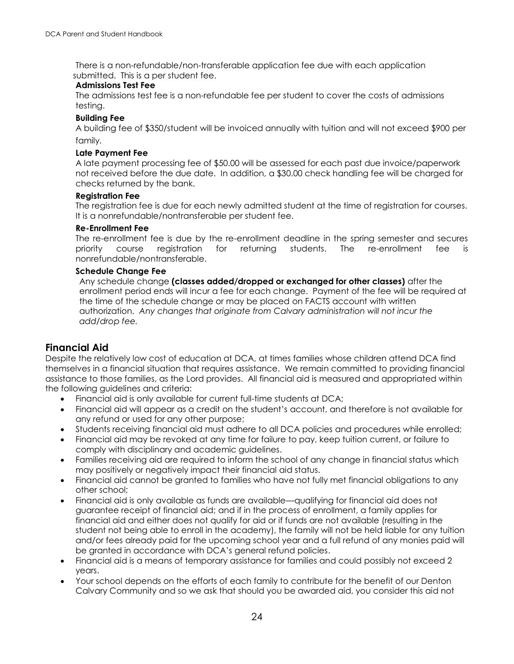There is a non-refundable/non-transferable application fee due with each application submitted. This is a per student fee.

#### **Admissions Test Fee**

The admissions test fee is a non-refundable fee per student to cover the costs of admissions testing.

#### **Building Fee**

A building fee of \$350/student will be invoiced annually with tuition and will not exceed \$900 per family.

#### **Late Payment Fee**

A late payment processing fee of \$50.00 will be assessed for each past due invoice/paperwork not received before the due date.In addition, a \$30.00 check handling fee will be charged for checks returned by the bank.

#### **Registration Fee**

The registration fee is due for each newly admitted student at the time of registration for courses. It is a nonrefundable/nontransferable per student fee.

#### **Re-Enrollment Fee**

The re-enrollment fee is due by the re-enrollment deadline in the spring semester and secures priority course registration for returning students. The re-enrollment fee is nonrefundable/nontransferable.

#### **Schedule Change Fee**

Any schedule change **(classes added/dropped or exchanged for other classes)** after the enrollment period ends will incur a fee for each change. Payment of the fee will be required at the time of the schedule change or may be placed on FACTS account with written authorization.*Any changes that originate from Calvary administration will not incur the add/drop fee.* 

#### <span id="page-23-0"></span>**Financial Aid**

Despite the relatively low cost of education at DCA, at times families whose children attend DCA find themselves in a financial situation that requires assistance. We remain committed to providing financial assistance to those families, as the Lord provides. All financial aid is measured and appropriated within the following guidelines and criteria:

- Financial aid is only available for current full-time students at DCA;
- Financial aid will appear as a credit on the student's account, and therefore is not available for any refund or used for any other purpose;
- Students receiving financial aid must adhere to all DCA policies and procedures while enrolled;
- Financial aid may be revoked at any time for failure to pay, keep tuition current, or failure to comply with disciplinary and academic guidelines.
- Families receiving aid are required to inform the school of any change in financial status which may positively or negatively impact their financial aid status.
- Financial aid cannot be granted to families who have not fully met financial obligations to any other school;
- Financial aid is only available as funds are available—qualifying for financial aid does not guarantee receipt of financial aid; and if in the process of enrollment, a family applies for financial aid and either does not qualify for aid or if funds are not available (resulting in the student not being able to enroll in the academy), the family will not be held liable for any tuition and/or fees already paid for the upcoming school year and a full refund of any monies paid will be granted in accordance with DCA's general refund policies.
- Financial aid is a means of temporary assistance for families and could possibly not exceed 2 years.
- Your school depends on the efforts of each family to contribute for the benefit of our Denton Calvary Community and so we ask that should you be awarded aid, you consider this aid not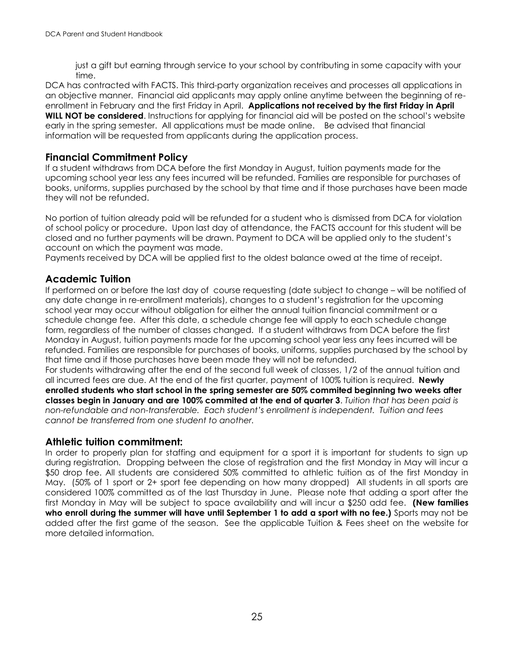just a gift but earning through service to your school by contributing in some capacity with your time.

DCA has contracted with FACTS. This third-party organization receives and processes all applications in an objective manner. Financial aid applicants may apply online anytime between the beginning of reenrollment in February and the first Friday in April. **Applications not received by the first Friday in April WILL NOT be considered**. Instructions for applying for financial aid will be posted on the school's website early in the spring semester. All applications must be made online. Be advised that financial information will be requested from applicants during the application process.

#### <span id="page-24-0"></span>**Financial Commitment Policy**

If a student withdraws from DCA before the first Monday in August, tuition payments made for the upcoming school year less any fees incurred will be refunded. Families are responsible for purchases of books, uniforms, supplies purchased by the school by that time and if those purchases have been made they will not be refunded.

No portion of tuition already paid will be refunded for a student who is dismissed from DCA for violation of school policy or procedure. Upon last day of attendance, the FACTS account for this student will be closed and no further payments will be drawn. Payment to DCA will be applied only to the student's account on which the payment was made.

Payments received by DCA will be applied first to the oldest balance owed at the time of receipt.

#### <span id="page-24-1"></span>**Academic Tuition**

If performed on or before the last day of course requesting (date subject to change – will be notified of any date change in re-enrollment materials), changes to a student's registration for the upcoming school year may occur without obligation for either the annual tuition financial commitment or a schedule change fee. After this date, a schedule change fee will apply to each schedule change form, regardless of the number of classes changed. If a student withdraws from DCA before the first Monday in August, tuition payments made for the upcoming school year less any fees incurred will be refunded. Families are responsible for purchases of books, uniforms, supplies purchased by the school by that time and if those purchases have been made they will not be refunded.

For students withdrawing after the end of the second full week of classes, 1/2 of the annual tuition and all incurred fees are due. At the end of the first quarter, payment of 100% tuition is required. **Newly enrolled students who start school in the spring semester are 50% commited beginning two weeks after classes begin in January and are 100% commited at the end of quarter 3**. *Tuition that has been paid is non-refundable and non-transferable. Each student's enrollment is independent. Tuition and fees cannot be transferred from one student to another.*

#### **Athletic tuition commitment:**

In order to properly plan for staffing and equipment for a sport it is important for students to sign up during registration. Dropping between the close of registration and the first Monday in May will incur a \$50 drop fee. All students are considered 50% committed to athletic tuition as of the first Monday in May. (50% of 1 sport or 2+ sport fee depending on how many dropped) All students in all sports are considered 100% committed as of the last Thursday in June. Please note that adding a sport after the first Monday in May will be subject to space availability and will incur a \$250 add fee. **(New families who enroll during the summer will have until September 1 to add a sport with no fee.)** Sports may not be added after the first game of the season. See the applicable Tuition & Fees sheet on the website for more detailed information.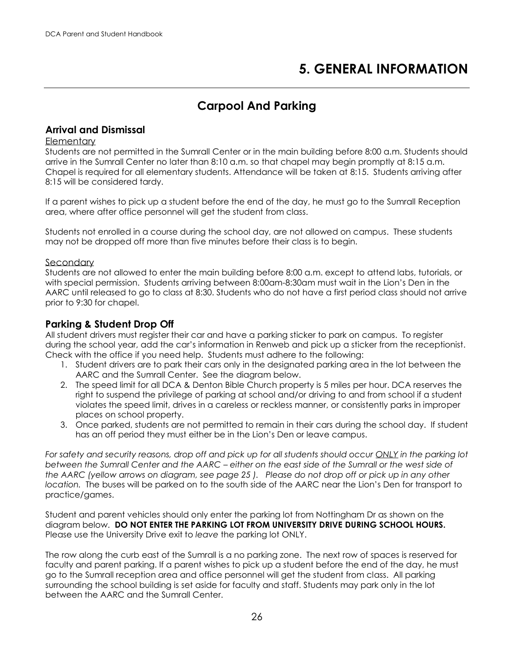# **5. GENERAL INFORMATION**

# **Carpool And Parking**

#### <span id="page-25-2"></span><span id="page-25-1"></span><span id="page-25-0"></span>**Arrival and Dismissal**

#### **Elementary**

Students are not permitted in the Sumrall Center or in the main building before 8:00 a.m. Students should arrive in the Sumrall Center no later than 8:10 a.m. so that chapel may begin promptly at 8:15 a.m. Chapel is required for all elementary students. Attendance will be taken at 8:15. Students arriving after 8:15 will be considered tardy.

If a parent wishes to pick up a student before the end of the day, he must go to the Sumrall Reception area, where after office personnel will get the student from class.

Students not enrolled in a course during the school day, are not allowed on campus. These students may not be dropped off more than five minutes before their class is to begin.

#### **Secondary**

Students are not allowed to enter the main building before 8:00 a.m. except to attend labs, tutorials, or with special permission. Students arriving between 8:00am-8:30am must wait in the Lion's Den in the AARC until released to go to class at 8:30. Students who do not have a first period class should not arrive prior to 9:30 for chapel.

#### <span id="page-25-3"></span>**Parking & Student Drop Off**

All student drivers must register their car and have a parking sticker to park on campus. To register during the school year, add the car's information in Renweb and pick up a sticker from the receptionist. Check with the office if you need help. Students must adhere to the following:

- 1. Student drivers are to park their cars only in the designated parking area in the lot between the AARC and the Sumrall Center. See the diagram below.
- 2. The speed limit for all DCA & Denton Bible Church property is 5 miles per hour. DCA reserves the right to suspend the privilege of parking at school and/or driving to and from school if a student violates the speed limit, drives in a careless or reckless manner, or consistently parks in improper places on school property.
- 3. Once parked, students are not permitted to remain in their cars during the school day. If student has an off period they must either be in the Lion's Den or leave campus.

*For safety and security reasons, drop off and pick up for all students should occur ONLY in the parking lot between the Sumrall Center and the AARC – either on the east side of the Sumrall or the west side of the AARC (yellow arrows on diagram, see page 25 ). Please do not drop off or pick up in any other location.* The buses will be parked on to the south side of the AARC near the Lion's Den for transport to practice/games.

Student and parent vehicles should only enter the parking lot from Nottingham Dr as shown on the diagram below. **DO NOT ENTER THE PARKING LOT FROM UNIVERSITY DRIVE DURING SCHOOL HOURS.** Please use the University Drive exit to *leave* the parking lot ONLY.

The row along the curb east of the Sumrall is a no parking zone. The next row of spaces is reserved for faculty and parent parking. If a parent wishes to pick up a student before the end of the day, he must go to the Sumrall reception area and office personnel will get the student from class. All parking surrounding the school building is set aside for faculty and staff. Students may park only in the lot between the AARC and the Sumrall Center.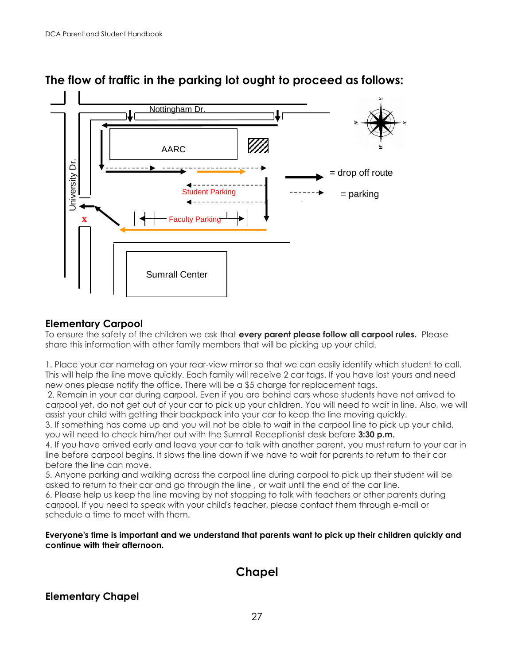

# **The flow of traffic in the parking lot ought to proceed as follows:**

#### <span id="page-26-0"></span>**Elementary Carpool**

To ensure the safety of the children we ask that **every parent please follow all carpool rules.** Please share this information with other family members that will be picking up your child.

1. Place your car nametag on your rear-view mirror so that we can easily identify which student to call. This will help the line move quickly. Each family will receive 2 car tags. If you have lost yours and need new ones please notify the office. There will be a \$5 charge for replacement tags.

2. Remain in your car during carpool. Even if you are behind cars whose students have not arrived to carpool yet, do not get out of your car to pick up your children. You will need to wait in line. Also, we will assist your child with getting their backpack into your car to keep the line moving quickly.

3. If something has come up and you will not be able to wait in the carpool line to pick up your child, you will need to check him/her out with the Sumrall Receptionist desk before **3:30 p.m.**

4. If you have arrived early and leave your car to talk with another parent, you must return to your car in line before carpool begins. It slows the line down if we have to wait for parents to return to their car before the line can move.

5. Anyone parking and walking across the carpool line during carpool to pick up their student will be asked to return to their car and go through the line , or wait until the end of the car line.

6. Please help us keep the line moving by not stopping to talk with teachers or other parents during carpool. If you need to speak with your child's teacher, please contact them through e-mail or schedule a time to meet with them.

**Everyone's time is important and we understand that parents want to pick up their children quickly and continue with their afternoon.**

## **Chapel**

<span id="page-26-1"></span>**Elementary Chapel**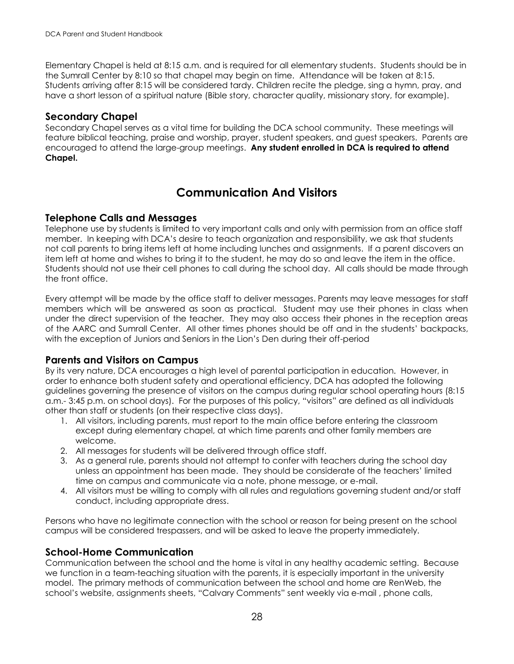Elementary Chapel is held at 8:15 a.m. and is required for all elementary students. Students should be in the Sumrall Center by 8:10 so that chapel may begin on time. Attendance will be taken at 8:15. Students arriving after 8:15 will be considered tardy. Children recite the pledge, sing a hymn, pray, and have a short lesson of a spiritual nature (Bible story, character quality, missionary story, for example).

#### **Secondary Chapel**

Secondary Chapel serves as a vital time for building the DCA school community. These meetings will feature biblical teaching, praise and worship, prayer, student speakers, and guest speakers. Parents are encouraged to attend the large-group meetings. **Any student enrolled in DCA is required to attend Chapel.**

# **Communication And Visitors**

#### <span id="page-27-1"></span><span id="page-27-0"></span>**Telephone Calls and Messages**

Telephone use by students is limited to very important calls and only with permission from an office staff member. In keeping with DCA's desire to teach organization and responsibility, we ask that students not call parents to bring items left at home including lunches and assignments. If a parent discovers an item left at home and wishes to bring it to the student, he may do so and leave the item in the office. Students should not use their cell phones to call during the school day. All calls should be made through the front office.

Every attempt will be made by the office staff to deliver messages. Parents may leave messages for staff members which will be answered as soon as practical. Student may use their phones in class when under the direct supervision of the teacher. They may also access their phones in the reception areas of the AARC and Sumrall Center. All other times phones should be off and in the students' backpacks, with the exception of Juniors and Seniors in the Lion's Den during their off-period

#### <span id="page-27-2"></span>**Parents and Visitors on Campus**

By its very nature, DCA encourages a high level of parental participation in education. However, in order to enhance both student safety and operational efficiency, DCA has adopted the following guidelines governing the presence of visitors on the campus during regular school operating hours (8:15 a.m.- 3:45 p.m. on school days). For the purposes of this policy, "visitors" are defined as all individuals other than staff or students (on their respective class days).

- 1. All visitors, including parents, must report to the main office before entering the classroom except during elementary chapel, at which time parents and other family members are welcome.
- 2. All messages for students will be delivered through office staff.
- 3. As a general rule, parents should not attempt to confer with teachers during the school day unless an appointment has been made. They should be considerate of the teachers' limited time on campus and communicate via a note, phone message, or e-mail.
- 4. All visitors must be willing to comply with all rules and regulations governing student and/or staff conduct, including appropriate dress.

Persons who have no legitimate connection with the school or reason for being present on the school campus will be considered trespassers, and will be asked to leave the property immediately.

#### <span id="page-27-3"></span>**School-Home Communication**

Communication between the school and the home is vital in any healthy academic setting. Because we function in a team-teaching situation with the parents, it is especially important in the university model. The primary methods of communication between the school and home are RenWeb, the school's website, assignments sheets, "Calvary Comments" sent weekly via e-mail , phone calls,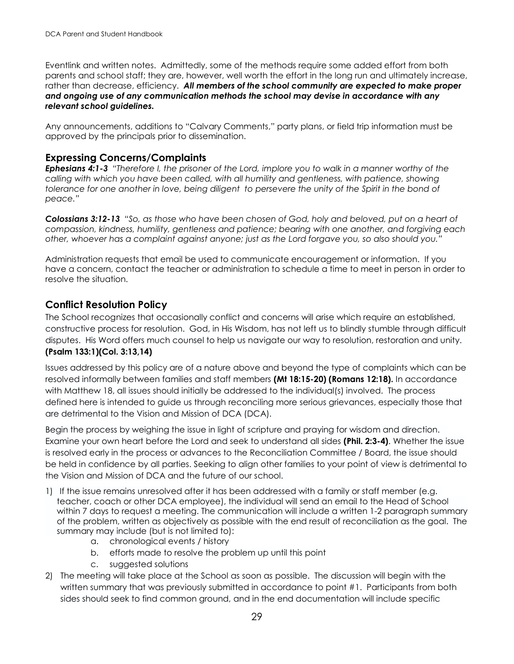Eventlink and written notes. Admittedly, some of the methods require some added effort from both parents and school staff; they are, however, well worth the effort in the long run and ultimately increase, rather than decrease, efficiency. *All members of the school community are expected to make proper and ongoing use of any communication methods the school may devise in accordance with any relevant school guidelines.* 

Any announcements, additions to "Calvary Comments," party plans, or field trip information must be approved by the principals prior to dissemination.

#### <span id="page-28-0"></span>**Expressing Concerns/Complaints**

*Ephesians 4:1-3 "Therefore I, the prisoner of the Lord, implore you to walk in a manner worthy of the calling with which you have been called, with all humility and gentleness, with patience, showing tolerance for one another in love, being diligent to persevere the unity of the Spirit in the bond of peace."*

*Colossians 3:12-13 "So, as those who have been chosen of God, holy and beloved, put on a heart of compassion, kindness, humility, gentleness and patience; bearing with one another, and forgiving each other, whoever has a complaint against anyone; just as the Lord forgave you, so also should you."*

Administration requests that email be used to communicate encouragement or information. If you have a concern, contact the teacher or administration to schedule a time to meet in person in order to resolve the situation.

#### <span id="page-28-1"></span>**Conflict Resolution Policy**

The School recognizes that occasionally conflict and concerns will arise which require an established, constructive process for resolution. God, in His Wisdom, has not left us to blindly stumble through difficult disputes. His Word offers much counsel to help us navigate our way to resolution, restoration and unity. **(Psalm 133:1)(Col. 3:13,14)**

Issues addressed by this policy are of a nature above and beyond the type of complaints which can be resolved informally between families and staff members **(Mt 18:15-20) (Romans 12:18).** In accordance with Matthew 18, all issues should initially be addressed to the individual(s) involved. The process defined here is intended to guide us through reconciling more serious grievances, especially those that are detrimental to the Vision and Mission of DCA (DCA).

Begin the process by weighing the issue in light of scripture and praying for wisdom and direction. Examine your own heart before the Lord and seek to understand all sides **(Phil. 2:3-4)**. Whether the issue is resolved early in the process or advances to the Reconciliation Committee / Board, the issue should be held in confidence by all parties. Seeking to align other families to your point of view is detrimental to the Vision and Mission of DCA and the future of our school.

- 1) If the issue remains unresolved after it has been addressed with a family or staff member (e.g. teacher, coach or other DCA employee), the individual will send an email to the Head of School within 7 days to request a meeting. The communication will include a written 1-2 paragraph summary of the problem, written as objectively as possible with the end result of reconciliation as the goal. The summary may include (but is not limited to):
	- a. chronological events / history
	- b. efforts made to resolve the problem up until this point
	- c. suggested solutions
- 2) The meeting will take place at the School as soon as possible. The discussion will begin with the written summary that was previously submitted in accordance to point #1. Participants from both sides should seek to find common ground, and in the end documentation will include specific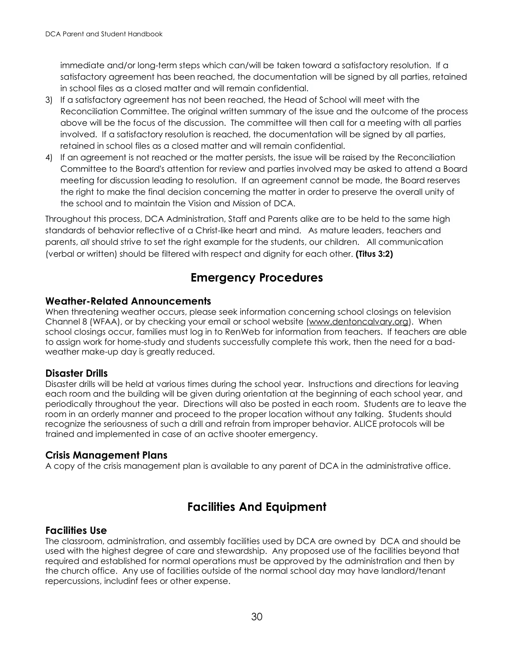immediate and/or long-term steps which can/will be taken toward a satisfactory resolution. If a satisfactory agreement has been reached, the documentation will be signed by all parties, retained in school files as a closed matter and will remain confidential.

- 3) If a satisfactory agreement has not been reached, the Head of School will meet with the Reconciliation Committee. The original written summary of the issue and the outcome of the process above will be the focus of the discussion. The committee will then call for a meeting with all parties involved. If a satisfactory resolution is reached, the documentation will be signed by all parties, retained in school files as a closed matter and will remain confidential.
- 4) If an agreement is not reached or the matter persists, the issue will be raised by the Reconciliation Committee to the Board's attention for review and parties involved may be asked to attend a Board meeting for discussion leading to resolution. If an agreement cannot be made, the Board reserves the right to make the final decision concerning the matter in order to preserve the overall unity of the school and to maintain the Vision and Mission of DCA.

Throughout this process, DCA Administration, Staff and Parents alike are to be held to the same high standards of behavior reflective of a Christ-like heart and mind. As mature leaders, teachers and parents, *all* should strive to set the right example for the students, our children. All communication (verbal or written) should be filtered with respect and dignity for each other. **(Titus 3:2)**

# **Emergency Procedures**

#### <span id="page-29-1"></span><span id="page-29-0"></span>**Weather-Related Announcements**

When threatening weather occurs, please seek information concerning school closings on television Channel 8 (WFAA), or by checking your email or school website (www.dentoncalvary.org). When school closings occur, families must log in to RenWeb for information from teachers. If teachers are able to assign work for home-study and students successfully complete this work, then the need for a badweather make-up day is greatly reduced.

#### <span id="page-29-2"></span>**Disaster Drills**

Disaster drills will be held at various times during the school year. Instructions and directions for leaving each room and the building will be given during orientation at the beginning of each school year, and periodically throughout the year. Directions will also be posted in each room. Students are to leave the room in an orderly manner and proceed to the proper location without any talking. Students should recognize the seriousness of such a drill and refrain from improper behavior. ALICE protocols will be trained and implemented in case of an active shooter emergency.

#### <span id="page-29-3"></span>**Crisis Management Plans**

A copy of the crisis management plan is available to any parent of DCA in the administrative office.

# **Facilities And Equipment**

#### <span id="page-29-5"></span><span id="page-29-4"></span>**Facilities Use**

The classroom, administration, and assembly facilities used by DCA are owned by DCA and should be used with the highest degree of care and stewardship. Any proposed use of the facilities beyond that required and established for normal operations must be approved by the administration and then by the church office. Any use of facilities outside of the normal school day may have landlord/tenant repercussions, includinf fees or other expense.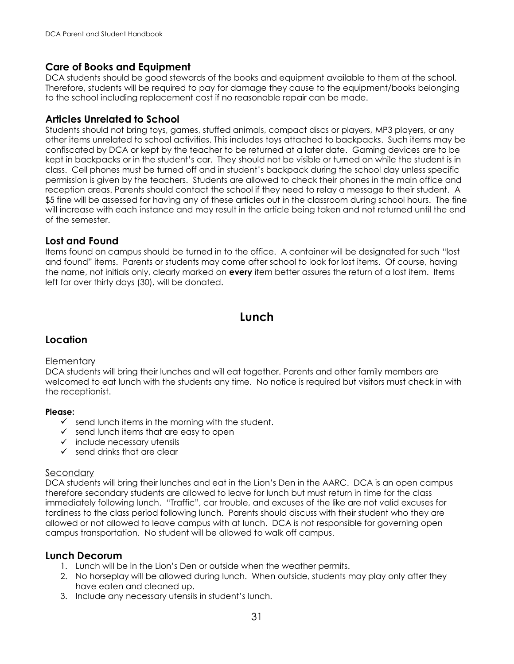#### **Care of Books and Equipment**

DCA students should be good stewards of the books and equipment available to them at the school. Therefore, students will be required to pay for damage they cause to the equipment/books belonging to the school including replacement cost if no reasonable repair can be made.

#### <span id="page-30-0"></span>**Articles Unrelated to School**

Students should not bring toys, games, stuffed animals, compact discs or players, MP3 players, or any other items unrelated to school activities. This includes toys attached to backpacks. Such items may be confiscated by DCA or kept by the teacher to be returned at a later date. Gaming devices are to be kept in backpacks or in the student's car. They should not be visible or turned on while the student is in class. Cell phones must be turned off and in student's backpack during the school day unless specific permission is given by the teachers. Students are allowed to check their phones in the main office and reception areas. Parents should contact the school if they need to relay a message to their student. A \$5 fine will be assessed for having any of these articles out in the classroom during school hours. The fine will increase with each instance and may result in the article being taken and not returned until the end of the semester.

#### <span id="page-30-1"></span>**Lost and Found**

Items found on campus should be turned in to the office. A container will be designated for such "lost and found" items. Parents or students may come after school to look for lost items. Of course, having the name, not initials only, clearly marked on **every** item better assures the return of a lost item. Items left for over thirty days (30), will be donated.

# **Lunch**

#### <span id="page-30-2"></span>**Location**

#### **Elementary**

DCA students will bring their lunches and will eat together. Parents and other family members are welcomed to eat lunch with the students any time. No notice is required but visitors must check in with the receptionist.

#### **Please:**

- $\checkmark$  send lunch items in the morning with the student.
- $\checkmark$  send lunch items that are easy to open
- $\checkmark$  include necessary utensils
- $\checkmark$  send drinks that are clear

#### **Secondary**

DCA students will bring their lunches and eat in the Lion's Den in the AARC. DCA is an open campus therefore secondary students are allowed to leave for lunch but must return in time for the class immediately following lunch. "Traffic", car trouble, and excuses of the like are not valid excuses for tardiness to the class period following lunch. Parents should discuss with their student who they are allowed or not allowed to leave campus with at lunch. DCA is not responsible for governing open campus transportation. No student will be allowed to walk off campus.

#### **Lunch Decorum**

- 1. Lunch will be in the Lion's Den or outside when the weather permits.
- 2. No horseplay will be allowed during lunch. When outside, students may play only after they have eaten and cleaned up.
- 3. Include any necessary utensils in student's lunch.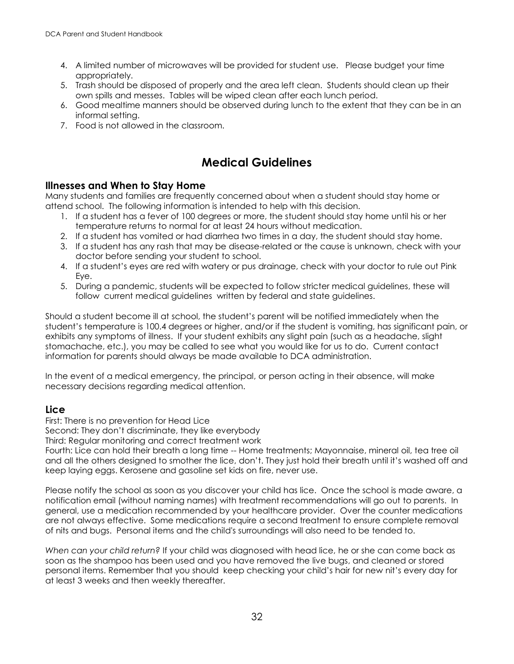- 4. A limited number of microwaves will be provided for student use. Please budget your time appropriately.
- 5. Trash should be disposed of properly and the area left clean. Students should clean up their own spills and messes. Tables will be wiped clean after each lunch period.
- 6. Good mealtime manners should be observed during lunch to the extent that they can be in an informal setting.
- 7. Food is not allowed in the classroom.

# **Medical Guidelines**

#### <span id="page-31-1"></span><span id="page-31-0"></span>**Illnesses and When to Stay Home**

Many students and families are frequently concerned about when a student should stay home or attend school. The following information is intended to help with this decision.

- 1. If a student has a fever of 100 degrees or more, the student should stay home until his or her temperature returns to normal for at least 24 hours without medication.
- 2. If a student has vomited or had diarrhea two times in a day, the student should stay home.
- 3. If a student has any rash that may be disease-related or the cause is unknown, check with your doctor before sending your student to school.
- 4. If a student's eyes are red with watery or pus drainage, check with your doctor to rule out Pink Eye.
- 5. During a pandemic, students will be expected to follow stricter medical guidelines, these will follow current medical guidelines written by federal and state guidelines.

Should a student become ill at school, the student's parent will be notified immediately when the student's temperature is 100.4 degrees or higher, and/or if the student is vomiting, has significant pain, or exhibits any symptoms of illness. If your student exhibits any slight pain (such as a headache, slight stomachache, etc.), you may be called to see what you would like for us to do. Current contact information for parents should always be made available to DCA administration.

In the event of a medical emergency, the principal, or person acting in their absence, will make necessary decisions regarding medical attention.

#### **Lice**

First: There is no prevention for Head Lice

Second: They don't discriminate, they like everybody

Third: Regular monitoring and correct treatment work

Fourth: Lice can hold their breath a long time -- Home treatments; Mayonnaise, mineral oil, tea tree oil and all the others designed to smother the lice, don't. They just hold their breath until it's washed off and keep laying eggs. Kerosene and gasoline set kids on fire, never use.

Please notify the school as soon as you discover your child has lice. Once the school is made aware, a notification email (without naming names) with treatment recommendations will go out to parents. In general, use a medication recommended by your healthcare provider. Over the counter medications are not always effective. Some medications require a second treatment to ensure complete removal of nits and bugs. Personal items and the child's surroundings will also need to be tended to.

*When can your child return?* If your child was diagnosed with head lice, he or she can come back as soon as the shampoo has been used and you have removed the live bugs, and cleaned or stored personal items. Remember that you should keep checking your child's hair for new nit's every day for at least 3 weeks and then weekly thereafter.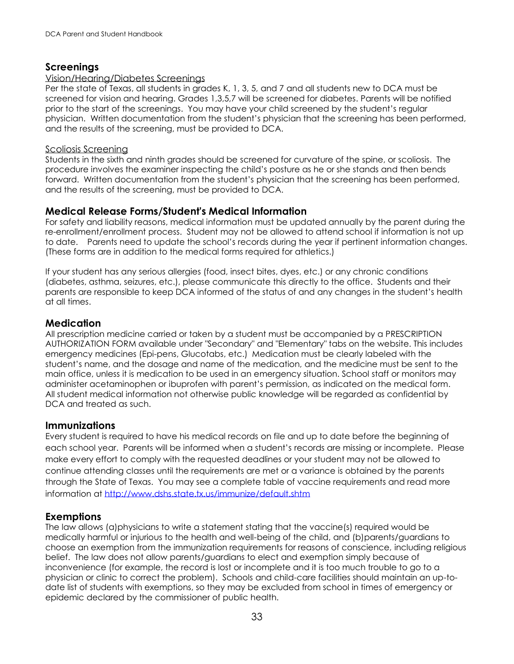#### <span id="page-32-0"></span>**Screenings**

#### Vision/Hearing/Diabetes Screenings

Per the state of Texas, all students in grades K, 1, 3, 5, and 7 and all students new to DCA must be screened for vision and hearing. Grades 1,3,5,7 will be screened for diabetes. Parents will be notified prior to the start of the screenings. You may have your child screened by the student's regular physician. Written documentation from the student's physician that the screening has been performed, and the results of the screening, must be provided to DCA.

#### Scoliosis Screening

Students in the sixth and ninth grades should be screened for curvature of the spine, or scoliosis. The procedure involves the examiner inspecting the child's posture as he or she stands and then bends forward. Written documentation from the student's physician that the screening has been performed, and the results of the screening, must be provided to DCA.

#### <span id="page-32-1"></span>**Medical Release Forms/Student's Medical Information**

For safety and liability reasons, medical information must be updated annually by the parent during the re-enrollment/enrollment process. Student may not be allowed to attend school if information is not up to date. Parents need to update the school's records during the year if pertinent information changes. (These forms are in addition to the medical forms required for athletics.)

If your student has any serious allergies (food, insect bites, dyes, etc.) or any chronic conditions (diabetes, asthma, seizures, etc.), please communicate this directly to the office. Students and their parents are responsible to keep DCA informed of the status of and any changes in the student's health at all times.

#### <span id="page-32-2"></span>**Medication**

All prescription medicine carried or taken by a student must be accompanied by a PRESCRIPTION AUTHORIZATION FORM available under "Secondary" and "Elementary" tabs on the website. This includes emergency medicines (Epi-pens, Glucotabs, etc.) Medication must be clearly labeled with the student's name, and the dosage and name of the medication, and the medicine must be sent to the main office, unless it is medication to be used in an emergency situation. School staff or monitors may administer acetaminophen or ibuprofen with parent's permission, as indicated on the medical form. All student medical information not otherwise public knowledge will be regarded as confidential by DCA and treated as such.

#### <span id="page-32-3"></span>**Immunizations**

Every student is required to have his medical records on file and up to date before the beginning of each school year. Parents will be informed when a student's records are missing or incomplete. Please make every effort to comply with the requested deadlines or your student may not be allowed to continue attending classes until the requirements are met or a variance is obtained by the parents through the State of Texas. You may see a complete table of vaccine requirements and read more information at<http://www.dshs.state.tx.us/immunize/default.shtm>

#### **Exemptions**

The law allows (a)physicians to write a statement stating that the vaccine(s) required would be medically harmful or injurious to the health and well-being of the child, and (b)parents/guardians to choose an exemption from the immunization requirements for reasons of conscience, including religious belief. The law does not allow parents/guardians to elect and exemption simply because of inconvenience (for example, the record is lost or incomplete and it is too much trouble to go to a physician or clinic to correct the problem). Schools and child-care facilities should maintain an up-todate list of students with exemptions, so they may be excluded from school in times of emergency or epidemic declared by the commissioner of public health.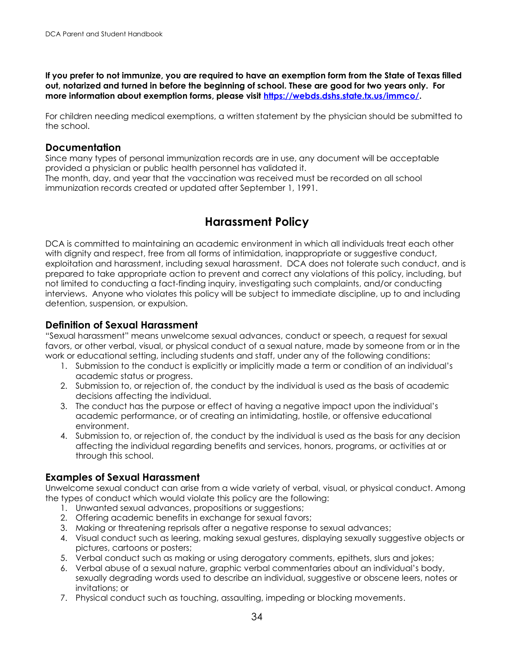**If you prefer to not immunize, you are required to have an exemption form from the State of Texas filled out, notarized and turned in before the beginning of school. These are good for two years only. For more information about exemption forms, please visit [https://webds.dshs.state.tx.us/immco/.](https://webds.dshs.state.tx.us/immco/)** 

For children needing medical exemptions, a written statement by the physician should be submitted to the school.

#### **Documentation**

Since many types of personal immunization records are in use, any document will be acceptable provided a physician or public health personnel has validated it.

The month, day, and year that the vaccination was received must be recorded on all school immunization records created or updated after September 1, 1991.

# **Harassment Policy**

<span id="page-33-0"></span>DCA is committed to maintaining an academic environment in which all individuals treat each other with dignity and respect, free from all forms of intimidation, inappropriate or suggestive conduct, exploitation and harassment, including sexual harassment. DCA does not tolerate such conduct, and is prepared to take appropriate action to prevent and correct any violations of this policy, including, but not limited to conducting a fact-finding inquiry, investigating such complaints, and/or conducting interviews. Anyone who violates this policy will be subject to immediate discipline, up to and including detention, suspension, or expulsion.

#### <span id="page-33-1"></span>**Definition of Sexual Harassment**

"Sexual harassment" means unwelcome sexual advances, conduct or speech, a request for sexual favors, or other verbal, visual, or physical conduct of a sexual nature, made by someone from or in the work or educational setting, including students and staff, under any of the following conditions:

- 1. Submission to the conduct is explicitly or implicitly made a term or condition of an individual's academic status or progress.
- 2. Submission to, or rejection of, the conduct by the individual is used as the basis of academic decisions affecting the individual.
- 3. The conduct has the purpose or effect of having a negative impact upon the individual's academic performance, or of creating an intimidating, hostile, or offensive educational environment.
- 4. Submission to, or rejection of, the conduct by the individual is used as the basis for any decision affecting the individual regarding benefits and services, honors, programs, or activities at or through this school.

#### **Examples of Sexual Harassment**

Unwelcome sexual conduct can arise from a wide variety of verbal, visual, or physical conduct. Among the types of conduct which would violate this policy are the following:

- 1. Unwanted sexual advances, propositions or suggestions;
- 2. Offering academic benefits in exchange for sexual favors;
- 3. Making or threatening reprisals after a negative response to sexual advances;
- 4. Visual conduct such as leering, making sexual gestures, displaying sexually suggestive objects or pictures, cartoons or posters;
- 5. Verbal conduct such as making or using derogatory comments, epithets, slurs and jokes;
- 6. Verbal abuse of a sexual nature, graphic verbal commentaries about an individual's body, sexually degrading words used to describe an individual, suggestive or obscene leers, notes or invitations; or
- 7. Physical conduct such as touching, assaulting, impeding or blocking movements.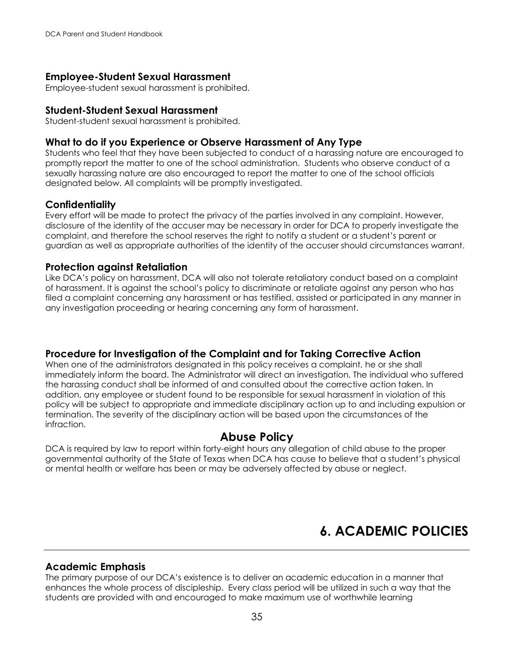#### **Employee-Student Sexual Harassment**

Employee-student sexual harassment is prohibited.

#### **Student-Student Sexual Harassment**

Student-student sexual harassment is prohibited.

#### <span id="page-34-0"></span>**What to do if you Experience or Observe Harassment of Any Type**

Students who feel that they have been subjected to conduct of a harassing nature are encouraged to promptly report the matter to one of the school administration. Students who observe conduct of a sexually harassing nature are also encouraged to report the matter to one of the school officials designated below. All complaints will be promptly investigated.

#### <span id="page-34-1"></span>**Confidentiality**

Every effort will be made to protect the privacy of the parties involved in any complaint. However, disclosure of the identity of the accuser may be necessary in order for DCA to properly investigate the complaint, and therefore the school reserves the right to notify a student or a student's parent or guardian as well as appropriate authorities of the identity of the accuser should circumstances warrant.

#### **Protection against Retaliation**

Like DCA's policy on harassment, DCA will also not tolerate retaliatory conduct based on a complaint of harassment. It is against the school's policy to discriminate or retaliate against any person who has filed a complaint concerning any harassment or has testified, assisted or participated in any manner in any investigation proceeding or hearing concerning any form of harassment.

#### **Procedure for Investigation of the Complaint and for Taking Corrective Action**

When one of the administrators designated in this policy receives a complaint, he or she shall immediately inform the board. The Administrator will direct an investigation. The individual who suffered the harassing conduct shall be informed of and consulted about the corrective action taken. In addition, any employee or student found to be responsible for sexual harassment in violation of this policy will be subject to appropriate and immediate disciplinary action up to and including expulsion or termination. The severity of the disciplinary action will be based upon the circumstances of the infraction.

## **Abuse Policy**

<span id="page-34-2"></span>DCA is required by law to report within forty-eight hours any allegation of child abuse to the proper governmental authority of the State of Texas when DCA has cause to believe that a student's physical or mental health or welfare has been or may be adversely affected by abuse or neglect.

# **6. ACADEMIC POLICIES**

#### <span id="page-34-4"></span><span id="page-34-3"></span>**Academic Emphasis**

The primary purpose of our DCA's existence is to deliver an academic education in a manner that enhances the whole process of discipleship. Every class period will be utilized in such a way that the students are provided with and encouraged to make maximum use of worthwhile learning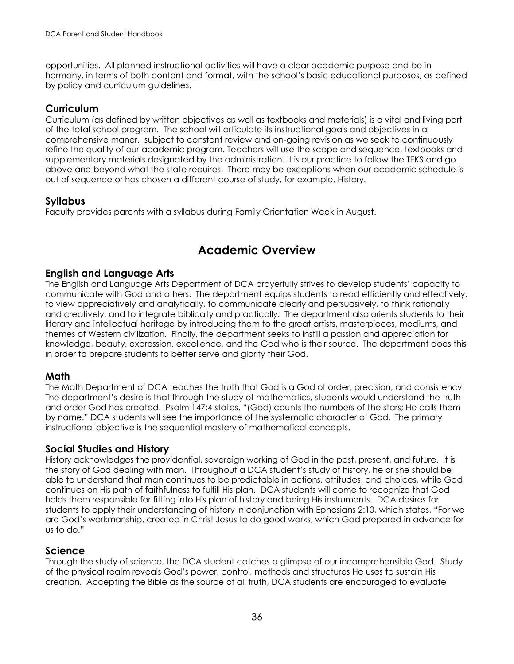opportunities. All planned instructional activities will have a clear academic purpose and be in harmony, in terms of both content and format, with the school's basic educational purposes, as defined by policy and curriculum guidelines.

#### <span id="page-35-0"></span>**Curriculum**

Curriculum (as defined by written objectives as well as textbooks and materials) is a vital and living part of the total school program. The school will articulate its instructional goals and objectives in a comprehensive maner, subject to constant review and on-going revision as we seek to continuously refine the quality of our academic program. Teachers will use the scope and sequence, textbooks and supplementary materials designated by the administration. It is our practice to follow the TEKS and go above and beyond what the state requires. There may be exceptions when our academic schedule is out of sequence or has chosen a different course of study, for example, History.

#### <span id="page-35-1"></span>**Syllabus**

Faculty provides parents with a syllabus during Family Orientation Week in August.

# **Academic Overview**

#### <span id="page-35-2"></span>**English and Language Arts**

The English and Language Arts Department of DCA prayerfully strives to develop students' capacity to communicate with God and others. The department equips students to read efficiently and effectively, to view appreciatively and analytically, to communicate clearly and persuasively, to think rationally and creatively, and to integrate biblically and practically. The department also orients students to their literary and intellectual heritage by introducing them to the great artists, masterpieces, mediums, and themes of Western civilization. Finally, the department seeks to instill a passion and appreciation for knowledge, beauty, expression, excellence, and the God who is their source. The department does this in order to prepare students to better serve and glorify their God.

#### **Math**

The Math Department of DCA teaches the truth that God is a God of order, precision, and consistency. The department's desire is that through the study of mathematics, students would understand the truth and order God has created. Psalm 147:4 states, "(God) counts the numbers of the stars; He calls them by name." DCA students will see the importance of the systematic character of God. The primary instructional objective is the sequential mastery of mathematical concepts.

#### **Social Studies and History**

History acknowledges the providential, sovereign working of God in the past, present, and future. It is the story of God dealing with man. Throughout a DCA student's study of history, he or she should be able to understand that man continues to be predictable in actions, attitudes, and choices, while God continues on His path of faithfulness to fulfill His plan. DCA students will come to recognize that God holds them responsible for fitting into His plan of history and being His instruments. DCA desires for students to apply their understanding of history in conjunction with Ephesians 2:10, which states, "For we are God's workmanship, created in Christ Jesus to do good works, which God prepared in advance for us to do."

#### **Science**

Through the study of science, the DCA student catches a glimpse of our incomprehensible God. Study of the physical realm reveals God's power, control, methods and structures He uses to sustain His creation. Accepting the Bible as the source of all truth, DCA students are encouraged to evaluate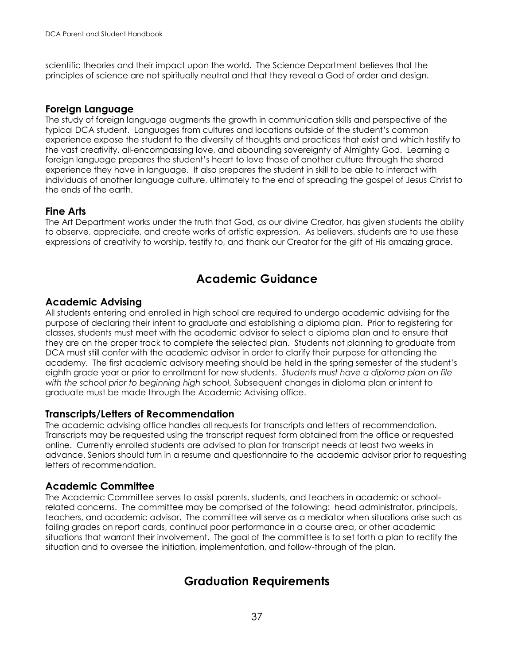scientific theories and their impact upon the world. The Science Department believes that the principles of science are not spiritually neutral and that they reveal a God of order and design.

#### **Foreign Language**

The study of foreign language augments the growth in communication skills and perspective of the typical DCA student. Languages from cultures and locations outside of the student's common experience expose the student to the diversity of thoughts and practices that exist and which testify to the vast creativity, all-encompassing love, and abounding sovereignty of Almighty God. Learning a foreign language prepares the student's heart to love those of another culture through the shared experience they have in language. It also prepares the student in skill to be able to interact with individuals of another language culture, ultimately to the end of spreading the gospel of Jesus Christ to the ends of the earth.

## **Fine Arts**

The Art Department works under the truth that God, as our divine Creator, has given students the ability to observe, appreciate, and create works of artistic expression. As believers, students are to use these expressions of creativity to worship, testify to, and thank our Creator for the gift of His amazing grace.

## **Academic Guidance**

#### **Academic Advising**

All students entering and enrolled in high school are required to undergo academic advising for the purpose of declaring their intent to graduate and establishing a diploma plan. Prior to registering for classes, students must meet with the academic advisor to select a diploma plan and to ensure that they are on the proper track to complete the selected plan. Students not planning to graduate from DCA must still confer with the academic advisor in order to clarify their purpose for attending the academy. The first academic advisory meeting should be held in the spring semester of the student's eighth grade year or prior to enrollment for new students. *Students must have a diploma plan on file with the school prior to beginning high school.* Subsequent changes in diploma plan or intent to graduate must be made through the Academic Advising office.

#### **Transcripts/Letters of Recommendation**

The academic advising office handles all requests for transcripts and letters of recommendation. Transcripts may be requested using the transcript request form obtained from the office or requested online. Currently enrolled students are advised to plan for transcript needs at least two weeks in advance. Seniors should turn in a resume and questionnaire to the academic advisor prior to requesting letters of recommendation.

## **Academic Committee**

The Academic Committee serves to assist parents, students, and teachers in academic or schoolrelated concerns. The committee may be comprised of the following: head administrator, principals, teachers, and academic advisor. The committee will serve as a mediator when situations arise such as failing grades on report cards, continual poor performance in a course area, or other academic situations that warrant their involvement. The goal of the committee is to set forth a plan to rectify the situation and to oversee the initiation, implementation, and follow-through of the plan.

## **Graduation Requirements**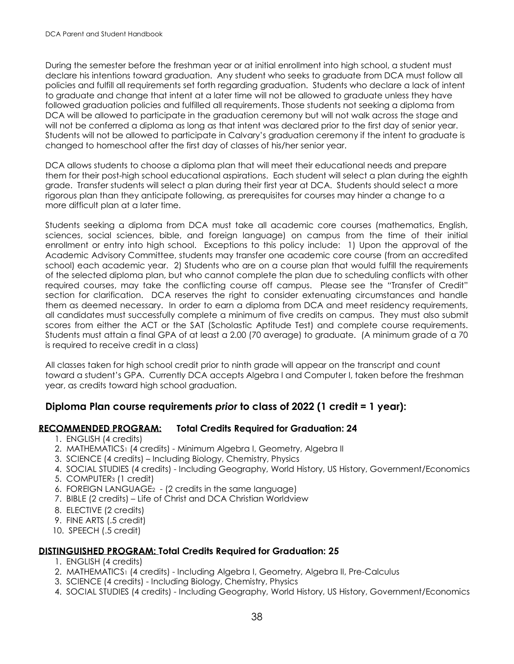During the semester before the freshman year or at initial enrollment into high school, a student must declare his intentions toward graduation. Any student who seeks to graduate from DCA must follow all policies and fulfill all requirements set forth regarding graduation. Students who declare a lack of intent to graduate and change that intent at a later time will not be allowed to graduate unless they have followed graduation policies and fulfilled all requirements. Those students not seeking a diploma from DCA will be allowed to participate in the graduation ceremony but will not walk across the stage and will not be conferred a diploma as long as that intent was declared prior to the first day of senior year. Students will not be allowed to participate in Calvary's graduation ceremony if the intent to graduate is changed to homeschool after the first day of classes of his/her senior year.

DCA allows students to choose a diploma plan that will meet their educational needs and prepare them for their post-high school educational aspirations. Each student will select a plan during the eighth grade. Transfer students will select a plan during their first year at DCA. Students should select a more rigorous plan than they anticipate following, as prerequisites for courses may hinder a change to a more difficult plan at a later time.

Students seeking a diploma from DCA must take all academic core courses (mathematics, English, sciences, social sciences, bible, and foreign language) on campus from the time of their initial enrollment or entry into high school. Exceptions to this policy include: 1) Upon the approval of the Academic Advisory Committee, students may transfer one academic core course (from an accredited school) each academic year. 2) Students who are on a course plan that would fulfill the requirements of the selected diploma plan, but who cannot complete the plan due to scheduling conflicts with other required courses, may take the conflicting course off campus. Please see the "Transfer of Credit" section for clarification. DCA reserves the right to consider extenuating circumstances and handle them as deemed necessary. In order to earn a diploma from DCA and meet residency requirements, all candidates must successfully complete a minimum of five credits on campus. They must also submit scores from either the ACT or the SAT (Scholastic Aptitude Test) and complete course requirements. Students must attain a final GPA of at least a 2.00 (70 average) to graduate. (A minimum grade of a 70 is required to receive credit in a class)

All classes taken for high school credit prior to ninth grade will appear on the transcript and count toward a student's GPA. Currently DCA accepts Algebra I and Computer I, taken before the freshman year, as credits toward high school graduation.

## **Diploma Plan course requirements** *prior* **to class of 2022 (1 credit = 1 year):**

#### **RECOMMENDED PROGRAM: Total Credits Required for Graduation: 24**

- 1. ENGLISH (4 credits)
- 2. MATHEMATICS1 (4 credits) Minimum Algebra I, Geometry, Algebra II
- 3. SCIENCE (4 credits) Including Biology, Chemistry, Physics
- 4. SOCIAL STUDIES (4 credits) Including Geography, World History, US History, Government/Economics
- 5. COMPUTER<sup>3</sup> (1 credit)
- 6. FOREIGN LANGUAGE2 (2 credits in the same language)
- 7. BIBLE (2 credits) Life of Christ and DCA Christian Worldview
- 8. ELECTIVE (2 credits)
- 9. FINE ARTS (.5 credit)
- 10. SPEECH (.5 credit)

#### **DISTINGUISHED PROGRAM: Total Credits Required for Graduation: 25**

- 1. ENGLISH (4 credits)
- 2. MATHEMATICS<sup>1</sup> (4 credits) Including Algebra I, Geometry, Algebra II, Pre-Calculus
- 3. SCIENCE (4 credits) Including Biology, Chemistry, Physics
- 4. SOCIAL STUDIES (4 credits) Including Geography, World History, US History, Government/Economics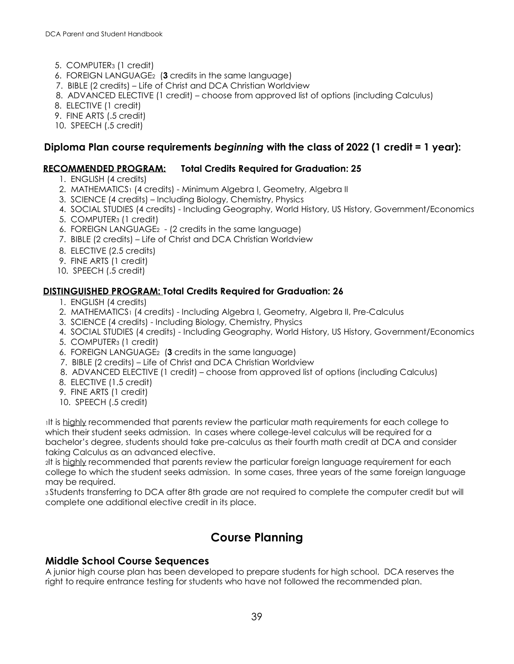- 5. COMPUTER<sup>3</sup> (1 credit)
- 6. FOREIGN LANGUAGE2 (**3** credits in the same language)
- 7. BIBLE (2 credits) Life of Christ and DCA Christian Worldview
- 8. ADVANCED ELECTIVE (1 credit) choose from approved list of options (including Calculus)
- 8. ELECTIVE (1 credit)
- 9. FINE ARTS (.5 credit)
- 10. SPEECH (.5 credit)

## **Diploma Plan course requirements** *beginning* **with the class of 2022 (1 credit = 1 year):**

#### **RECOMMENDED PROGRAM: Total Credits Required for Graduation: 25**

- 1. ENGLISH (4 credits)
- 2. MATHEMATICS1 (4 credits) Minimum Algebra I, Geometry, Algebra II
- 3. SCIENCE (4 credits) Including Biology, Chemistry, Physics
- 4. SOCIAL STUDIES (4 credits) Including Geography, World History, US History, Government/Economics
- 5. COMPUTER<sup>3</sup> (1 credit)
- 6. FOREIGN LANGUAGE2 (2 credits in the same language)
- 7. BIBLE (2 credits) Life of Christ and DCA Christian Worldview
- 8. ELECTIVE (2.5 credits)
- 9. FINE ARTS (1 credit)
- 10. SPEECH (.5 credit)

#### **DISTINGUISHED PROGRAM: Total Credits Required for Graduation: 26**

- 1. ENGLISH (4 credits)
- 2. MATHEMATICS<sup>1</sup> (4 credits) Including Algebra I, Geometry, Algebra II, Pre-Calculus
- 3. SCIENCE (4 credits) Including Biology, Chemistry, Physics
- 4. SOCIAL STUDIES (4 credits) Including Geography, World History, US History, Government/Economics
- 5. COMPUTER<sup>3</sup> (1 credit)
- 6. FOREIGN LANGUAGE2 (**3** credits in the same language)
- 7. BIBLE (2 credits) Life of Christ and DCA Christian Worldview
- 8. ADVANCED ELECTIVE (1 credit) choose from approved list of options (including Calculus)
- 8. ELECTIVE (1.5 credit)
- 9. FINE ARTS (1 credit)
- 10. SPEECH (.5 credit)

<sup>1</sup>It is highly recommended that parents review the particular math requirements for each college to which their student seeks admission. In cases where college-level calculus will be required for a bachelor's degree, students should take pre-calculus as their fourth math credit at DCA and consider taking Calculus as an advanced elective.

<sup>2</sup>It is highly recommended that parents review the particular foreign language requirement for each college to which the student seeks admission. In some cases, three years of the same foreign language may be required.

<sup>3</sup>Students transferring to DCA after 8th grade are not required to complete the computer credit but will complete one additional elective credit in its place.

## **Course Planning**

## **Middle School Course Sequences**

A junior high course plan has been developed to prepare students for high school. DCA reserves the right to require entrance testing for students who have not followed the recommended plan.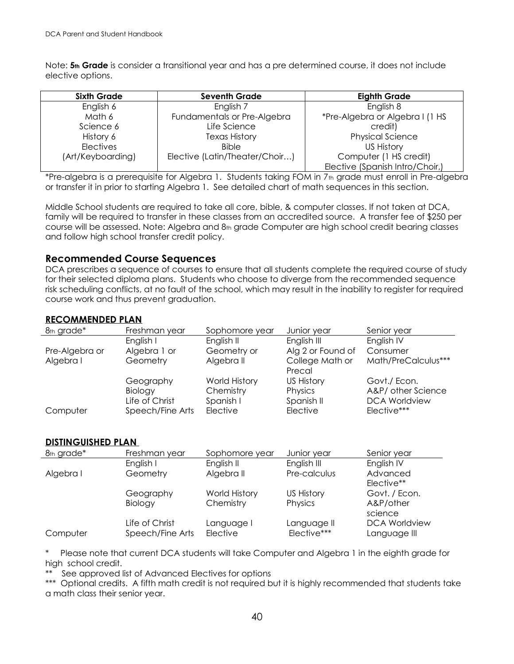Note: **5th Grade** is consider a transitional year and has a pre determined course, it does not include elective options.

| <b>Sixth Grade</b> | <b>Seventh Grade</b>           | <b>Eighth Grade</b>             |
|--------------------|--------------------------------|---------------------------------|
| English 6          | English 7                      | English 8                       |
| Math 6             | Fundamentals or Pre-Algebra    | *Pre-Algebra or Algebra I (1 HS |
| Science 6          | Life Science                   | credit)                         |
| History 6          | <b>Texas History</b>           | <b>Physical Science</b>         |
| <b>Electives</b>   | <b>Bible</b>                   | US History                      |
| (Art/Keyboarding)  | Elective (Latin/Theater/Choir) | Computer (1 HS credit)          |
|                    |                                | Elective (Spanish Intro/Choir,) |

\*Pre-algebra is a prerequisite for Algebra 1. Students taking FOM in 7th grade must enroll in Pre-algebra or transfer it in prior to starting Algebra 1. See detailed chart of math sequences in this section.

Middle School students are required to take all core, bible, & computer classes. If not taken at DCA, family will be required to transfer in these classes from an accredited source. A transfer fee of \$250 per course will be assessed. Note: Algebra and 8th grade Computer are high school credit bearing classes and follow high school transfer credit policy.

#### **Recommended Course Sequences**

DCA prescribes a sequence of courses to ensure that all students complete the required course of study for their selected diploma plans. Students who choose to diverge from the recommended sequence risk scheduling conflicts, at no fault of the school, which may result in the inability to register for required course work and thus prevent graduation.

#### **RECOMMENDED PLAN**

| 8th grade*     | Freshman year    | Sophomore year | Junior year       | Senior year          |
|----------------|------------------|----------------|-------------------|----------------------|
|                | English I        | English II     | English III       | English IV           |
| Pre-Algebra or | Algebra 1 or     | Geometry or    | Alg 2 or Found of | Consumer             |
| Algebra I      | Geometry         | Algebra II     | College Math or   | Math/PreCalculus***  |
|                |                  |                | Precal            |                      |
|                | Geography        | World History  | <b>US History</b> | Govt./ Econ.         |
|                | Biology          | Chemistry      | Physics           | A&P/ other Science   |
|                | Life of Christ   | Spanish I      | Spanish II        | <b>DCA Worldview</b> |
| Computer       | Speech/Fine Arts | Elective       | Elective          | Elective***          |

#### **DISTINGUISHED PLAN**

| 8th grade* | Freshman year    | Sophomore year | Junior year       | Senior year          |
|------------|------------------|----------------|-------------------|----------------------|
|            | English I        | English II     | English III       | English IV           |
| Algebra I  | Geometry         | Algebra II     | Pre-calculus      | Advanced             |
|            |                  |                |                   | Elective**           |
|            | Geography        | World History  | <b>US History</b> | Govt. / Econ.        |
|            | Biology          | Chemistry      | Physics           | A&P/other            |
|            |                  |                |                   | science              |
|            | Life of Christ   | Language I     | Language II       | <b>DCA Worldview</b> |
| Computer   | Speech/Fine Arts | Elective       | Elective***       | Language III         |

Please note that current DCA students will take Computer and Algebra 1 in the eighth grade for high school credit.

\*\* See approved list of Advanced Electives for options

\*\*\* Optional credits. A fifth math credit is not required but it is highly recommended that students take a math class their senior year.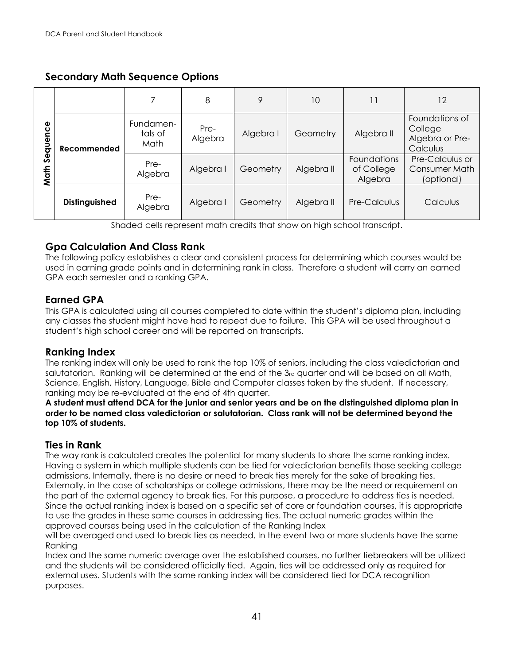## **Secondary Math Sequence Options**

|                                                                                                                                                                                                                                                                                                                                                                                                                                                                                                                                                                                                                                                                                                                                                                                                                                                                                                                                                                                                                                                                                                                                                                                                                                                                                                                       |                      | $\overline{7}$               | 8               | 9         | 10         | 11                                                                       | 12                                                       |
|-----------------------------------------------------------------------------------------------------------------------------------------------------------------------------------------------------------------------------------------------------------------------------------------------------------------------------------------------------------------------------------------------------------------------------------------------------------------------------------------------------------------------------------------------------------------------------------------------------------------------------------------------------------------------------------------------------------------------------------------------------------------------------------------------------------------------------------------------------------------------------------------------------------------------------------------------------------------------------------------------------------------------------------------------------------------------------------------------------------------------------------------------------------------------------------------------------------------------------------------------------------------------------------------------------------------------|----------------------|------------------------------|-----------------|-----------|------------|--------------------------------------------------------------------------|----------------------------------------------------------|
|                                                                                                                                                                                                                                                                                                                                                                                                                                                                                                                                                                                                                                                                                                                                                                                                                                                                                                                                                                                                                                                                                                                                                                                                                                                                                                                       | Recommended          | Fundamen-<br>tals of<br>Math | Pre-<br>Algebra | Algebra I | Geometry   | Algebra II                                                               | Foundations of<br>College<br>Algebra or Pre-<br>Calculus |
| Math Sequence                                                                                                                                                                                                                                                                                                                                                                                                                                                                                                                                                                                                                                                                                                                                                                                                                                                                                                                                                                                                                                                                                                                                                                                                                                                                                                         |                      | Pre-<br>Algebra              | Algebra I       | Geometry  | Algebra II | Foundations<br>of College<br>Algebra                                     | Pre-Calculus or<br>Consumer Math<br>(optional)           |
|                                                                                                                                                                                                                                                                                                                                                                                                                                                                                                                                                                                                                                                                                                                                                                                                                                                                                                                                                                                                                                                                                                                                                                                                                                                                                                                       | <b>Distinguished</b> | Pre-<br>Algebra              | Algebra I       | Geometry  | Algebra II | Pre-Calculus                                                             | Calculus                                                 |
|                                                                                                                                                                                                                                                                                                                                                                                                                                                                                                                                                                                                                                                                                                                                                                                                                                                                                                                                                                                                                                                                                                                                                                                                                                                                                                                       |                      |                              |                 |           |            | Shaded cells represent math credits that show on high school transcript. |                                                          |
| <b>Gpa Calculation And Class Rank</b><br>The following policy establishes a clear and consistent process for determining which courses would be<br>used in earning grade points and in determining rank in class. Therefore a student will carry an earned<br>GPA each semester and a ranking GPA.<br><b>Earned GPA</b><br>This GPA is calculated using all courses completed to date within the student's diploma plan, including<br>any classes the student might have had to repeat due to failure. This GPA will be used throughout a<br>student's high school career and will be reported on transcripts.                                                                                                                                                                                                                                                                                                                                                                                                                                                                                                                                                                                                                                                                                                        |                      |                              |                 |           |            |                                                                          |                                                          |
| <b>Ranking Index</b><br>The ranking index will only be used to rank the top 10% of seniors, including the class valedictorian and<br>salutatorian. Ranking will be determined at the end of the 3rd quarter and will be based on all Math,<br>Science, English, History, Language, Bible and Computer classes taken by the student. If necessary,<br>ranking may be re-evaluated at the end of 4th quarter.<br>A student must attend DCA for the junior and senior years and be on the distinguished diploma plan in<br>order to be named class valedictorian or salutatorian. Class rank will not be determined beyond the<br>top 10% of students.                                                                                                                                                                                                                                                                                                                                                                                                                                                                                                                                                                                                                                                                   |                      |                              |                 |           |            |                                                                          |                                                          |
| <b>Ties in Rank</b><br>The way rank is calculated creates the potential for many students to share the same ranking index.<br>Having a system in which multiple students can be tied for valedictorian benefits those seeking college<br>admissions. Internally, there is no desire or need to break ties merely for the sake of breaking ties.<br>Externally, in the case of scholarships or college admissions, there may be the need or requirement on<br>the part of the external agency to break ties. For this purpose, a procedure to address ties is needed.<br>Since the actual ranking index is based on a specific set of core or foundation courses, it is appropriate<br>to use the grades in these same courses in addressing ties. The actual numeric grades within the<br>approved courses being used in the calculation of the Ranking Index<br>will be averaged and used to break ties as needed. In the event two or more students have the same<br>Ranking<br>Index and the same numeric average over the established courses, no further tiebreakers will be utilized<br>and the students will be considered officially tied. Again, ties will be addressed only as required for<br>external uses. Students with the same ranking index will be considered tied for DCA recognition<br>purposes. |                      |                              |                 |           |            |                                                                          |                                                          |

## **Gpa Calculation And Class Rank**

## **Earned GPA**

## **Ranking Index**

## **Ties in Rank**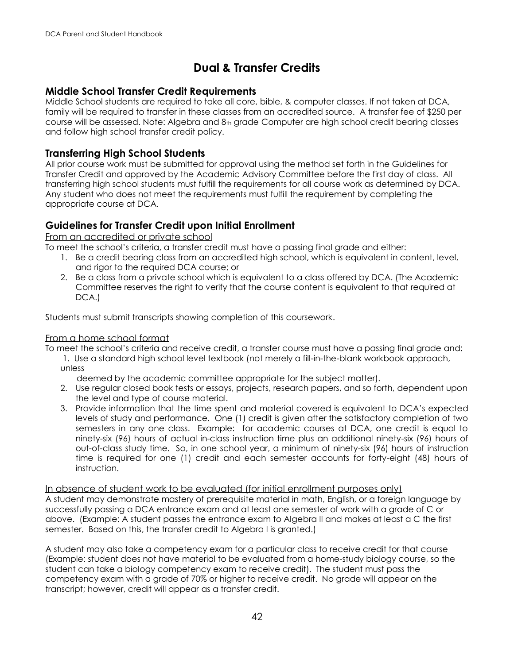## **Dual & Transfer Credits**

## **Middle School Transfer Credit Requirements**

Middle School students are required to take all core, bible, & computer classes. If not taken at DCA, family will be required to transfer in these classes from an accredited source. A transfer fee of \$250 per course will be assessed. Note: Algebra and 8th grade Computer are high school credit bearing classes and follow high school transfer credit policy.

## **Transferring High School Students**

All prior course work must be submitted for approval using the method set forth in the Guidelines for Transfer Credit and approved by the Academic Advisory Committee before the first day of class. All transferring high school students must fulfill the requirements for all course work as determined by DCA. Any student who does not meet the requirements must fulfill the requirement by completing the appropriate course at DCA.

## **Guidelines for Transfer Credit upon Initial Enrollment**

From an accredited or private school

To meet the school's criteria, a transfer credit must have a passing final grade and either:

- 1. Be a credit bearing class from an accredited high school, which is equivalent in content, level, and rigor to the required DCA course; or
- 2. Be a class from a private school which is equivalent to a class offered by DCA. (The Academic Committee reserves the right to verify that the course content is equivalent to that required at DCA.)

Students must submit transcripts showing completion of this coursework.

#### From a home school format

To meet the school's criteria and receive credit, a transfer course must have a passing final grade and:

1. Use a standard high school level textbook (not merely a fill-in-the-blank workbook approach, unless

deemed by the academic committee appropriate for the subject matter).

- 2. Use regular closed book tests or essays, projects, research papers, and so forth, dependent upon the level and type of course material.
- 3. Provide information that the time spent and material covered is equivalent to DCA's expected levels of study and performance. One (1) credit is given after the satisfactory completion of two semesters in any one class. Example: for academic courses at DCA, one credit is equal to ninety-six (96) hours of actual in-class instruction time plus an additional ninety-six (96) hours of out-of-class study time. So, in one school year, a minimum of ninety-six (96) hours of instruction time is required for one (1) credit and each semester accounts for forty-eight (48) hours of instruction.

In absence of student work to be evaluated (for initial enrollment purposes only) A student may demonstrate mastery of prerequisite material in math, English, or a foreign language by successfully passing a DCA entrance exam and at least one semester of work with a grade of C or above. (Example: A student passes the entrance exam to Algebra II and makes at least a C the first semester. Based on this, the transfer credit to Algebra I is granted.)

A student may also take a competency exam for a particular class to receive credit for that course (Example: student does not have material to be evaluated from a home-study biology course, so the student can take a biology competency exam to receive credit). The student must pass the competency exam with a grade of 70% or higher to receive credit. No grade will appear on the transcript; however, credit will appear as a transfer credit.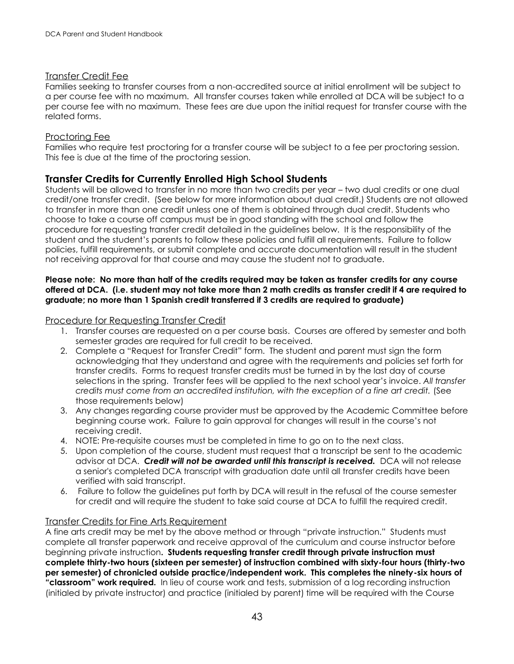#### Transfer Credit Fee

Families seeking to transfer courses from a non-accredited source at initial enrollment will be subject to a per course fee with no maximum. All transfer courses taken while enrolled at DCA will be subject to a per course fee with no maximum. These fees are due upon the initial request for transfer course with the related forms.

#### Proctoring Fee

Families who require test proctoring for a transfer course will be subject to a fee per proctoring session. This fee is due at the time of the proctoring session.

#### **Transfer Credits for Currently Enrolled High School Students**

Students will be allowed to transfer in no more than two credits per year – two dual credits or one dual credit/one transfer credit. (See below for more information about dual credit.) Students are not allowed to transfer in more than one credit unless one of them is obtained through dual credit. Students who choose to take a course off campus must be in good standing with the school and follow the procedure for requesting transfer credit detailed in the guidelines below. It is the responsibility of the student and the student's parents to follow these policies and fulfill all requirements. Failure to follow policies, fulfill requirements, or submit complete and accurate documentation will result in the student not receiving approval for that course and may cause the student not to graduate.

#### **Please note: No more than half of the credits required may be taken as transfer credits for any course offered at DCA. (i.e. student may not take more than 2 math credits as transfer credit if 4 are required to graduate; no more than 1 Spanish credit transferred if 3 credits are required to graduate)**

#### Procedure for Requesting Transfer Credit

- 1. Transfer courses are requested on a per course basis. Courses are offered by semester and both semester grades are required for full credit to be received.
- 2. Complete a "Request for Transfer Credit" form. The student and parent must sign the form acknowledging that they understand and agree with the requirements and policies set forth for transfer credits. Forms to request transfer credits must be turned in by the last day of course selections in the spring. Transfer fees will be applied to the next school year's invoice. *All transfer credits must come from an accredited institution, with the exception of a fine art credit.* (See those requirements below)
- 3. Any changes regarding course provider must be approved by the Academic Committee before beginning course work. Failure to gain approval for changes will result in the course's not receiving credit.
- 4. NOTE: Pre-requisite courses must be completed in time to go on to the next class.
- 5. Upon completion of the course, student must request that a transcript be sent to the academic advisor at DCA. *Credit will not be awarded until this transcript is received.* DCA will not release a senior's completed DCA transcript with graduation date until all transfer credits have been verified with said transcript.
- 6. Failure to follow the guidelines put forth by DCA will result in the refusal of the course semester for credit and will require the student to take said course at DCA to fulfill the required credit.

#### Transfer Credits for Fine Arts Requirement

A fine arts credit may be met by the above method or through "private instruction." Students must complete all transfer paperwork and receive approval of the curriculum and course instructor before beginning private instruction**. Students requesting transfer credit through private instruction must complete thirty-two hours (sixteen per semester) of instruction combined with sixty-four hours (thirty-two per semester) of chronicled outside practice/independent work. This completes the ninety-six hours of "classroom" work required.** In lieu of course work and tests, submission of a log recording instruction (initialed by private instructor) and practice (initialed by parent) time will be required with the Course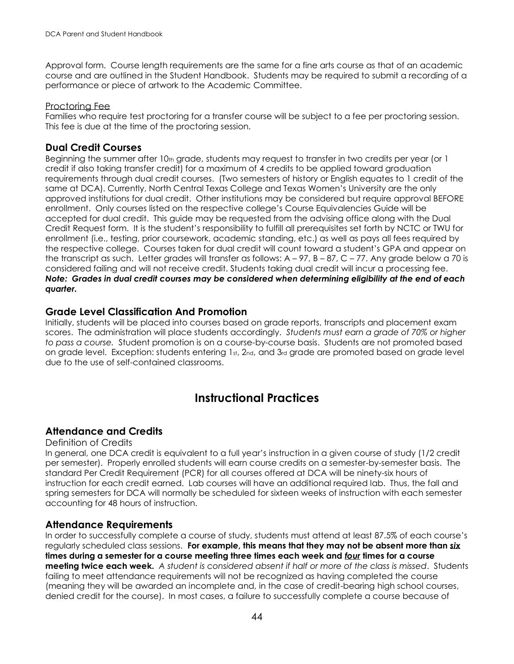Approval form. Course length requirements are the same for a fine arts course as that of an academic course and are outlined in the Student Handbook. Students may be required to submit a recording of a performance or piece of artwork to the Academic Committee.

#### Proctoring Fee

Families who require test proctoring for a transfer course will be subject to a fee per proctoring session. This fee is due at the time of the proctoring session.

## **Dual Credit Courses**

Beginning the summer after  $10<sub>th</sub>$  grade, students may request to transfer in two credits per year (or 1) credit if also taking transfer credit) for a maximum of 4 credits to be applied toward graduation requirements through dual credit courses. (Two semesters of history or English equates to 1 credit of the same at DCA). Currently, North Central Texas College and Texas Women's University are the only approved institutions for dual credit. Other institutions may be considered but require approval BEFORE enrollment. Only courses listed on the respective college's Course Equivalencies Guide will be accepted for dual credit. This guide may be requested from the advising office along with the Dual Credit Request form. It is the student's responsibility to fulfill all prerequisites set forth by NCTC or TWU for enrollment (i.e., testing, prior coursework, academic standing, etc.) as well as pays all fees required by the respective college. Courses taken for dual credit will count toward a student's GPA and appear on the transcript as such. Letter grades will transfer as follows: A – 97, B – 87, C – 77. Any grade below a 70 is considered failing and will not receive credit. Students taking dual credit will incur a processing fee. *Note: Grades in dual credit courses may be considered when determining eligibility at the end of each quarter.* 

## **Grade Level Classification And Promotion**

Initially, students will be placed into courses based on grade reports, transcripts and placement exam scores. The administration will place students accordingly. *Students must earn a grade of 70% or higher to pass a course.* Student promotion is on a course-by-course basis. Students are not promoted based on grade level. Exception: students entering 1st, 2nd, and 3rd grade are promoted based on grade level due to the use of self-contained classrooms.

## **Instructional Practices**

## **Attendance and Credits**

#### Definition of Credits

In general, one DCA credit is equivalent to a full year's instruction in a given course of study (1/2 credit per semester). Properly enrolled students will earn course credits on a semester-by-semester basis. The standard Per Credit Requirement (PCR) for all courses offered at DCA will be ninety-six hours of instruction for each credit earned. Lab courses will have an additional required lab. Thus, the fall and spring semesters for DCA will normally be scheduled for sixteen weeks of instruction with each semester accounting for 48 hours of instruction.

#### **Attendance Requirements**

In order to successfully complete a course of study, students must attend at least 87.5% of each course's regularly scheduled class sessions. **For example, this means that they may not be absent more than** *six* **times during a semester for a course meeting three times each week and** *four* **times for a course meeting twice each week.** *A student is considered absent if half or more of the class is missed*. Students failing to meet attendance requirements will not be recognized as having completed the course (meaning they will be awarded an incomplete and, in the case of credit-bearing high school courses, denied credit for the course). In most cases, a failure to successfully complete a course because of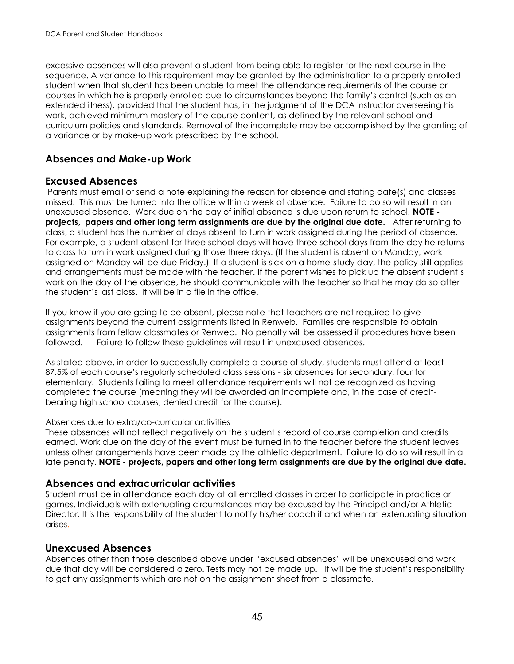excessive absences will also prevent a student from being able to register for the next course in the sequence. A variance to this requirement may be granted by the administration to a properly enrolled student when that student has been unable to meet the attendance requirements of the course or courses in which he is properly enrolled due to circumstances beyond the family's control (such as an extended illness), provided that the student has, in the judgment of the DCA instructor overseeing his work, achieved minimum mastery of the course content, as defined by the relevant school and curriculum policies and standards. Removal of the incomplete may be accomplished by the granting of a variance or by make-up work prescribed by the school.

## **Absences and Make-up Work**

## **Excused Absences**

Parents must email or send a note explaining the reason for absence and stating date(s) and classes missed. This must be turned into the office within a week of absence. Failure to do so will result in an unexcused absence. Work due on the day of initial absence is due upon return to school. **NOTE projects, papers and other long term assignments are due by the original due date.** After returning to class, a student has the number of days absent to turn in work assigned during the period of absence. For example, a student absent for three school days will have three school days from the day he returns to class to turn in work assigned during those three days. (If the student is absent on Monday, work assigned on Monday will be due Friday.) If a student is sick on a home-study day, the policy still applies and arrangements must be made with the teacher. If the parent wishes to pick up the absent student's work on the day of the absence, he should communicate with the teacher so that he may do so after the student's last class. It will be in a file in the office.

If you know if you are going to be absent, please note that teachers are not required to give assignments beyond the current assignments listed in Renweb. Families are responsible to obtain assignments from fellow classmates or Renweb. No penalty will be assessed if procedures have been followed. Failure to follow these guidelines will result in unexcused absences.

As stated above, in order to successfully complete a course of study, students must attend at least 87.5% of each course's regularly scheduled class sessions - six absences for secondary, four for elementary. Students failing to meet attendance requirements will not be recognized as having completed the course (meaning they will be awarded an incomplete and, in the case of creditbearing high school courses, denied credit for the course).

#### Absences due to extra/co-curricular activities

These absences will not reflect negatively on the student's record of course completion and credits earned. Work due on the day of the event must be turned in to the teacher before the student leaves unless other arrangements have been made by the athletic department. Failure to do so will result in a late penalty. **NOTE - projects, papers and other long term assignments are due by the original due date.**

## **Absences and extracurricular activities**

Student must be in attendance each day at all enrolled classes in order to participate in practice or games. Individuals with extenuating circumstances may be excused by the Principal and/or Athletic Director. It is the responsibility of the student to notify his/her coach if and when an extenuating situation arises.

## **Unexcused Absences**

Absences other than those described above under "excused absences" will be unexcused and work due that day will be considered a zero. Tests may not be made up. It will be the student's responsibility to get any assignments which are not on the assignment sheet from a classmate.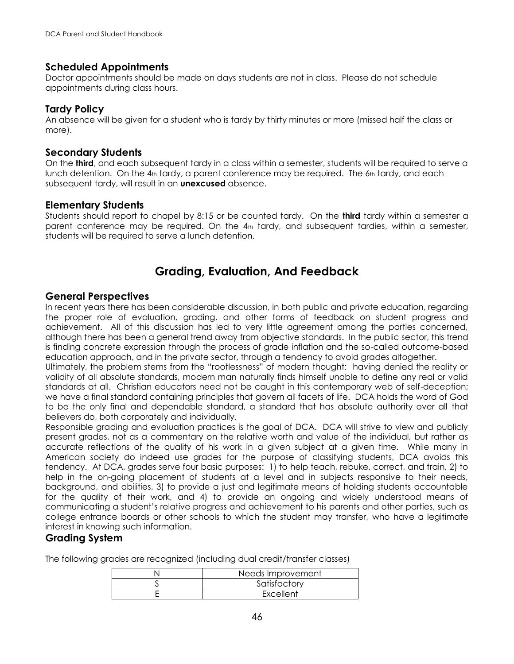#### **Scheduled Appointments**

Doctor appointments should be made on days students are not in class. Please do not schedule appointments during class hours.

#### **Tardy Policy**

An absence will be given for a student who is tardy by thirty minutes or more (missed half the class or more).

#### **Secondary Students**

On the **third**, and each subsequent tardy in a class within a semester, students will be required to serve a lunch detention. On the  $4<sub>th</sub>$  tardy, a parent conference may be required. The  $6<sub>th</sub>$  tardy, and each subsequent tardy, will result in an **unexcused** absence.

#### **Elementary Students**

Students should report to chapel by 8:15 or be counted tardy. On the **third** tardy within a semester a parent conference may be required. On the  $4<sub>th</sub>$  tardy, and subsequent tardies, within a semester, students will be required to serve a lunch detention.

## **Grading, Evaluation, And Feedback**

#### **General Perspectives**

In recent years there has been considerable discussion, in both public and private education, regarding the proper role of evaluation, grading, and other forms of feedback on student progress and achievement. All of this discussion has led to very little agreement among the parties concerned, although there has been a general trend away from objective standards. In the public sector, this trend is finding concrete expression through the process of grade inflation and the so-called outcome-based education approach, and in the private sector, through a tendency to avoid grades altogether.

Ultimately, the problem stems from the "rootlessness" of modern thought: having denied the reality or validity of all absolute standards, modern man naturally finds himself unable to define any real or valid standards at all. Christian educators need not be caught in this contemporary web of self-deception; we have a final standard containing principles that govern all facets of life. DCA holds the word of God to be the only final and dependable standard, a standard that has absolute authority over all that believers do, both corporately and individually.

Responsible grading and evaluation practices is the goal of DCA. DCA will strive to view and publicly present grades, not as a commentary on the relative worth and value of the individual, but rather as accurate reflections of the quality of his work in a given subject at a given time. While many in American society do indeed use grades for the purpose of classifying students, DCA avoids this tendency. At DCA, grades serve four basic purposes: 1) to help teach, rebuke, correct, and train, 2) to help in the on-going placement of students at a level and in subjects responsive to their needs, background, and abilities, 3) to provide a just and legitimate means of holding students accountable for the quality of their work, and 4) to provide an ongoing and widely understood means of communicating a student's relative progress and achievement to his parents and other parties, such as college entrance boards or other schools to which the student may transfer, who have a legitimate interest in knowing such information.

#### **Grading System**

The following grades are recognized (including dual credit/transfer classes)

| Needs Improvement |
|-------------------|
| Satisfactory      |
| Excellent         |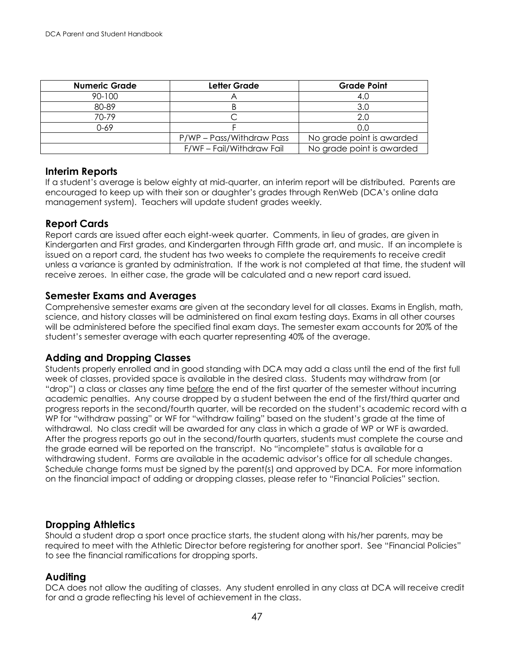| <b>Numeric Grade</b> | Letter Grade              | <b>Grade Point</b>        |
|----------------------|---------------------------|---------------------------|
| 90-100               |                           | 4.C                       |
| 80-89                |                           | 3.0                       |
| 70-79                |                           | 2.0                       |
| 0-69                 |                           | 0.0                       |
|                      | P/WP – Pass/Withdraw Pass | No grade point is awarded |
|                      | F/WF - Fail/Withdraw Fail | No grade point is awarded |

#### **Interim Reports**

If a student's average is below eighty at mid-quarter, an interim report will be distributed. Parents are encouraged to keep up with their son or daughter's grades through RenWeb (DCA's online data management system). Teachers will update student grades weekly.

## **Report Cards**

Report cards are issued after each eight-week quarter. Comments, in lieu of grades, are given in Kindergarten and First grades, and Kindergarten through Fifth grade art, and music. If an incomplete is issued on a report card, the student has two weeks to complete the requirements to receive credit unless a variance is granted by administration. If the work is not completed at that time, the student will receive zeroes. In either case, the grade will be calculated and a new report card issued.

#### **Semester Exams and Averages**

Comprehensive semester exams are given at the secondary level for all classes. Exams in English, math, science, and history classes will be administered on final exam testing days. Exams in all other courses will be administered before the specified final exam days. The semester exam accounts for 20% of the student's semester average with each quarter representing 40% of the average.

## **Adding and Dropping Classes**

Students properly enrolled and in good standing with DCA may add a class until the end of the first full week of classes, provided space is available in the desired class. Students may withdraw from (or "drop") a class or classes any time before the end of the first quarter of the semester without incurring academic penalties. Any course dropped by a student between the end of the first/third quarter and progress reports in the second/fourth quarter, will be recorded on the student's academic record with a WP for "withdraw passing" or WF for "withdraw failing" based on the student's grade at the time of withdrawal. No class credit will be awarded for any class in which a grade of WP or WF is awarded. After the progress reports go out in the second/fourth quarters, students must complete the course and the grade earned will be reported on the transcript. No "incomplete" status is available for a withdrawing student. Forms are available in the academic advisor's office for all schedule changes. Schedule change forms must be signed by the parent(s) and approved by DCA. For more information on the financial impact of adding or dropping classes, please refer to "Financial Policies" section.

## **Dropping Athletics**

Should a student drop a sport once practice starts, the student along with his/her parents, may be required to meet with the Athletic Director before registering for another sport. See "Financial Policies" to see the financial ramifications for dropping sports.

## **Auditing**

DCA does not allow the auditing of classes. Any student enrolled in any class at DCA will receive credit for and a grade reflecting his level of achievement in the class.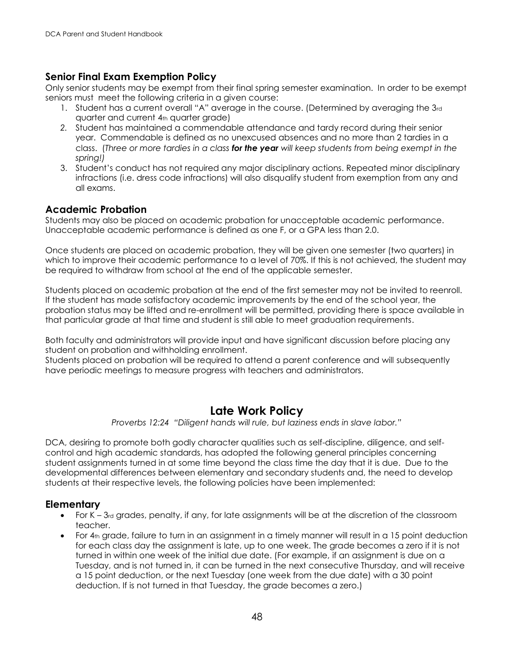## **Senior Final Exam Exemption Policy**

Only senior students may be exempt from their final spring semester examination. In order to be exempt seniors must meet the following criteria in a given course:

- 1. Student has a current overall "A" average in the course. (Determined by averaging the 3rd quarter and current 4th quarter grade)
- *2.* Student has maintained a commendable attendance and tardy record during their senior year. Commendable is defined as no unexcused absences and no more than 2 tardies in a class. (*Three or more tardies in a class for the year will keep students from being exempt in the spring!)*
- 3. Student's conduct has not required any major disciplinary actions. Repeated minor disciplinary infractions (i.e. dress code infractions) will also disqualify student from exemption from any and all exams.

## **Academic Probation**

Students may also be placed on academic probation for unacceptable academic performance. Unacceptable academic performance is defined as one F, or a GPA less than 2.0.

Once students are placed on academic probation, they will be given one semester (two quarters) in which to improve their academic performance to a level of 70%. If this is not achieved, the student may be required to withdraw from school at the end of the applicable semester.

Students placed on academic probation at the end of the first semester may not be invited to reenroll. If the student has made satisfactory academic improvements by the end of the school year, the probation status may be lifted and re-enrollment will be permitted, providing there is space available in that particular grade at that time and student is still able to meet graduation requirements.

Both faculty and administrators will provide input and have significant discussion before placing any student on probation and withholding enrollment.

Students placed on probation will be required to attend a parent conference and will subsequently have periodic meetings to measure progress with teachers and administrators.

## **Late Work Policy**

*Proverbs 12:24 "Diligent hands will rule, but laziness ends in slave labor."*

DCA, desiring to promote both godly character qualities such as self-discipline, diligence, and selfcontrol and high academic standards, has adopted the following general principles concerning student assignments turned in at some time beyond the class time the day that it is due. Due to the developmental differences between elementary and secondary students and, the need to develop students at their respective levels, the following policies have been implemented:

## **Elementary**

- For K  $-$  3rd grades, penalty, if any, for late assignments will be at the discretion of the classroom teacher.
- For 4th grade, failure to turn in an assignment in a timely manner will result in a 15 point deduction for each class day the assignment is late, up to one week. The grade becomes a zero if it is not turned in within one week of the initial due date. (For example, if an assignment is due on a Tuesday, and is not turned in, it can be turned in the next consecutive Thursday, and will receive a 15 point deduction, or the next Tuesday (one week from the due date) with a 30 point deduction. If is not turned in that Tuesday, the grade becomes a zero.)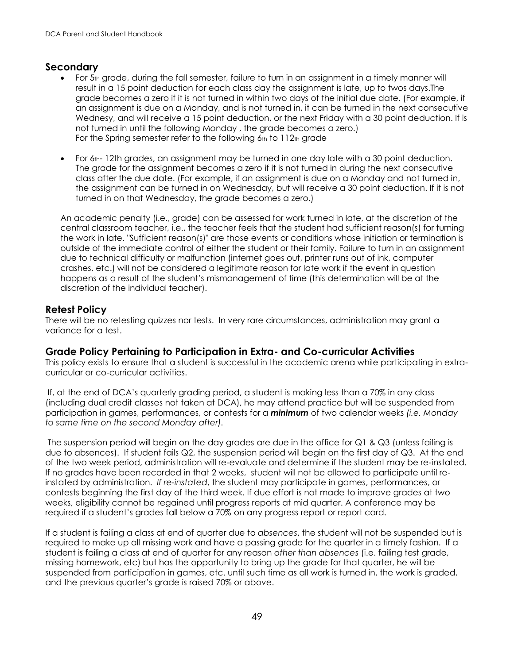## **Secondary**

- For 5th grade, during the fall semester, failure to turn in an assignment in a timely manner will result in a 15 point deduction for each class day the assignment is late, up to twos days.The grade becomes a zero if it is not turned in within two days of the initial due date. (For example, if an assignment is due on a Monday, and is not turned in, it can be turned in the next consecutive Wednesy, and will receive a 15 point deduction, or the next Friday with a 30 point deduction. If is not turned in until the following Monday , the grade becomes a zero.) For the Spring semester refer to the following 6th to 112th grade
- For  $6<sub>th-</sub>$  12th grades, an assignment may be turned in one day late with a 30 point deduction. The grade for the assignment becomes a zero if it is not turned in during the next consecutive class after the due date. (For example, if an assignment is due on a Monday and not turned in, the assignment can be turned in on Wednesday, but will receive a 30 point deduction. If it is not turned in on that Wednesday, the grade becomes a zero.)

An academic penalty (i.e., grade) can be assessed for work turned in late, at the discretion of the central classroom teacher, i.e., the teacher feels that the student had sufficient reason(s) for turning the work in late. "Sufficient reason(s)" are those events or conditions whose initiation or termination is outside of the immediate control of either the student or their family. Failure to turn in an assignment due to technical difficulty or malfunction (internet goes out, printer runs out of ink, computer crashes, etc.) will not be considered a legitimate reason for late work if the event in question happens as a result of the student's mismanagement of time (this determination will be at the discretion of the individual teacher).

## **Retest Policy**

There will be no retesting quizzes nor tests. In very rare circumstances, administration may grant a variance for a test.

## **Grade Policy Pertaining to Participation in Extra- and Co-curricular Activities**

This policy exists to ensure that a student is successful in the academic arena while participating in extracurricular or co-curricular activities.

If, at the end of DCA's quarterly grading period, a student is making less than a 70% in any class (including dual credit classes not taken at DCA), he may attend practice but will be suspended from participation in games, performances, or contests for a *minimum* of two calendar weeks *(i.e. Monday to same time on the second Monday after).* 

The suspension period will begin on the day grades are due in the office for Q1 & Q3 (unless failing is due to absences). If student fails Q2, the suspension period will begin on the first day of Q3. At the end of the two week period, administration will re-evaluate and determine if the student may be re-instated. If no grades have been recorded in that 2 weeks, student will not be allowed to participate until reinstated by administration. *If re-instated*, the student may participate in games, performances, or contests beginning the first day of the third week. If due effort is not made to improve grades at two weeks, eligibility cannot be regained until progress reports at mid quarter. A conference may be required if a student's grades fall below a 70% on any progress report or report card.

If a student is failing a class at end of quarter due to *absences*, the student will not be suspended but is required to make up all missing work and have a passing grade for the quarter in a timely fashion. If a student is failing a class at end of quarter for any reason *other than absences* (i.e. failing test grade, missing homework, etc) but has the opportunity to bring up the grade for that quarter, he will be suspended from participation in games, etc. until such time as all work is turned in, the work is graded, and the previous quarter's grade is raised 70% or above.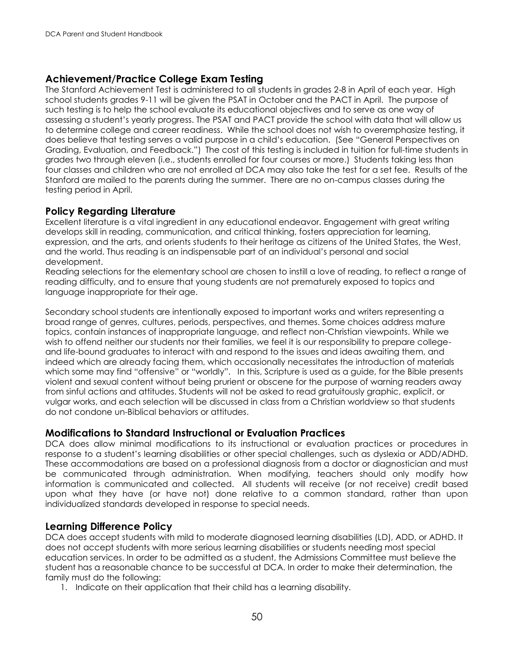## **Achievement/Practice College Exam Testing**

The Stanford Achievement Test is administered to all students in grades 2-8 in April of each year. High school students grades 9-11 will be given the PSAT in October and the PACT in April. The purpose of such testing is to help the school evaluate its educational objectives and to serve as one way of assessing a student's yearly progress. The PSAT and PACT provide the school with data that will allow us to determine college and career readiness. While the school does not wish to overemphasize testing, it does believe that testing serves a valid purpose in a child's education. (See "General Perspectives on Grading, Evaluation, and Feedback.") The cost of this testing is included in tuition for full-time students in grades two through eleven (i.e., students enrolled for four courses or more.) Students taking less than four classes and children who are not enrolled at DCA may also take the test for a set fee. Results of the Stanford are mailed to the parents during the summer. There are no on-campus classes during the testing period in April.

## **Policy Regarding Literature**

Excellent literature is a vital ingredient in any educational endeavor. Engagement with great writing develops skill in reading, communication, and critical thinking, fosters appreciation for learning, expression, and the arts, and orients students to their heritage as citizens of the United States, the West, and the world. Thus reading is an indispensable part of an individual's personal and social development.

Reading selections for the elementary school are chosen to instill a love of reading, to reflect a range of reading difficulty, and to ensure that young students are not prematurely exposed to topics and language inappropriate for their age.

Secondary school students are intentionally exposed to important works and writers representing a broad range of genres, cultures, periods, perspectives, and themes. Some choices address mature topics, contain instances of inappropriate language, and reflect non-Christian viewpoints. While we wish to offend neither our students nor their families, we feel it is our responsibility to prepare collegeand life-bound graduates to interact with and respond to the issues and ideas awaiting them, and indeed which are already facing them, which occasionally necessitates the introduction of materials which some may find "offensive" or "worldly". In this, Scripture is used as a guide, for the Bible presents violent and sexual content without being prurient or obscene for the purpose of warning readers away from sinful actions and attitudes. Students will not be asked to read gratuitously graphic, explicit, or vulgar works, and each selection will be discussed in class from a Christian worldview so that students do not condone un-Biblical behaviors or attitudes.

## **Modifications to Standard Instructional or Evaluation Practices**

DCA does allow minimal modifications to its instructional or evaluation practices or procedures in response to a student's learning disabilities or other special challenges, such as dyslexia or ADD/ADHD. These accommodations are based on a professional diagnosis from a doctor or diagnostician and must be communicated through administration. When modifying, teachers should only modify how information is communicated and collected. All students will receive (or not receive) credit based upon what they have (or have not) done relative to a common standard, rather than upon individualized standards developed in response to special needs.

## **Learning Difference Policy**

DCA does accept students with mild to moderate diagnosed learning disabilities (LD), ADD, or ADHD. It does not accept students with more serious learning disabilities or students needing most special education services. In order to be admitted as a student, the Admissions Committee must believe the student has a reasonable chance to be successful at DCA. In order to make their determination, the family must do the following:

1. Indicate on their application that their child has a learning disability.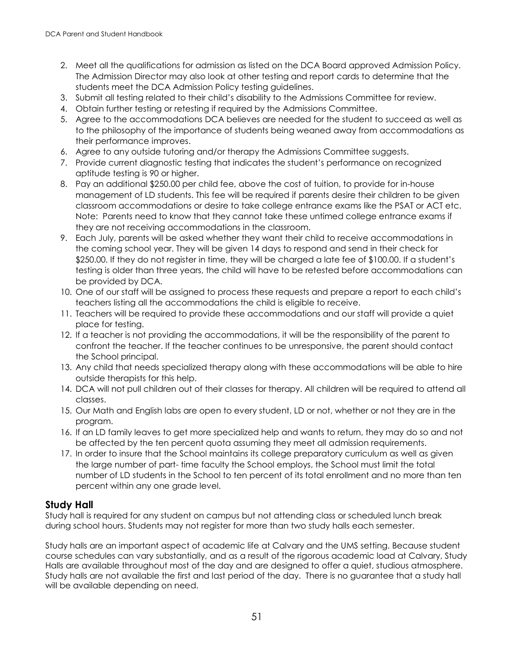- 2. Meet all the qualifications for admission as listed on the DCA Board approved Admission Policy. The Admission Director may also look at other testing and report cards to determine that the students meet the DCA Admission Policy testing guidelines.
- 3. Submit all testing related to their child's disability to the Admissions Committee for review.
- 4. Obtain further testing or retesting if required by the Admissions Committee.
- 5. Agree to the accommodations DCA believes are needed for the student to succeed as well as to the philosophy of the importance of students being weaned away from accommodations as their performance improves.
- 6. Agree to any outside tutoring and/or therapy the Admissions Committee suggests.
- 7. Provide current diagnostic testing that indicates the student's performance on recognized aptitude testing is 90 or higher.
- 8. Pay an additional \$250.00 per child fee, above the cost of tuition, to provide for in-house management of LD students. This fee will be required if parents desire their children to be given classroom accommodations or desire to take college entrance exams like the PSAT or ACT etc. Note: Parents need to know that they cannot take these untimed college entrance exams if they are not receiving accommodations in the classroom.
- 9. Each July, parents will be asked whether they want their child to receive accommodations in the coming school year. They will be given 14 days to respond and send in their check for \$250.00. If they do not register in time, they will be charged a late fee of \$100.00. If a student's testing is older than three years, the child will have to be retested before accommodations can be provided by DCA.
- 10. One of our staff will be assigned to process these requests and prepare a report to each child's teachers listing all the accommodations the child is eligible to receive.
- 11. Teachers will be required to provide these accommodations and our staff will provide a quiet place for testing.
- 12. If a teacher is not providing the accommodations, it will be the responsibility of the parent to confront the teacher. If the teacher continues to be unresponsive, the parent should contact the School principal.
- 13. Any child that needs specialized therapy along with these accommodations will be able to hire outside therapists for this help.
- 14. DCA will not pull children out of their classes for therapy. All children will be required to attend all classes.
- 15. Our Math and English labs are open to every student, LD or not, whether or not they are in the program.
- 16. If an LD family leaves to get more specialized help and wants to return, they may do so and not be affected by the ten percent quota assuming they meet all admission requirements.
- 17. In order to insure that the School maintains its college preparatory curriculum as well as given the large number of part- time faculty the School employs, the School must limit the total number of LD students in the School to ten percent of its total enrollment and no more than ten percent within any one grade level.

## **Study Hall**

Study hall is required for any student on campus but not attending class or scheduled lunch break during school hours. Students may not register for more than two study halls each semester.

Study halls are an important aspect of academic life at Calvary and the UMS setting. Because student course schedules can vary substantially, and as a result of the rigorous academic load at Calvary, Study Halls are available throughout most of the day and are designed to offer a quiet, studious atmosphere. Study halls are not available the first and last period of the day. There is no guarantee that a study hall will be available depending on need.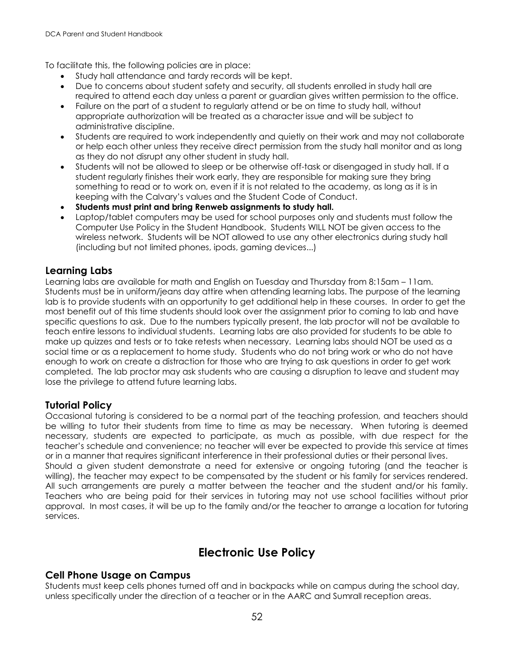To facilitate this, the following policies are in place:

- Study hall attendance and tardy records will be kept.
- Due to concerns about student safety and security, all students enrolled in study hall are required to attend each day unless a parent or guardian gives written permission to the office.
- Failure on the part of a student to regularly attend or be on time to study hall, without appropriate authorization will be treated as a character issue and will be subject to administrative discipline.
- Students are required to work independently and quietly on their work and may not collaborate or help each other unless they receive direct permission from the study hall monitor and as long as they do not disrupt any other student in study hall.
- Students will not be allowed to sleep or be otherwise off-task or disengaged in study hall. If a student regularly finishes their work early, they are responsible for making sure they bring something to read or to work on, even if it is not related to the academy, as long as it is in keeping with the Calvary's values and the Student Code of Conduct.
- **Students must print and bring Renweb assignments to study hall.**
- Laptop/tablet computers may be used for school purposes only and students must follow the Computer Use Policy in the Student Handbook. Students WILL NOT be given access to the wireless network. Students will be NOT allowed to use any other electronics during study hall (including but not limited phones, ipods, gaming devices...)

## **Learning Labs**

Learning labs are available for math and English on Tuesday and Thursday from 8:15am – 11am. Students must be in uniform/jeans day attire when attending learning labs. The purpose of the learning lab is to provide students with an opportunity to get additional help in these courses. In order to get the most benefit out of this time students should look over the assignment prior to coming to lab and have specific questions to ask. Due to the numbers typically present, the lab proctor will not be available to teach entire lessons to individual students. Learning labs are also provided for students to be able to make up quizzes and tests or to take retests when necessary. Learning labs should NOT be used as a social time or as a replacement to home study. Students who do not bring work or who do not have enough to work on create a distraction for those who are trying to ask questions in order to get work completed. The lab proctor may ask students who are causing a disruption to leave and student may lose the privilege to attend future learning labs.

## **Tutorial Policy**

Occasional tutoring is considered to be a normal part of the teaching profession, and teachers should be willing to tutor their students from time to time as may be necessary. When tutoring is deemed necessary, students are expected to participate, as much as possible, with due respect for the teacher's schedule and convenience; no teacher will ever be expected to provide this service at times or in a manner that requires significant interference in their professional duties or their personal lives. Should a given student demonstrate a need for extensive or ongoing tutoring (and the teacher is willing), the teacher may expect to be compensated by the student or his family for services rendered. All such arrangements are purely a matter between the teacher and the student and/or his family. Teachers who are being paid for their services in tutoring may not use school facilities without prior approval. In most cases, it will be up to the family and/or the teacher to arrange a location for tutoring services.

## **Electronic Use Policy**

## **Cell Phone Usage on Campus**

Students must keep cells phones turned off and in backpacks while on campus during the school day, unless specifically under the direction of a teacher or in the AARC and Sumrall reception areas.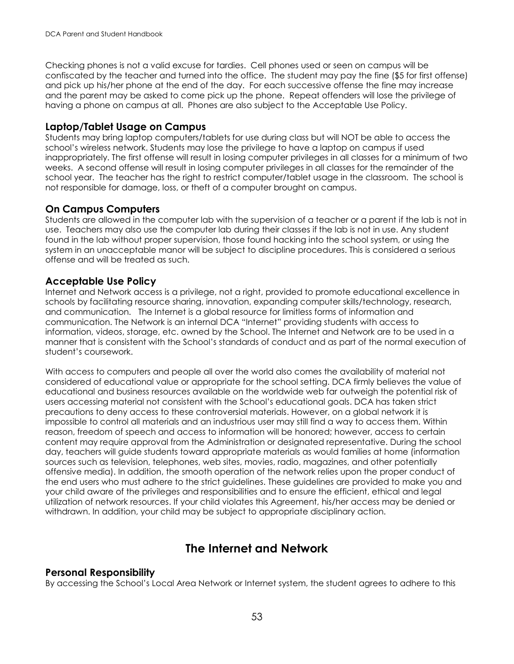Checking phones is not a valid excuse for tardies. Cell phones used or seen on campus will be confiscated by the teacher and turned into the office. The student may pay the fine (\$5 for first offense) and pick up his/her phone at the end of the day. For each successive offense the fine may increase and the parent may be asked to come pick up the phone. Repeat offenders will lose the privilege of having a phone on campus at all. Phones are also subject to the Acceptable Use Policy.

#### **Laptop/Tablet Usage on Campus**

Students may bring laptop computers/tablets for use during class but will NOT be able to access the school's wireless network. Students may lose the privilege to have a laptop on campus if used inappropriately. The first offense will result in losing computer privileges in all classes for a minimum of two weeks. A second offense will result in losing computer privileges in all classes for the remainder of the school year. The teacher has the right to restrict computer/tablet usage in the classroom. The school is not responsible for damage, loss, or theft of a computer brought on campus.

## **On Campus Computers**

Students are allowed in the computer lab with the supervision of a teacher or a parent if the lab is not in use. Teachers may also use the computer lab during their classes if the lab is not in use. Any student found in the lab without proper supervision, those found hacking into the school system, or using the system in an unacceptable manor will be subject to discipline procedures. This is considered a serious offense and will be treated as such.

## **Acceptable Use Policy**

Internet and Network access is a privilege, not a right, provided to promote educational excellence in schools by facilitating resource sharing, innovation, expanding computer skills/technology, research, and communication. The Internet is a global resource for limitless forms of information and communication. The Network is an internal DCA "Internet" providing students with access to information, videos, storage, etc. owned by the School. The Internet and Network are to be used in a manner that is consistent with the School's standards of conduct and as part of the normal execution of student's coursework.

With access to computers and people all over the world also comes the availability of material not considered of educational value or appropriate for the school setting. DCA firmly believes the value of educational and business resources available on the worldwide web far outweigh the potential risk of users accessing material not consistent with the School's educational goals. DCA has taken strict precautions to deny access to these controversial materials. However, on a global network it is impossible to control all materials and an industrious user may still find a way to access them. Within reason, freedom of speech and access to information will be honored; however, access to certain content may require approval from the Administration or designated representative. During the school day, teachers will guide students toward appropriate materials as would families at home (information sources such as television, telephones, web sites, movies, radio, magazines, and other potentially offensive media). In addition, the smooth operation of the network relies upon the proper conduct of the end users who must adhere to the strict guidelines. These guidelines are provided to make you and your child aware of the privileges and responsibilities and to ensure the efficient, ethical and legal utilization of network resources. If your child violates this Agreement, his/her access may be denied or withdrawn. In addition, your child may be subject to appropriate disciplinary action.

## **The Internet and Network**

## **Personal Responsibility**

By accessing the School's Local Area Network or Internet system, the student agrees to adhere to this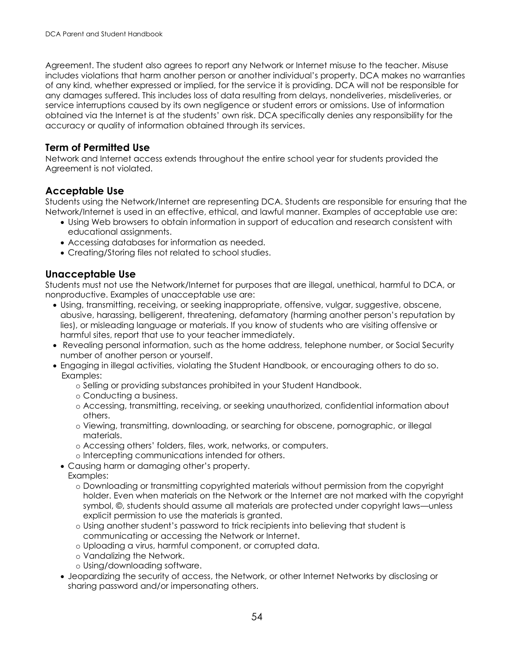Agreement. The student also agrees to report any Network or Internet misuse to the teacher. Misuse includes violations that harm another person or another individual's property. DCA makes no warranties of any kind, whether expressed or implied, for the service it is providing. DCA will not be responsible for any damages suffered. This includes loss of data resulting from delays, nondeliveries, misdeliveries, or service interruptions caused by its own negligence or student errors or omissions. Use of information obtained via the Internet is at the students' own risk. DCA specifically denies any responsibility for the accuracy or quality of information obtained through its services.

## **Term of Permitted Use**

Network and Internet access extends throughout the entire school year for students provided the Agreement is not violated.

## **Acceptable Use**

Students using the Network/Internet are representing DCA. Students are responsible for ensuring that the Network/Internet is used in an effective, ethical, and lawful manner. Examples of acceptable use are:

- Using Web browsers to obtain information in support of education and research consistent with educational assignments.
- Accessing databases for information as needed.
- Creating/Storing files not related to school studies.

## **Unacceptable Use**

Students must not use the Network/Internet for purposes that are illegal, unethical, harmful to DCA, or nonproductive. Examples of unacceptable use are:

- Using, transmitting, receiving, or seeking inappropriate, offensive, vulgar, suggestive, obscene, abusive, harassing, belligerent, threatening, defamatory (harming another person's reputation by lies), or misleading language or materials. If you know of students who are visiting offensive or harmful sites, report that use to your teacher immediately.
- Revealing personal information, such as the home address, telephone number, or Social Security number of another person or yourself.
- Engaging in illegal activities, violating the Student Handbook, or encouraging others to do so. Examples:
	- o Selling or providing substances prohibited in your Student Handbook.
	- o Conducting a business.
	- o Accessing, transmitting, receiving, or seeking unauthorized, confidential information about others.
	- o Viewing, transmitting, downloading, or searching for obscene, pornographic, or illegal materials.
	- o Accessing others' folders, files, work, networks, or computers.
	- o Intercepting communications intended for others.
	- Causing harm or damaging other's property.
	- Examples:
		- o Downloading or transmitting copyrighted materials without permission from the copyright holder. Even when materials on the Network or the Internet are not marked with the copyright symbol, ©, students should assume all materials are protected under copyright laws—unless explicit permission to use the materials is granted.
		- o Using another student's password to trick recipients into believing that student is communicating or accessing the Network or Internet.
		- o Uploading a virus, harmful component, or corrupted data.
		- o Vandalizing the Network.
		- o Using/downloading software.
	- Jeopardizing the security of access, the Network, or other Internet Networks by disclosing or sharing password and/or impersonating others.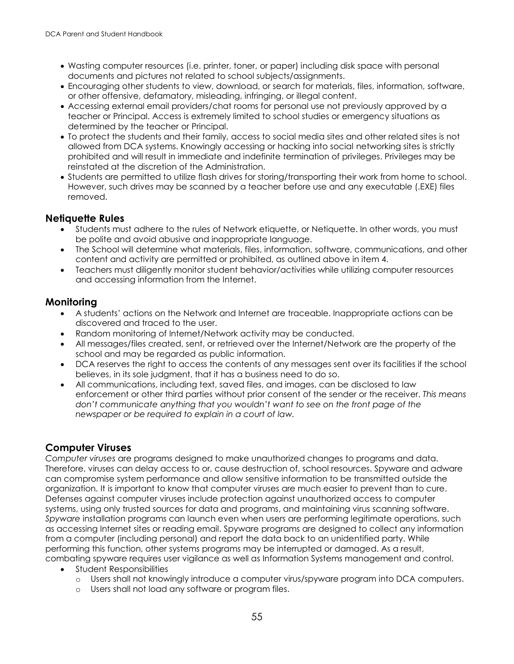- Wasting computer resources (i.e. printer, toner, or paper) including disk space with personal documents and pictures not related to school subjects/assignments.
- Encouraging other students to view, download, or search for materials, files, information, software, or other offensive, defamatory, misleading, infringing, or illegal content.
- Accessing external email providers/chat rooms for personal use not previously approved by a teacher or Principal. Access is extremely limited to school studies or emergency situations as determined by the teacher or Principal.
- To protect the students and their family, access to social media sites and other related sites is not allowed from DCA systems. Knowingly accessing or hacking into social networking sites is strictly prohibited and will result in immediate and indefinite termination of privileges. Privileges may be reinstated at the discretion of the Administration.
- Students are permitted to utilize flash drives for storing/transporting their work from home to school. However, such drives may be scanned by a teacher before use and any executable (.EXE) files removed.

## **Netiquette Rules**

- Students must adhere to the rules of Network etiquette, or Netiquette. In other words, you must be polite and avoid abusive and inappropriate language.
- The School will determine what materials, files, information, software, communications, and other content and activity are permitted or prohibited, as outlined above in item 4.
- Teachers must diligently monitor student behavior/activities while utilizing computer resources and accessing information from the Internet.

## **Monitoring**

- A students' actions on the Network and Internet are traceable. Inappropriate actions can be discovered and traced to the user.
- Random monitoring of Internet/Network activity may be conducted.
- All messages/files created, sent, or retrieved over the Internet/Network are the property of the school and may be regarded as public information.
- DCA reserves the right to access the contents of any messages sent over its facilities if the school believes, in its sole judgment, that it has a business need to do so.
- All communications, including text, saved files, and images, can be disclosed to law enforcement or other third parties without prior consent of the sender or the receiver. *This means don't communicate anything that you wouldn't want to see on the front page of the newspaper or be required to explain in a court of law.*

## **Computer Viruses**

*Computer viruses* are programs designed to make unauthorized changes to programs and data. Therefore, viruses can delay access to or, cause destruction of, school resources. Spyware and adware can compromise system performance and allow sensitive information to be transmitted outside the organization. It is important to know that computer viruses are much easier to prevent than to cure. Defenses against computer viruses include protection against unauthorized access to computer systems, using only trusted sources for data and programs, and maintaining virus scanning software. *Spyware* installation programs can launch even when users are performing legitimate operations, such as accessing Internet sites or reading email. Spyware programs are designed to collect any information from a computer (including personal) and report the data back to an unidentified party. While performing this function, other systems programs may be interrupted or damaged. As a result, combating spyware requires user vigilance as well as Information Systems management and control.

- Student Responsibilities
	- o Users shall not knowingly introduce a computer virus/spyware program into DCA computers.
	- o Users shall not load any software or program files.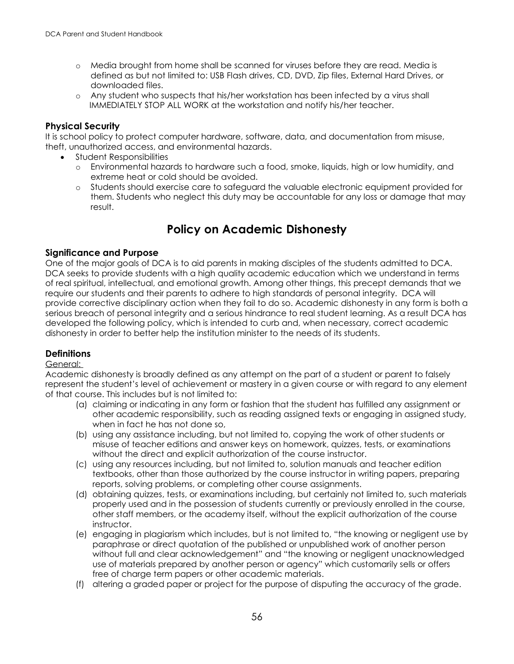- o Media brought from home shall be scanned for viruses before they are read. Media is defined as but not limited to: USB Flash drives, CD, DVD, Zip files, External Hard Drives, or downloaded files.
- o Any student who suspects that his/her workstation has been infected by a virus shall IMMEDIATELY STOP ALL WORK at the workstation and notify his/her teacher.

#### **Physical Security**

It is school policy to protect computer hardware, software, data, and documentation from misuse, theft, unauthorized access, and environmental hazards.

- Student Responsibilities
	- o Environmental hazards to hardware such a food, smoke, liquids, high or low humidity, and extreme heat or cold should be avoided.
	- o Students should exercise care to safeguard the valuable electronic equipment provided for them. Students who neglect this duty may be accountable for any loss or damage that may result.

## **Policy on Academic Dishonesty**

#### **Significance and Purpose**

One of the major goals of DCA is to aid parents in making disciples of the students admitted to DCA. DCA seeks to provide students with a high quality academic education which we understand in terms of real spiritual, intellectual, and emotional growth. Among other things, this precept demands that we require our students and their parents to adhere to high standards of personal integrity. DCA will provide corrective disciplinary action when they fail to do so. Academic dishonesty in any form is both a serious breach of personal integrity and a serious hindrance to real student learning. As a result DCA has developed the following policy, which is intended to curb and, when necessary, correct academic dishonesty in order to better help the institution minister to the needs of its students.

## **Definitions**

#### General:

Academic dishonesty is broadly defined as any attempt on the part of a student or parent to falsely represent the student's level of achievement or mastery in a given course or with regard to any element of that course. This includes but is not limited to:

- (a) claiming or indicating in any form or fashion that the student has fulfilled any assignment or other academic responsibility, such as reading assigned texts or engaging in assigned study, when in fact he has not done so,
- (b) using any assistance including, but not limited to, copying the work of other students or misuse of teacher editions and answer keys on homework, quizzes, tests, or examinations without the direct and explicit authorization of the course instructor.
- (c) using any resources including, but not limited to, solution manuals and teacher edition textbooks, other than those authorized by the course instructor in writing papers, preparing reports, solving problems, or completing other course assignments.
- (d) obtaining quizzes, tests, or examinations including, but certainly not limited to, such materials properly used and in the possession of students currently or previously enrolled in the course, other staff members, or the academy itself, without the explicit authorization of the course instructor.
- (e) engaging in plagiarism which includes, but is not limited to, "the knowing or negligent use by paraphrase or direct quotation of the published or unpublished work of another person without full and clear acknowledgement" and "the knowing or negligent unacknowledged use of materials prepared by another person or agency" which customarily sells or offers free of charge term papers or other academic materials.
- (f) altering a graded paper or project for the purpose of disputing the accuracy of the grade.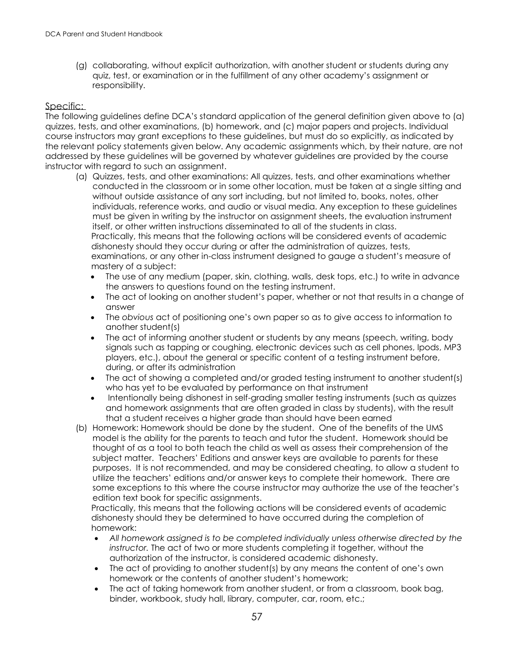(g) collaborating, without explicit authorization, with another student or students during any quiz, test, or examination or in the fulfillment of any other academy's assignment or responsibility.

#### Specific:

The following guidelines define DCA's standard application of the general definition given above to (a) quizzes, tests, and other examinations, (b) homework, and (c) major papers and projects. Individual course instructors may grant exceptions to these guidelines, but must do so explicitly, as indicated by the relevant policy statements given below. Any academic assignments which, by their nature, are not addressed by these guidelines will be governed by whatever guidelines are provided by the course instructor with regard to such an assignment.

- (a) Quizzes, tests, and other examinations: All quizzes, tests, and other examinations whether conducted in the classroom or in some other location, must be taken at a single sitting and without outside assistance of any sort including, but not limited to, books, notes, other individuals, reference works, and audio or visual media. Any exception to these guidelines must be given in writing by the instructor on assignment sheets, the evaluation instrument itself, or other written instructions disseminated to all of the students in class. Practically, this means that the following actions will be considered events of academic dishonesty should they occur during or after the administration of quizzes, tests, examinations, or any other in-class instrument designed to gauge a student's measure of mastery of a subject:
	- The use of any medium (paper, skin, clothing, walls, desk tops, etc.) to write in advance the answers to questions found on the testing instrument.
	- The act of looking on another student's paper, whether or not that results in a change of answer
	- The *obvious* act of positioning one's own paper so as to give access to information to another student(s)
	- The act of informing another student or students by any means (speech, writing, body signals such as tapping or coughing, electronic devices such as cell phones, Ipods, MP3 players, etc.), about the general or specific content of a testing instrument before, during, or after its administration
	- The act of showing a completed and/or graded testing instrument to another student(s) who has yet to be evaluated by performance on that instrument
	- Intentionally being dishonest in self-grading smaller testing instruments (such as quizzes and homework assignments that are often graded in class by students), with the result that a student receives a higher grade than should have been earned
- (b) Homework: Homework should be done by the student. One of the benefits of the UMS model is the ability for the parents to teach and tutor the student. Homework should be thought of as a tool to both teach the child as well as assess their comprehension of the subject matter. Teachers' Editions and answer keys are available to parents for these purposes. It is not recommended, and may be considered cheating, to allow a student to utilize the teachers' editions and/or answer keys to complete their homework. There are some exceptions to this where the course instructor may authorize the use of the teacher's edition text book for specific assignments.

Practically, this means that the following actions will be considered events of academic dishonesty should they be determined to have occurred during the completion of homework:

- *All homework assigned is to be completed individually unless otherwise directed by the instructor.* The act of two or more students completing it together, without the authorization of the instructor, is considered academic dishonesty.
- The act of providing to another student(s) by any means the content of one's own homework or the contents of another student's homework;
- The act of taking homework from another student, or from a classroom, book bag, binder, workbook, study hall, library, computer, car, room, etc.;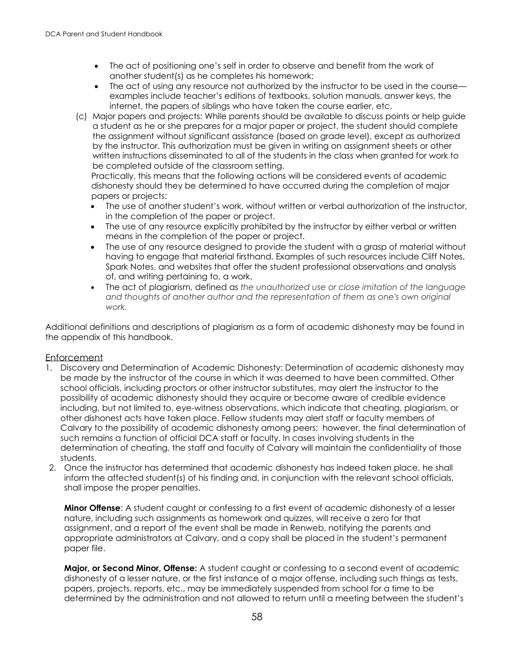- The act of positioning one's self in order to observe and benefit from the work of another student(s) as he completes his homework;
- The act of using any resource not authorized by the instructor to be used in the course examples include teacher's editions of textbooks, solution manuals, answer keys, the internet, the papers of siblings who have taken the course earlier, etc.
- (c) Major papers and projects: While parents should be available to discuss points or help guide a student as he or she prepares for a major paper or project, the student should complete the assignment without significant assistance (based on grade level), except as authorized by the instructor. This authorization must be given in writing on assignment sheets or other written instructions disseminated to all of the students in the class when granted for work to be completed outside of the classroom setting.

Practically, this means that the following actions will be considered events of academic dishonesty should they be determined to have occurred during the completion of major papers or projects:

- The use of another student's work, without written or verbal authorization of the instructor, in the completion of the paper or project.
- The use of any resource explicitly prohibited by the instructor by either verbal or written means in the completion of the paper or project.
- The use of any resource designed to provide the student with a grasp of material without having to engage that material firsthand. Examples of such resources include Cliff Notes, Spark Notes, and websites that offer the student professional observations and analysis of, and writing pertaining to, a work.
- The act of plagiarism, defined as *the unauthorized use or close imitation of the language and thoughts of another author and the representation of them as one's own original work.*

Additional definitions and descriptions of plagiarism as a form of academic dishonesty may be found in the appendix of this handbook.

#### Enforcement

- 1. Discovery and Determination of Academic Dishonesty: Determination of academic dishonesty may be made by the instructor of the course in which it was deemed to have been committed. Other school officials, including proctors or other instructor substitutes, may alert the instructor to the possibility of academic dishonesty should they acquire or become aware of credible evidence including, but not limited to, eye-witness observations, which indicate that cheating, plagiarism, or other dishonest acts have taken place. Fellow students may alert staff or faculty members of Calvary to the possibility of academic dishonesty among peers; however, the final determination of such remains a function of official DCA staff or faculty. In cases involving students in the determination of cheating, the staff and faculty of Calvary will maintain the confidentiality of those students.
- 2. Once the instructor has determined that academic dishonesty has indeed taken place, he shall inform the affected student(s) of his finding and, in conjunction with the relevant school officials, shall impose the proper penalties.

**Minor Offense**: A student caught or confessing to a first event of academic dishonesty of a lesser nature, including such assignments as homework and quizzes, will receive a zero for that assignment, and a report of the event shall be made in Renweb, notifying the parents and appropriate administrators at Calvary, and a copy shall be placed in the student's permanent paper file.

**Major, or Second Minor, Offense:** A student caught or confessing to a second event of academic dishonesty of a lesser nature, or the first instance of a major offense, including such things as tests, papers, projects, reports, etc., may be immediately suspended from school for a time to be determined by the administration and not allowed to return until a meeting between the student's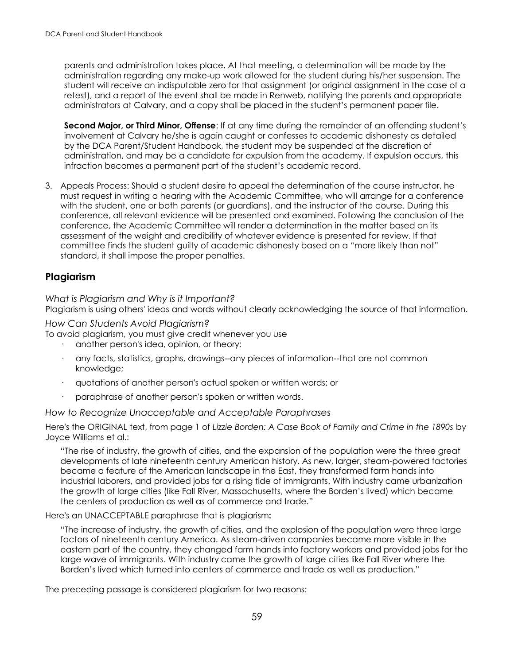parents and administration takes place. At that meeting, a determination will be made by the administration regarding any make-up work allowed for the student during his/her suspension. The student will receive an indisputable zero for that assignment (or original assignment in the case of a retest), and a report of the event shall be made in Renweb, notifying the parents and appropriate administrators at Calvary, and a copy shall be placed in the student's permanent paper file.

**Second Major, or Third Minor, Offense**: If at any time during the remainder of an offending student's involvement at Calvary he/she is again caught or confesses to academic dishonesty as detailed by the DCA Parent/Student Handbook, the student may be suspended at the discretion of administration, and may be a candidate for expulsion from the academy. If expulsion occurs, this infraction becomes a permanent part of the student's academic record.

3. Appeals Process: Should a student desire to appeal the determination of the course instructor, he must request in writing a hearing with the Academic Committee, who will arrange for a conference with the student, one or both parents (or guardians), and the instructor of the course. During this conference, all relevant evidence will be presented and examined. Following the conclusion of the conference, the Academic Committee will render a determination in the matter based on its assessment of the weight and credibility of whatever evidence is presented for review. If that committee finds the student guilty of academic dishonesty based on a "more likely than not" standard, it shall impose the proper penalties.

## **Plagiarism**

*What is Plagiarism and Why is it Important?*

Plagiarism is using others' ideas and words without clearly acknowledging the source of that information.

#### *How Can Students Avoid Plagiarism?*

To avoid plagiarism, you must give credit whenever you use

- another person's idea, opinion, or theory;
- · any facts, statistics, graphs, drawings--any pieces of information--that are not common knowledge;
- · quotations of another person's actual spoken or written words; or
- paraphrase of another person's spoken or written words.

*How to Recognize Unacceptable and Acceptable Paraphrases*

Here's the ORIGINAL text, from page 1 of *Lizzie Borden: A Case Book of Family and Crime in the 1890s* by Joyce Williams et al.:

"The rise of industry, the growth of cities, and the expansion of the population were the three great developments of late nineteenth century American history. As new, larger, steam-powered factories became a feature of the American landscape in the East, they transformed farm hands into industrial laborers, and provided jobs for a rising tide of immigrants. With industry came urbanization the growth of large cities (like Fall River, Massachusetts, where the Borden's lived) which became the centers of production as well as of commerce and trade."

#### Here's an UNACCEPTABLE paraphrase that is plagiarism**:**

"The increase of industry, the growth of cities, and the explosion of the population were three large factors of nineteenth century America. As steam-driven companies became more visible in the eastern part of the country, they changed farm hands into factory workers and provided jobs for the large wave of immigrants. With industry came the growth of large cities like Fall River where the Borden's lived which turned into centers of commerce and trade as well as production."

The preceding passage is considered plagiarism for two reasons: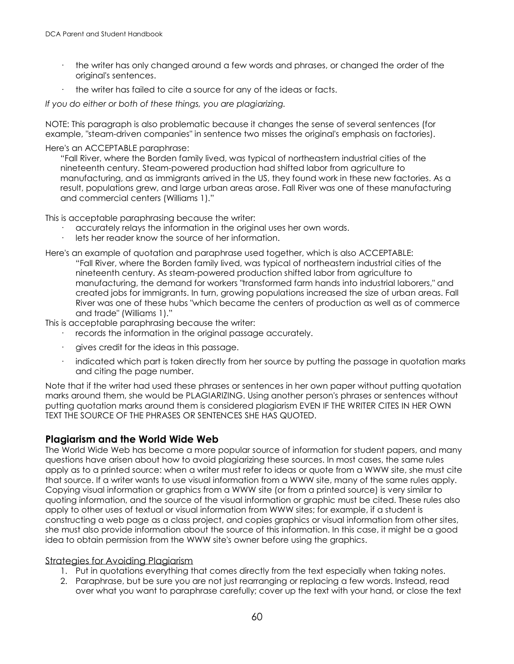- · the writer has only changed around a few words and phrases, or changed the order of the original's sentences.
- the writer has failed to cite a source for any of the ideas or facts.

*If you do either or both of these things, you are plagiarizing.*

NOTE: This paragraph is also problematic because it changes the sense of several sentences (for example, "steam-driven companies" in sentence two misses the original's emphasis on factories).

Here's an ACCEPTABLE paraphrase:

"Fall River, where the Borden family lived, was typical of northeastern industrial cities of the nineteenth century. Steam-powered production had shifted labor from agriculture to manufacturing, and as immigrants arrived in the US, they found work in these new factories. As a result, populations grew, and large urban areas arose. Fall River was one of these manufacturing and commercial centers (Williams 1)."

This is acceptable paraphrasing because the writer:

- · accurately relays the information in the original uses her own words.
- lets her reader know the source of her information.
- Here's an example of quotation and paraphrase used together, which is also ACCEPTABLE: "Fall River, where the Borden family lived, was typical of northeastern industrial cities of the nineteenth century. As steam-powered production shifted labor from agriculture to manufacturing, the demand for workers "transformed farm hands into industrial laborers," and created jobs for immigrants. In turn, growing populations increased the size of urban areas. Fall River was one of these hubs "which became the centers of production as well as of commerce and trade" (Williams 1)."

This is acceptable paraphrasing because the writer:

- records the information in the original passage accurately.
- · gives credit for the ideas in this passage.
- indicated which part is taken directly from her source by putting the passage in quotation marks and citing the page number.

Note that if the writer had used these phrases or sentences in her own paper without putting quotation marks around them, she would be PLAGIARIZING. Using another person's phrases or sentences without putting quotation marks around them is considered plagiarism EVEN IF THE WRITER CITES IN HER OWN TEXT THE SOURCE OF THE PHRASES OR SENTENCES SHE HAS QUOTED.

## **Plagiarism and the World Wide Web**

The World Wide Web has become a more popular source of information for student papers, and many questions have arisen about how to avoid plagiarizing these sources. In most cases, the same rules apply as to a printed source: when a writer must refer to ideas or quote from a WWW site, she must cite that source. If a writer wants to use visual information from a WWW site, many of the same rules apply. Copying visual information or graphics from a WWW site (or from a printed source) is very similar to quoting information, and the source of the visual information or graphic must be cited. These rules also apply to other uses of textual or visual information from WWW sites; for example, if a student is constructing a web page as a class project, and copies graphics or visual information from other sites, she must also provide information about the source of this information. In this case, it might be a good idea to obtain permission from the WWW site's owner before using the graphics.

#### Strategies for Avoiding Plagiarism

- 1. Put in quotations everything that comes directly from the text especially when taking notes.
- 2. Paraphrase, but be sure you are not just rearranging or replacing a few words. Instead, read over what you want to paraphrase carefully; cover up the text with your hand, or close the text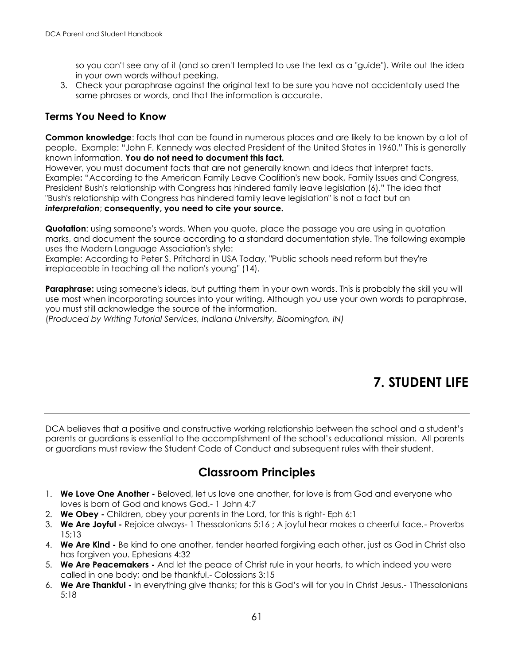so you can't see any of it (and so aren't tempted to use the text as a "guide"). Write out the idea in your own words without peeking.

3. Check your paraphrase against the original text to be sure you have not accidentally used the same phrases or words, and that the information is accurate.

## **Terms You Need to Know**

**Common knowledge**: facts that can be found in numerous places and are likely to be known by a lot of people. Example: "John F. Kennedy was elected President of the United States in 1960." This is generally known information. **You do not need to document this fact.**

However, you must document facts that are not generally known and ideas that interpret facts. Example**:** "According to the American Family Leave Coalition's new book, Family Issues and Congress, President Bush's relationship with Congress has hindered family leave legislation (6)." The idea that "Bush's relationship with Congress has hindered family leave legislation" is not a fact but an *interpretation*; **consequently, you need to cite your source.**

**Quotation**: using someone's words. When you quote, place the passage you are using in quotation marks, and document the source according to a standard documentation style. The following example uses the Modern Language Association's style:

Example: According to Peter S. Pritchard in USA Today, "Public schools need reform but they're irreplaceable in teaching all the nation's young" (14).

**Paraphrase:** using someone's ideas, but putting them in your own words. This is probably the skill you will use most when incorporating sources into your writing. Although you use your own words to paraphrase, you must still acknowledge the source of the information.

(*Produced by Writing Tutorial Services, Indiana University, Bloomington, IN)*

# **7. STUDENT LIFE**

DCA believes that a positive and constructive working relationship between the school and a student's parents or guardians is essential to the accomplishment of the school's educational mission. All parents or guardians must review the Student Code of Conduct and subsequent rules with their student.

## **Classroom Principles**

- 1. **We Love One Another -** Beloved, let us love one another, for love is from God and everyone who loves is born of God and knows God.- 1 John 4:7
- 2. **We Obey -** Children, obey your parents in the Lord, for this is right- Eph 6:1
- 3. **We Are Joyful -** Rejoice always- 1 Thessalonians 5:16 ; A joyful hear makes a cheerful face.- Proverbs 15;13
- 4. **We Are Kind -** Be kind to one another, tender hearted forgiving each other, just as God in Christ also has forgiven you. Ephesians 4:32
- 5. **We Are Peacemakers -** And let the peace of Christ rule in your hearts, to which indeed you were called in one body; and be thankful.- Colossians 3:15
- 6. **We Are Thankful -** In everything give thanks; for this is God's will for you in Christ Jesus.- 1Thessalonians 5:18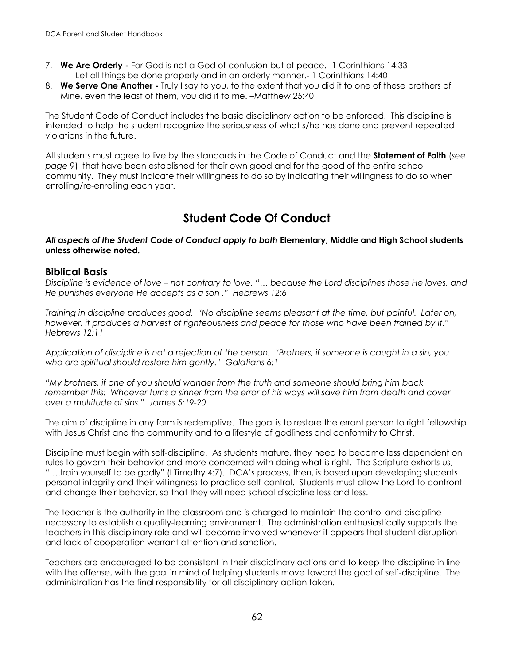- 7. **We Are Orderly -** For God is not a God of confusion but of peace. -1 Corinthians 14:33 Let all things be done properly and in an orderly manner.- 1 Corinthians 14:40
- 8. **We Serve One Another -** Truly I say to you, to the extent that you did it to one of these brothers of Mine, even the least of them, you did it to me. –Matthew 25:40

The Student Code of Conduct includes the basic disciplinary action to be enforced. This discipline is intended to help the student recognize the seriousness of what s/he has done and prevent repeated violations in the future.

All students must agree to live by the standards in the Code of Conduct and the **Statement of Faith** (*see page 9*) that have been established for their own good and for the good of the entire school community. They must indicate their willingness to do so by indicating their willingness to do so when enrolling/re-enrolling each year.

## **Student Code Of Conduct**

#### *All aspects of the Student Code of Conduct apply to both* **Elementary, Middle and High School students unless otherwise noted.**

#### **Biblical Basis**

*Discipline is evidence of love – not contrary to love. "… because the Lord disciplines those He loves, and He punishes everyone He accepts as a son ." Hebrews 12:6*

*Training in discipline produces good. "No discipline seems pleasant at the time, but painful. Later on, however, it produces a harvest of righteousness and peace for those who have been trained by it." Hebrews 12:11* 

*Application of discipline is not a rejection of the person. "Brothers, if someone is caught in a sin, you who are spiritual should restore him gently." Galatians 6:1*

*"My brothers, if one of you should wander from the truth and someone should bring him back, remember this: Whoever turns a sinner from the error of his ways will save him from death and cover over a multitude of sins." James 5:19-20*

The aim of discipline in any form is redemptive. The goal is to restore the errant person to right fellowship with Jesus Christ and the community and to a lifestyle of godliness and conformity to Christ.

Discipline must begin with self-discipline. As students mature, they need to become less dependent on rules to govern their behavior and more concerned with doing what is right. The Scripture exhorts us, "….train yourself to be godly" (I Timothy 4:7). DCA's process, then, is based upon developing students' personal integrity and their willingness to practice self-control. Students must allow the Lord to confront and change their behavior, so that they will need school discipline less and less.

The teacher is the authority in the classroom and is charged to maintain the control and discipline necessary to establish a quality-learning environment. The administration enthusiastically supports the teachers in this disciplinary role and will become involved whenever it appears that student disruption and lack of cooperation warrant attention and sanction.

Teachers are encouraged to be consistent in their disciplinary actions and to keep the discipline in line with the offense, with the goal in mind of helping students move toward the goal of self-discipline. The administration has the final responsibility for all disciplinary action taken.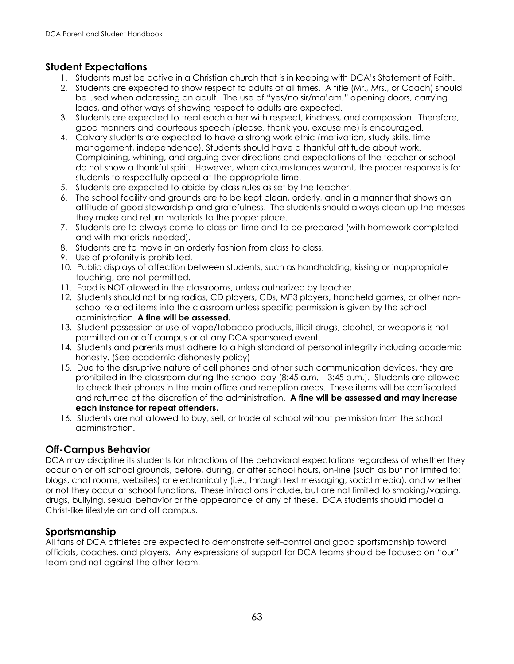## **Student Expectations**

- 1. Students must be active in a Christian church that is in keeping with DCA's Statement of Faith.
- 2. Students are expected to show respect to adults at all times. A title (Mr., Mrs., or Coach) should be used when addressing an adult. The use of "yes/no sir/ma'am," opening doors, carrying loads, and other ways of showing respect to adults are expected.
- 3. Students are expected to treat each other with respect, kindness, and compassion. Therefore, good manners and courteous speech (please, thank you, excuse me) is encouraged.
- 4. Calvary students are expected to have a strong work ethic (motivation, study skills, time management, independence). Students should have a thankful attitude about work. Complaining, whining, and arguing over directions and expectations of the teacher or school do not show a thankful spirit. However, when circumstances warrant, the proper response is for students to respectfully appeal at the appropriate time.
- 5. Students are expected to abide by class rules as set by the teacher.
- 6. The school facility and grounds are to be kept clean, orderly, and in a manner that shows an attitude of good stewardship and gratefulness. The students should always clean up the messes they make and return materials to the proper place.
- 7. Students are to always come to class on time and to be prepared (with homework completed and with materials needed).
- 8. Students are to move in an orderly fashion from class to class.
- 9. Use of profanity is prohibited.
- 10. Public displays of affection between students, such as handholding, kissing or inappropriate touching, are not permitted.
- 11. Food is NOT allowed in the classrooms, unless authorized by teacher.
- 12. Students should not bring radios, CD players, CDs, MP3 players, handheld games, or other nonschool related items into the classroom unless specific permission is given by the school administration. **A fine will be assessed.**
- 13. Student possession or use of vape/tobacco products, illicit drugs, alcohol, or weapons is not permitted on or off campus or at any DCA sponsored event.
- 14. Students and parents must adhere to a high standard of personal integrity including academic honesty. (See academic dishonesty policy)
- 15. Due to the disruptive nature of cell phones and other such communication devices, they are prohibited in the classroom during the school day (8:45 a.m. – 3:45 p.m.). Students are allowed to check their phones in the main office and reception areas. These items will be confiscated and returned at the discretion of the administration. **A fine will be assessed and may increase each instance for repeat offenders.**
- 16. Students are not allowed to buy, sell, or trade at school without permission from the school administration.

## **Off-Campus Behavior**

DCA may discipline its students for infractions of the behavioral expectations regardless of whether they occur on or off school grounds, before, during, or after school hours, on-line (such as but not limited to: blogs, chat rooms, websites) or electronically (i.e., through text messaging, social media), and whether or not they occur at school functions. These infractions include, but are not limited to smoking/vaping, drugs, bullying, sexual behavior or the appearance of any of these. DCA students should model a Christ-like lifestyle on and off campus.

## **Sportsmanship**

All fans of DCA athletes are expected to demonstrate self-control and good sportsmanship toward officials, coaches, and players. Any expressions of support for DCA teams should be focused on "our" team and not against the other team.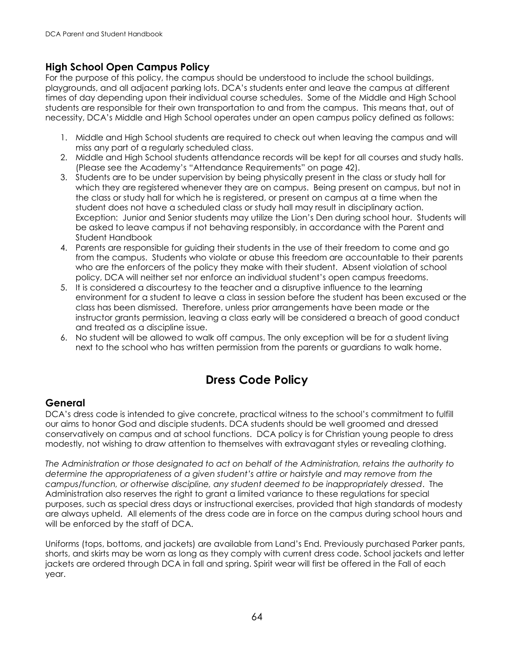## **High School Open Campus Policy**

For the purpose of this policy, the campus should be understood to include the school buildings, playgrounds, and all adjacent parking lots. DCA's students enter and leave the campus at different times of day depending upon their individual course schedules. Some of the Middle and High School students are responsible for their own transportation to and from the campus. This means that, out of necessity, DCA's Middle and High School operates under an open campus policy defined as follows:

- 1. Middle and High School students are required to check out when leaving the campus and will miss any part of a regularly scheduled class.
- 2. Middle and High School students attendance records will be kept for all courses and study halls. (Please see the Academy's "Attendance Requirements" on page 42).
- 3. Students are to be under supervision by being physically present in the class or study hall for which they are registered whenever they are on campus. Being present on campus, but not in the class or study hall for which he is registered, or present on campus at a time when the student does not have a scheduled class or study hall may result in disciplinary action. Exception: Junior and Senior students may utilize the Lion's Den during school hour. Students will be asked to leave campus if not behaving responsibly, in accordance with the Parent and Student Handbook
- 4. Parents are responsible for guiding their students in the use of their freedom to come and go from the campus. Students who violate or abuse this freedom are accountable to their parents who are the enforcers of the policy they make with their student. Absent violation of school policy, DCA will neither set nor enforce an individual student's open campus freedoms.
- 5. It is considered a discourtesy to the teacher and a disruptive influence to the learning environment for a student to leave a class in session before the student has been excused or the class has been dismissed. Therefore, unless prior arrangements have been made or the instructor grants permission, leaving a class early will be considered a breach of good conduct and treated as a discipline issue.
- 6. No student will be allowed to walk off campus. The only exception will be for a student living next to the school who has written permission from the parents or guardians to walk home.

## **Dress Code Policy**

## **General**

DCA's dress code is intended to give concrete, practical witness to the school's commitment to fulfill our aims to honor God and disciple students. DCA students should be well groomed and dressed conservatively on campus and at school functions. DCA policy is for Christian young people to dress modestly, not wishing to draw attention to themselves with extravagant styles or revealing clothing.

*The Administration or those designated to act on behalf of the Administration, retains the authority to determine the appropriateness of a given student's attire or hairstyle and may remove from the campus/function, or otherwise discipline, any student deemed to be inappropriately dressed*. The Administration also reserves the right to grant a limited variance to these regulations for special purposes, such as special dress days or instructional exercises, provided that high standards of modesty are always upheld. All elements of the dress code are in force on the campus during school hours and will be enforced by the staff of DCA.

Uniforms (tops, bottoms, and jackets) are available from Land's End. Previously purchased Parker pants, shorts, and skirts may be worn as long as they comply with current dress code. School jackets and letter jackets are ordered through DCA in fall and spring. Spirit wear will first be offered in the Fall of each year.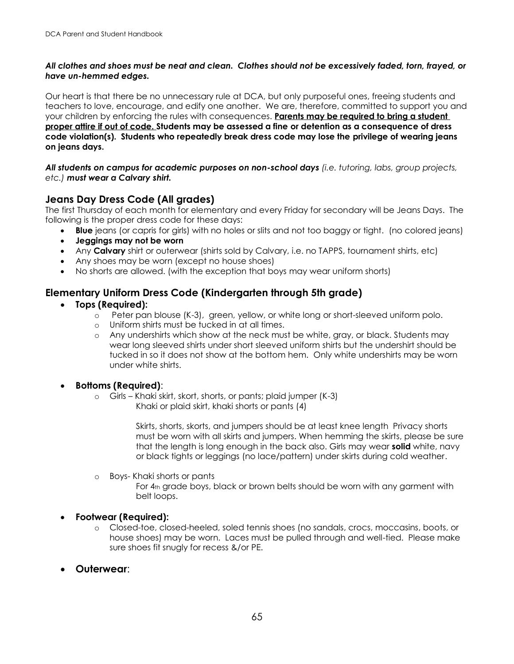#### *All clothes and shoes must be neat and clean. Clothes should not be excessively faded, torn, frayed, or have un-hemmed edges.*

Our heart is that there be no unnecessary rule at DCA, but only purposeful ones, freeing students and teachers to love, encourage, and edify one another. We are, therefore, committed to support you and your children by enforcing the rules with consequences. **Parents may be required to bring a student proper attire if out of code. Students may be assessed a fine or detention as a consequence of dress code violation(s). Students who repeatedly break dress code may lose the privilege of wearing jeans on jeans days.**

*All students on campus for academic purposes on non-school days (i.e. tutoring, labs, group projects, etc.) must wear a Calvary shirt.* 

## **Jeans Day Dress Code (All grades)**

The first Thursday of each month for elementary and every Friday for secondary will be Jeans Days. The following is the proper dress code for these days:

- **Blue** jeans (or capris for girls) with no holes or slits and not too baggy or tight. (no colored jeans)
- **Jeggings may not be worn**
- Any **Calvary** shirt or outerwear (shirts sold by Calvary, i.e. no TAPPS, tournament shirts, etc)
- Any shoes may be worn (except no house shoes)
- No shorts are allowed. (with the exception that boys may wear uniform shorts)

## **Elementary Uniform Dress Code (Kindergarten through 5th grade)**

- **Tops (Required):**
	- o Peter pan blouse (K-3), green, yellow, or white long or short-sleeved uniform polo.
	- Uniform shirts must be tucked in at all times.
	- o Any undershirts which show at the neck must be white, gray, or black. Students may wear long sleeved shirts under short sleeved uniform shirts but the undershirt should be tucked in so it does not show at the bottom hem. Only white undershirts may be worn under white shirts.

#### • **Bottoms (Required)**:

o Girls – Khaki skirt, skort, shorts, or pants; plaid jumper (K-3) Khaki or plaid skirt, khaki shorts or pants (4)

> Skirts, shorts, skorts, and jumpers should be at least knee length Privacy shorts must be worn with all skirts and jumpers. When hemming the skirts, please be sure that the length is long enough in the back also. Girls may wear **solid** white, navy or black tights or leggings (no lace/pattern) under skirts during cold weather.

o Boys- Khaki shorts or pants

For 4th grade boys, black or brown belts should be worn with any garment with belt loops.

## • **Footwear (Required):**

- o Closed-toe, closed-heeled, soled tennis shoes (no sandals, crocs, moccasins, boots, or house shoes) may be worn. Laces must be pulled through and well-tied. Please make sure shoes fit snugly for recess &/or PE.
- **Outerwear**: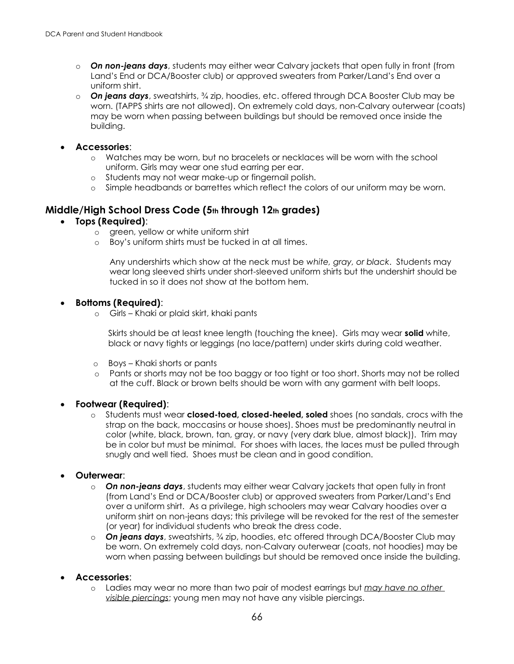- o *On non-jeans days*, students may either wear Calvary jackets that open fully in front (from Land's End or DCA/Booster club) or approved sweaters from Parker/Land's End over a uniform shirt.
- o *On jeans days*, sweatshirts, ¾ zip, hoodies, etc. offered through DCA Booster Club may be worn. (TAPPS shirts are not allowed). On extremely cold days, non-Calvary outerwear (coats) may be worn when passing between buildings but should be removed once inside the building.
- **Accessories**:
	- o Watches may be worn, but no bracelets or necklaces will be worn with the school uniform. Girls may wear one stud earring per ear.
	- o Students may not wear make-up or fingernail polish.
	- o Simple headbands or barrettes which reflect the colors of our uniform may be worn.

## **Middle/High School Dress Code (5th through 12th grades)**

- **Tops (Required)**:
	- o green, yellow or white uniform shirt
	- o Boy's uniform shirts must be tucked in at all times.

Any undershirts which show at the neck must be *white, gray, or black*. Students may wear long sleeved shirts under short-sleeved uniform shirts but the undershirt should be tucked in so it does not show at the bottom hem.

#### • **Bottoms (Required)**:

o Girls – Khaki or plaid skirt, khaki pants

Skirts should be at least knee length (touching the knee). Girls may wear **solid** white, black or navy tights or leggings (no lace/pattern) under skirts during cold weather.

- o Boys Khaki shorts or pants
- o Pants or shorts may not be too baggy or too tight or too short. Shorts may not be rolled at the cuff. Black or brown belts should be worn with any garment with belt loops.

#### • **Footwear (Required)**:

o Students must wear **closed-toed, closed-heeled, soled** shoes (no sandals, crocs with the strap on the back, moccasins or house shoes). Shoes must be predominantly neutral in color (white, black, brown, tan, gray, or navy (very dark blue, almost black)). Trim may be in color but must be minimal. For shoes with laces, the laces must be pulled through snugly and well tied. Shoes must be clean and in good condition.

#### • **Outerwear**:

- o *On non-jeans days*, students may either wear Calvary jackets that open fully in front (from Land's End or DCA/Booster club) or approved sweaters from Parker/Land's End over a uniform shirt. As a privilege, high schoolers may wear Calvary hoodies over a uniform shirt on non-jeans days; this privilege will be revoked for the rest of the semester (or year) for individual students who break the dress code.
- o *On jeans days*, sweatshirts, ¾ zip, hoodies, etc offered through DCA/Booster Club may be worn. On extremely cold days, non-Calvary outerwear (coats, not hoodies) may be worn when passing between buildings but should be removed once inside the building.

#### • **Accessories**:

o Ladies may wear no more than two pair of modest earrings but *may have no other visible piercings*; young men may not have any visible piercings.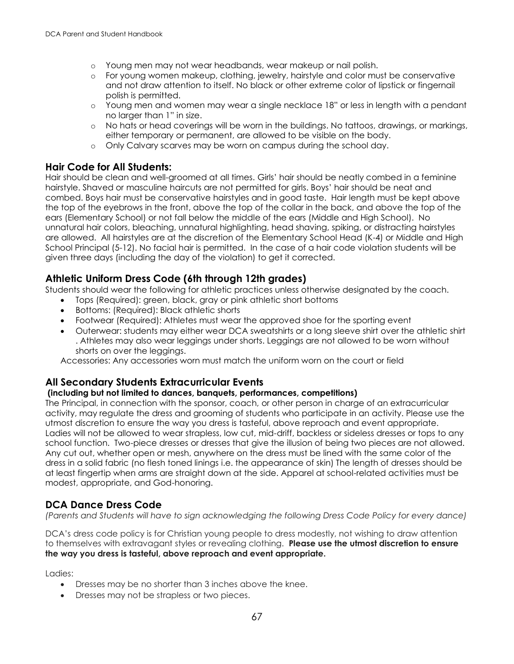- o Young men may not wear headbands, wear makeup or nail polish.
- o For young women makeup, clothing, jewelry, hairstyle and color must be conservative and not draw attention to itself. No black or other extreme color of lipstick or fingernail polish is permitted.
- o Young men and women may wear a single necklace 18" or less in length with a pendant no larger than 1" in size.
- o No hats or head coverings will be worn in the buildings. No tattoos, drawings, or markings, either temporary or permanent, are allowed to be visible on the body.
- o Only Calvary scarves may be worn on campus during the school day.

## **Hair Code for All Students:**

Hair should be clean and well-groomed at all times. Girls' hair should be neatly combed in a feminine hairstyle. Shaved or masculine haircuts are not permitted for girls. Boys' hair should be neat and combed. Boys hair must be conservative hairstyles and in good taste. Hair length must be kept above the top of the eyebrows in the front, above the top of the collar in the back, and above the top of the ears (Elementary School) or not fall below the middle of the ears (Middle and High School). No unnatural hair colors, bleaching, unnatural highlighting, head shaving, spiking, or distracting hairstyles are allowed. All hairstyles are at the discretion of the Elementary School Head (K-4) or Middle and High School Principal (5-12). No facial hair is permitted. In the case of a hair code violation students will be given three days (including the day of the violation) to get it corrected.

## **Athletic Uniform Dress Code (6th through 12th grades)**

Students should wear the following for athletic practices unless otherwise designated by the coach.

- Tops (Required): green, black, gray or pink athletic short bottoms
- Bottoms: (Required): Black athletic shorts
- Footwear (Required): Athletes must wear the approved shoe for the sporting event
- Outerwear: students may either wear DCA sweatshirts or a long sleeve shirt over the athletic shirt . Athletes may also wear leggings under shorts. Leggings are not allowed to be worn without shorts on over the leggings.

Accessories: Any accessories worn must match the uniform worn on the court or field

## **All Secondary Students Extracurricular Events**

#### **(including but not limited to dances, banquets, performances, competitions)**

The Principal, in connection with the sponsor, coach, or other person in charge of an extracurricular activity, may regulate the dress and grooming of students who participate in an activity. Please use the utmost discretion to ensure the way you dress is tasteful, above reproach and event appropriate. Ladies will not be allowed to wear strapless, low cut, mid-driff, backless or sideless dresses or tops to any school function. Two-piece dresses or dresses that give the illusion of being two pieces are not allowed. Any cut out, whether open or mesh, anywhere on the dress must be lined with the same color of the dress in a solid fabric (no flesh toned linings i.e. the appearance of skin) The length of dresses should be at least fingertip when arms are straight down at the side. Apparel at school-related activities must be modest, appropriate, and God-honoring.

## **DCA Dance Dress Code**

*(Parents and Students will have to sign acknowledging the following Dress Code Policy for every dance)*

DCA's dress code policy is for Christian young people to dress modestly, not wishing to draw attention to themselves with extravagant styles or revealing clothing. **Please use the utmost discretion to ensure the way you dress is tasteful, above reproach and event appropriate.**

Ladies:

- Dresses may be no shorter than 3 inches above the knee.
- Dresses may not be strapless or two pieces.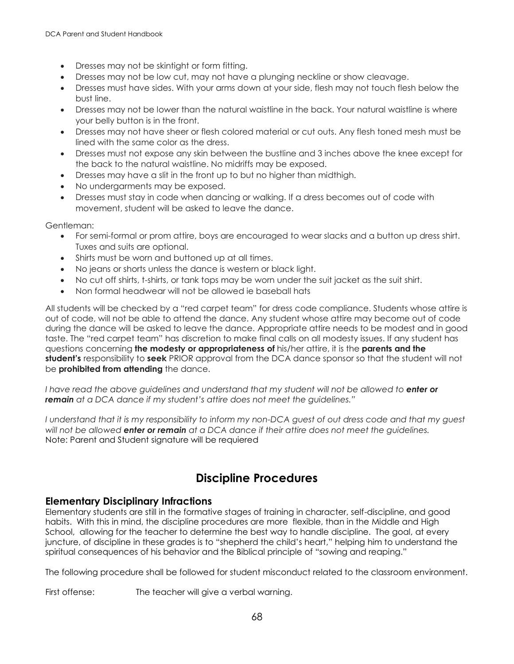- Dresses may not be skintight or form fitting.
- Dresses may not be low cut, may not have a plunging neckline or show cleavage.
- Dresses must have sides. With your arms down at your side, flesh may not touch flesh below the bust line.
- Dresses may not be lower than the natural waistline in the back. Your natural waistline is where your belly button is in the front.
- Dresses may not have sheer or flesh colored material or cut outs. Any flesh toned mesh must be lined with the same color as the dress.
- Dresses must not expose any skin between the bustline and 3 inches above the knee except for the back to the natural waistline. No midriffs may be exposed.
- Dresses may have a slit in the front up to but no higher than midthigh.
- No undergarments may be exposed.
- Dresses must stay in code when dancing or walking. If a dress becomes out of code with movement, student will be asked to leave the dance.

Gentleman:

- For semi-formal or prom attire, boys are encouraged to wear slacks and a button up dress shirt. Tuxes and suits are optional.
- Shirts must be worn and buttoned up at all times.
- No jeans or shorts unless the dance is western or black light.
- No cut off shirts, t-shirts, or tank tops may be worn under the suit jacket as the suit shirt.
- Non formal headwear will not be allowed ie baseball hats

All students will be checked by a "red carpet team" for dress code compliance. Students whose attire is out of code, will not be able to attend the dance. Any student whose attire may become out of code during the dance will be asked to leave the dance. Appropriate attire needs to be modest and in good taste. The "red carpet team" has discretion to make final calls on all modesty issues. If any student has questions concerning **the modesty or appropriateness of** his/her attire, it is the **parents and the student's** responsibility to **seek** PRIOR approval from the DCA dance sponsor so that the student will not be **prohibited from attending** the dance.

*I have read the above guidelines and understand that my student will not be allowed to enter or remain at a DCA dance if my student's attire does not meet the guidelines."*

*I* understand that it is my responsibility to inform my non-DCA guest of out dress code and that my guest *will not be allowed enter or remain at a DCA dance if their attire does not meet the guidelines.*  Note: Parent and Student signature will be requiered

## **Discipline Procedures**

## **Elementary Disciplinary Infractions**

Elementary students are still in the formative stages of training in character, self-discipline, and good habits. With this in mind, the discipline procedures are more flexible, than in the Middle and High School, allowing for the teacher to determine the best way to handle discipline. The goal, at every juncture, of discipline in these grades is to "shepherd the child's heart," helping him to understand the spiritual consequences of his behavior and the Biblical principle of "sowing and reaping."

The following procedure shall be followed for student misconduct related to the classroom environment.

First offense: The teacher will give a verbal warning.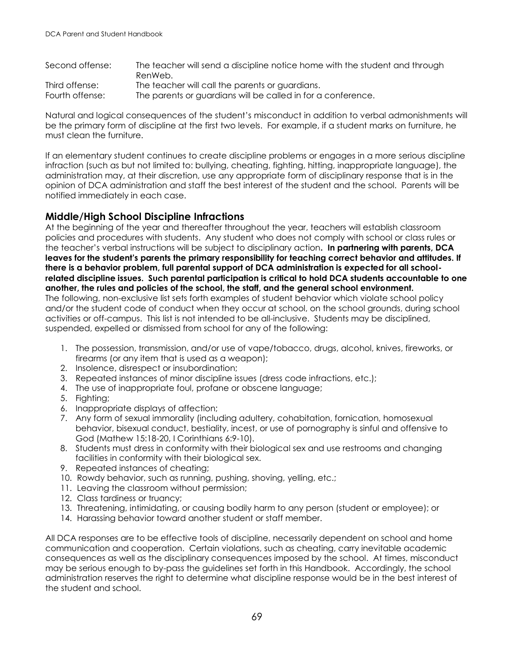| Second offense: | The teacher will send a discipline notice home with the student and through<br>RenWeb. |
|-----------------|----------------------------------------------------------------------------------------|
| Third offense:  | The teacher will call the parents or guardians.                                        |
| Fourth offense: | The parents or guardians will be called in for a conference.                           |

Natural and logical consequences of the student's misconduct in addition to verbal admonishments will be the primary form of discipline at the first two levels. For example, if a student marks on furniture, he must clean the furniture.

If an elementary student continues to create discipline problems or engages in a more serious discipline infraction (such as but not limited to: bullying, cheating, fighting, hitting, inappropriate language), the administration may, at their discretion, use any appropriate form of disciplinary response that is in the opinion of DCA administration and staff the best interest of the student and the school. Parents will be notified immediately in each case.

## **Middle/High School Discipline Infractions**

At the beginning of the year and thereafter throughout the year, teachers will establish classroom policies and procedures with students. Any student who does not comply with school or class rules or the teacher's verbal instructions will be subject to disciplinary action**. In partnering with parents, DCA leaves for the student's parents the primary responsibility for teaching correct behavior and attitudes. If there is a behavior problem, full parental support of DCA administration is expected for all schoolrelated discipline issues. Such parental participation is critical to hold DCA students accountable to one another, the rules and policies of the school, the staff, and the general school environment.** The following, non-exclusive list sets forth examples of student behavior which violate school policy and/or the student code of conduct when they occur at school, on the school grounds, during school activities or off-campus. This list is not intended to be all-inclusive. Students may be disciplined, suspended, expelled or dismissed from school for any of the following:

- 1. The possession, transmission, and/or use of vape/tobacco, drugs, alcohol, knives, fireworks, or firearms (or any item that is used as a weapon);
- 2. Insolence, disrespect or insubordination;
- 3. Repeated instances of minor discipline issues (dress code infractions, etc.);
- 4. The use of inappropriate foul, profane or obscene language;
- 5. Fighting;
- 6. Inappropriate displays of affection;
- 7. Any form of sexual immorality (including adultery, cohabitation, fornication, homosexual behavior, bisexual conduct, bestiality, incest, or use of pornography is sinful and offensive to God (Mathew 15:18-20, I Corinthians 6:9-10).
- 8. Students must dress in conformity with their biological sex and use restrooms and changing facilities in conformity with their biological sex.
- 9. Repeated instances of cheating;
- 10. Rowdy behavior, such as running, pushing, shoving, yelling, etc.;
- 11. Leaving the classroom without permission;
- 12. Class tardiness or truancy;
- 13. Threatening, intimidating, or causing bodily harm to any person (student or employee); or
- 14. Harassing behavior toward another student or staff member.

All DCA responses are to be effective tools of discipline, necessarily dependent on school and home communication and cooperation. Certain violations, such as cheating, carry inevitable academic consequences as well as the disciplinary consequences imposed by the school. At times, misconduct may be serious enough to by-pass the guidelines set forth in this Handbook. Accordingly, the school administration reserves the right to determine what discipline response would be in the best interest of the student and school.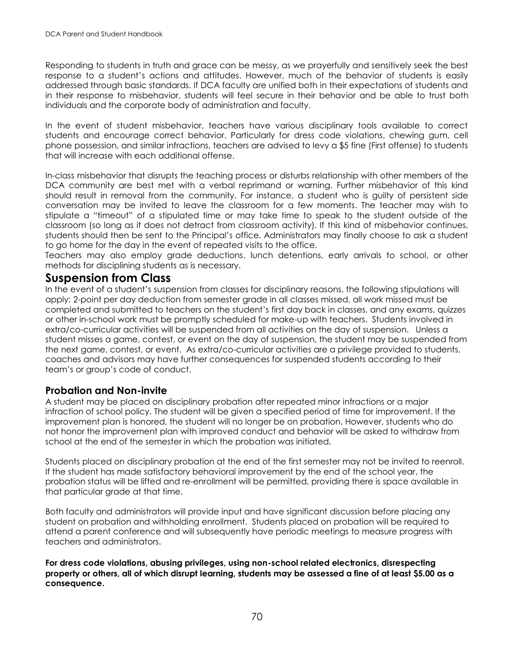Responding to students in truth and grace can be messy, as we prayerfully and sensitively seek the best response to a student's actions and attitudes. However, much of the behavior of students is easily addressed through basic standards. If DCA faculty are unified both in their expectations of students and in their response to misbehavior, students will feel secure in their behavior and be able to trust both individuals and the corporate body of administration and faculty.

In the event of student misbehavior, teachers have various disciplinary tools available to correct students and encourage correct behavior. Particularly for dress code violations, chewing gum, cell phone possession, and similar infractions, teachers are advised to levy a \$5 fine (First offense) to students that will increase with each additional offense.

In-class misbehavior that disrupts the teaching process or disturbs relationship with other members of the DCA community are best met with a verbal reprimand or warning. Further misbehavior of this kind should result in removal from the community. For instance, a student who is guilty of persistent side conversation may be invited to leave the classroom for a few moments. The teacher may wish to stipulate a "timeout" of a stipulated time or may take time to speak to the student outside of the classroom (so long as it does not detract from classroom activity). If this kind of misbehavior continues, students should then be sent to the Principal's office. Administrators may finally choose to ask a student to go home for the day in the event of repeated visits to the office.

Teachers may also employ grade deductions, lunch detentions, early arrivals to school, or other methods for disciplining students as is necessary.

## **Suspension from Class**

In the event of a student's suspension from classes for disciplinary reasons, the following stipulations will apply: 2-point per day deduction from semester grade in all classes missed, all work missed must be completed and submitted to teachers on the student's first day back in classes, and any exams, quizzes or other in-school work must be promptly scheduled for make-up with teachers. Students involved in extra/co-curricular activities will be suspended from all activities on the day of suspension. Unless a student misses a game, contest, or event on the day of suspension, the student may be suspended from the next game, contest, or event. As extra/co-curricular activities are a privilege provided to students, coaches and advisors may have further consequences for suspended students according to their team's or group's code of conduct.

## **Probation and Non-invite**

A student may be placed on disciplinary probation after repeated minor infractions or a major infraction of school policy. The student will be given a specified period of time for improvement. If the improvement plan is honored, the student will no longer be on probation. However, students who do not honor the improvement plan with improved conduct and behavior will be asked to withdraw from school at the end of the semester in which the probation was initiated.

Students placed on disciplinary probation at the end of the first semester may not be invited to reenroll. If the student has made satisfactory behavioral improvement by the end of the school year, the probation status will be lifted and re-enrollment will be permitted, providing there is space available in that particular grade at that time.

Both faculty and administrators will provide input and have significant discussion before placing any student on probation and withholding enrollment. Students placed on probation will be required to attend a parent conference and will subsequently have periodic meetings to measure progress with teachers and administrators.

**For dress code violations, abusing privileges, using non-school related electronics, disrespecting property or others, all of which disrupt learning, students may be assessed a fine of at least \$5.00 as a consequence.**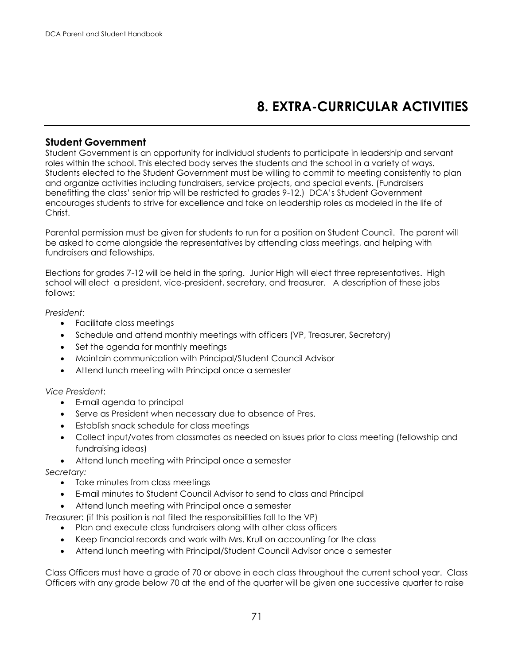# **8. EXTRA-CURRICULAR ACTIVITIES**

#### **Student Government**

Student Government is an opportunity for individual students to participate in leadership and servant roles within the school. This elected body serves the students and the school in a variety of ways. Students elected to the Student Government must be willing to commit to meeting consistently to plan and organize activities including fundraisers, service projects, and special events. (Fundraisers benefitting the class' senior trip will be restricted to grades 9-12.) DCA's Student Government encourages students to strive for excellence and take on leadership roles as modeled in the life of Christ.

Parental permission must be given for students to run for a position on Student Council. The parent will be asked to come alongside the representatives by attending class meetings, and helping with fundraisers and fellowships.

Elections for grades 7-12 will be held in the spring. Junior High will elect three representatives. High school will elect a president, vice-president, secretary, and treasurer. A description of these jobs follows:

*President*:

- Facilitate class meetings
- Schedule and attend monthly meetings with officers (VP, Treasurer, Secretary)
- Set the agenda for monthly meetings
- Maintain communication with Principal/Student Council Advisor
- Attend lunch meeting with Principal once a semester

#### *Vice President*:

- E-mail agenda to principal
- Serve as President when necessary due to absence of Pres.
- Establish snack schedule for class meetings
- Collect input/votes from classmates as needed on issues prior to class meeting (fellowship and fundraising ideas)
- Attend lunch meeting with Principal once a semester

#### *Secretary:*

- Take minutes from class meetings
- E-mail minutes to Student Council Advisor to send to class and Principal
- Attend lunch meeting with Principal once a semester

*Treasurer*: (if this position is not filled the responsibilities fall to the VP)

- Plan and execute class fundraisers along with other class officers
- Keep financial records and work with Mrs. Krull on accounting for the class
- Attend lunch meeting with Principal/Student Council Advisor once a semester

Class Officers must have a grade of 70 or above in each class throughout the current school year. Class Officers with any grade below 70 at the end of the quarter will be given one successive quarter to raise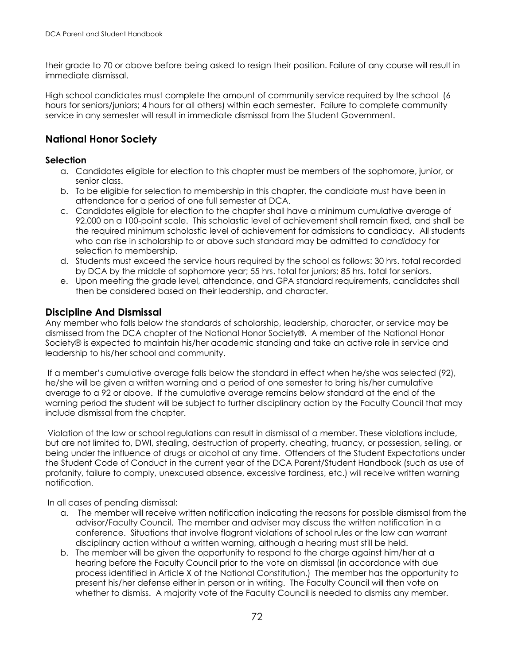their grade to 70 or above before being asked to resign their position. Failure of any course will result in immediate dismissal.

High school candidates must complete the amount of community service required by the school (6 hours for seniors/juniors; 4 hours for all others) within each semester. Failure to complete community service in any semester will result in immediate dismissal from the Student Government.

## **National Honor Society**

#### **Selection**

- a. Candidates eligible for election to this chapter must be members of the sophomore, junior, or senior class.
- b. To be eligible for selection to membership in this chapter, the candidate must have been in attendance for a period of one full semester at DCA.
- c. Candidates eligible for election to the chapter shall have a minimum cumulative average of 92.000 on a 100-point scale. This scholastic level of achievement shall remain fixed, and shall be the required minimum scholastic level of achievement for admissions to candidacy. All students who can rise in scholarship to or above such standard may be admitted to *candidacy* for selection to membership.
- d. Students must exceed the service hours required by the school as follows: 30 hrs. total recorded by DCA by the middle of sophomore year; 55 hrs. total for juniors; 85 hrs. total for seniors.
- e. Upon meeting the grade level, attendance, and GPA standard requirements, candidates shall then be considered based on their leadership, and character.

## **Discipline And Dismissal**

Any member who falls below the standards of scholarship, leadership, character, or service may be dismissed from the DCA chapter of the National Honor Society®. A member of the National Honor Society® is expected to maintain his/her academic standing and take an active role in service and leadership to his/her school and community.

If a member's cumulative average falls below the standard in effect when he/she was selected (92), he/she will be given a written warning and a period of one semester to bring his/her cumulative average to a 92 or above. If the cumulative average remains below standard at the end of the warning period the student will be subject to further disciplinary action by the Faculty Council that may include dismissal from the chapter.

Violation of the law or school regulations can result in dismissal of a member. These violations include, but are not limited to, DWI, stealing, destruction of property, cheating, truancy, or possession, selling, or being under the influence of drugs or alcohol at any time. Offenders of the Student Expectations under the Student Code of Conduct in the current year of the DCA Parent/Student Handbook (such as use of profanity, failure to comply, unexcused absence, excessive tardiness, etc.) will receive written warning notification.

In all cases of pending dismissal:

- a. The member will receive written notification indicating the reasons for possible dismissal from the advisor/Faculty Council. The member and adviser may discuss the written notification in a conference. Situations that involve flagrant violations of school rules or the law can warrant disciplinary action without a written warning, although a hearing must still be held.
- b. The member will be given the opportunity to respond to the charge against him/her at a hearing before the Faculty Council prior to the vote on dismissal (in accordance with due process identified in Article X of the National Constitution.) The member has the opportunity to present his/her defense either in person or in writing. The Faculty Council will then vote on whether to dismiss. A majority vote of the Faculty Council is needed to dismiss any member.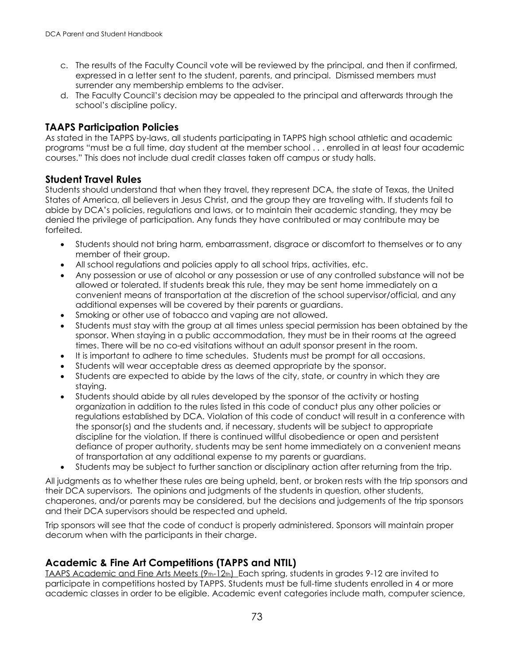- c. The results of the Faculty Council vote will be reviewed by the principal, and then if confirmed, expressed in a letter sent to the student, parents, and principal. Dismissed members must surrender any membership emblems to the adviser.
- d. The Faculty Council's decision may be appealed to the principal and afterwards through the school's discipline policy.

### **TAAPS Participation Policies**

As stated in the TAPPS by-laws, all students participating in TAPPS high school athletic and academic programs "must be a full time, day student at the member school . . . enrolled in at least four academic courses." This does not include dual credit classes taken off campus or study halls.

### **Student Travel Rules**

Students should understand that when they travel, they represent DCA, the state of Texas, the United States of America, all believers in Jesus Christ, and the group they are traveling with. If students fail to abide by DCA's policies, regulations and laws, or to maintain their academic standing, they may be denied the privilege of participation. Any funds they have contributed or may contribute may be forfeited.

- Students should not bring harm, embarrassment, disgrace or discomfort to themselves or to any member of their group.
- All school regulations and policies apply to all school trips, activities, etc.
- Any possession or use of alcohol or any possession or use of any controlled substance will not be allowed or tolerated. If students break this rule, they may be sent home immediately on a convenient means of transportation at the discretion of the school supervisor/official, and any additional expenses will be covered by their parents or guardians.
- Smoking or other use of tobacco and vaping are not allowed.
- Students must stay with the group at all times unless special permission has been obtained by the sponsor. When staying in a public accommodation, they must be in their rooms at the agreed times. There will be no co-ed visitations without an adult sponsor present in the room.
- It is important to adhere to time schedules. Students must be prompt for all occasions.
- Students will wear acceptable dress as deemed appropriate by the sponsor.
- Students are expected to abide by the laws of the city, state, or country in which they are staying.
- Students should abide by all rules developed by the sponsor of the activity or hosting organization in addition to the rules listed in this code of conduct plus any other policies or regulations established by DCA. Violation of this code of conduct will result in a conference with the sponsor(s) and the students and, if necessary, students will be subject to appropriate discipline for the violation. If there is continued willful disobedience or open and persistent defiance of proper authority, students may be sent home immediately on a convenient means of transportation at any additional expense to my parents or guardians.
- Students may be subject to further sanction or disciplinary action after returning from the trip.

All judgments as to whether these rules are being upheld, bent, or broken rests with the trip sponsors and their DCA supervisors. The opinions and judgments of the students in question, other students, chaperones, and/or parents may be considered, but the decisions and judgements of the trip sponsors and their DCA supervisors should be respected and upheld.

Trip sponsors will see that the code of conduct is properly administered. Sponsors will maintain proper decorum when with the participants in their charge.

# **Academic & Fine Art Competitions (TAPPS and NTIL)**

TAAPS Academic and Fine Arts Meets (9th-12th) Each spring, students in grades 9-12 are invited to participate in competitions hosted by TAPPS. Students must be full-time students enrolled in 4 or more academic classes in order to be eligible. Academic event categories include math, computer science,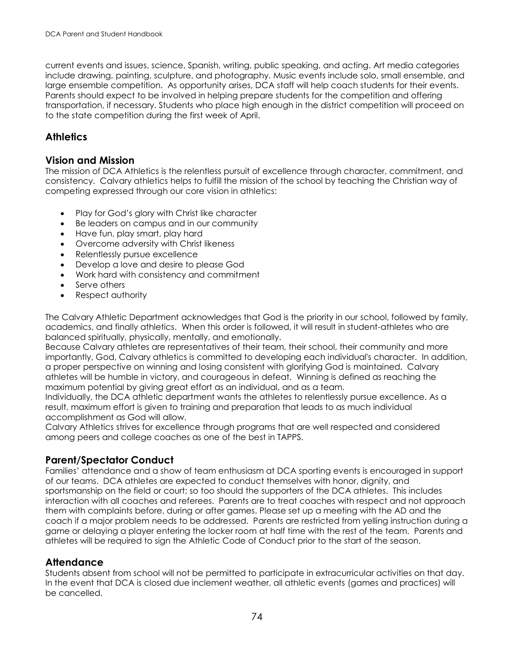current events and issues, science, Spanish, writing, public speaking, and acting. Art media categories include drawing, painting, sculpture, and photography. Music events include solo, small ensemble, and large ensemble competition. As opportunity arises, DCA staff will help coach students for their events. Parents should expect to be involved in helping prepare students for the competition and offering transportation, if necessary. Students who place high enough in the district competition will proceed on to the state competition during the first week of April.

# **Athletics**

### **Vision and Mission**

The mission of DCA Athletics is the relentless pursuit of excellence through character, commitment, and consistency. Calvary athletics helps to fulfill the mission of the school by teaching the Christian way of competing expressed through our core vision in athletics:

- Play for God's glory with Christ like character
- Be leaders on campus and in our community
- Have fun, play smart, play hard
- Overcome adversity with Christ likeness
- Relentlessly pursue excellence
- Develop a love and desire to please God
- Work hard with consistency and commitment
- Serve others
- Respect authority

The Calvary Athletic Department acknowledges that God is the priority in our school, followed by family, academics, and finally athletics. When this order is followed, it will result in student-athletes who are balanced spiritually, physically, mentally, and emotionally.

Because Calvary athletes are representatives of their team, their school, their community and more importantly, God, Calvary athletics is committed to developing each individual's character. In addition, a proper perspective on winning and losing consistent with glorifying God is maintained. Calvary athletes will be humble in victory, and courageous in defeat. Winning is defined as reaching the maximum potential by giving great effort as an individual, and as a team.

Individually, the DCA athletic department wants the athletes to relentlessly pursue excellence. As a result, maximum effort is given to training and preparation that leads to as much individual accomplishment as God will allow.

Calvary Athletics strives for excellence through programs that are well respected and considered among peers and college coaches as one of the best in TAPPS.

# **Parent/Spectator Conduct**

Families' attendance and a show of team enthusiasm at DCA sporting events is encouraged in support of our teams. DCA athletes are expected to conduct themselves with honor, dignity, and sportsmanship on the field or court; so too should the supporters of the DCA athletes. This includes interaction with all coaches and referees. Parents are to treat coaches with respect and not approach them with complaints before, during or after games. Please set up a meeting with the AD and the coach if a major problem needs to be addressed. Parents are restricted from yelling instruction during a game or delaying a player entering the locker room at half time with the rest of the team. Parents and athletes will be required to sign the Athletic Code of Conduct prior to the start of the season.

# **Attendance**

Students absent from school will not be permitted to participate in extracurricular activities on that day. In the event that DCA is closed due inclement weather, all athletic events (games and practices) will be cancelled.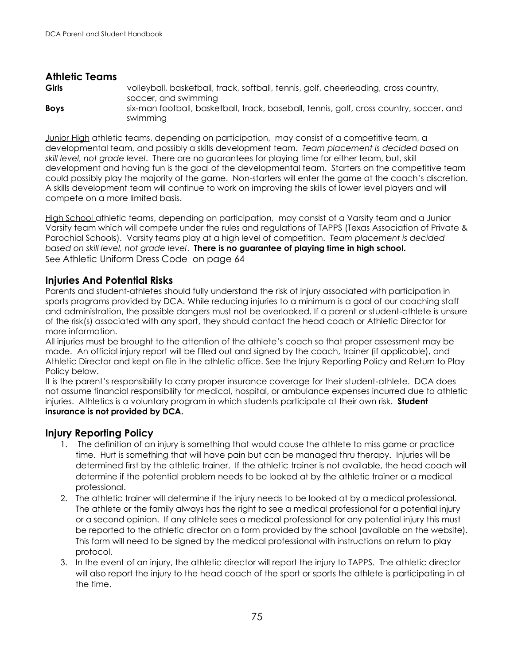# **Athletic Teams**

**Girls** volleyball, basketball, track, softball, tennis, golf, cheerleading, cross country, soccer, and swimming **Boys** six-man football, basketball, track, baseball, tennis, golf, cross country, soccer, and swimming

Junior High athletic teams, depending on participation, may consist of a competitive team, a developmental team, and possibly a skills development team. *Team placement is decided based on skill level, not grade level*. There are no guarantees for playing time for either team, but, skill development and having fun is the goal of the developmental team. Starters on the competitive team could possibly play the majority of the game. Non-starters will enter the game at the coach's discretion. A skills development team will continue to work on improving the skills of lower level players and will compete on a more limited basis.

High School athletic teams, depending on participation, may consist of a Varsity team and a Junior Varsity team which will compete under the rules and regulations of TAPPS (Texas Association of Private & Parochial Schools). Varsity teams play at a high level of competition. *Team placement is decided based on skill level, not grade level*. **There is no guarantee of playing time in high school.** See Athletic Uniform Dress Code on page 64

# **Injuries And Potential Risks**

Parents and student-athletes should fully understand the risk of injury associated with participation in sports programs provided by DCA. While reducing injuries to a minimum is a goal of our coaching staff and administration, the possible dangers must not be overlooked. If a parent or student-athlete is unsure of the risk(s) associated with any sport, they should contact the head coach or Athletic Director for more information.

All injuries must be brought to the attention of the athlete's coach so that proper assessment may be made. An official injury report will be filled out and signed by the coach, trainer (if applicable), and Athletic Director and kept on file in the athletic office. See the Injury Reporting Policy and Return to Play Policy below.

It is the parent's responsibility to carry proper insurance coverage for their student-athlete. DCA does not assume financial responsibility for medical, hospital, or ambulance expenses incurred due to athletic injuries. Athletics is a voluntary program in which students participate at their own risk. **Student insurance is not provided by DCA.** 

# **Injury Reporting Policy**

- 1. The definition of an injury is something that would cause the athlete to miss game or practice time. Hurt is something that will have pain but can be managed thru therapy. Injuries will be determined first by the athletic trainer. If the athletic trainer is not available, the head coach will determine if the potential problem needs to be looked at by the athletic trainer or a medical professional.
- 2. The athletic trainer will determine if the injury needs to be looked at by a medical professional. The athlete or the family always has the right to see a medical professional for a potential injury or a second opinion. If any athlete sees a medical professional for any potential injury this must be reported to the athletic director on a form provided by the school (available on the website). This form will need to be signed by the medical professional with instructions on return to play protocol.
- 3. In the event of an injury, the athletic director will report the injury to TAPPS. The athletic director will also report the injury to the head coach of the sport or sports the athlete is participating in at the time.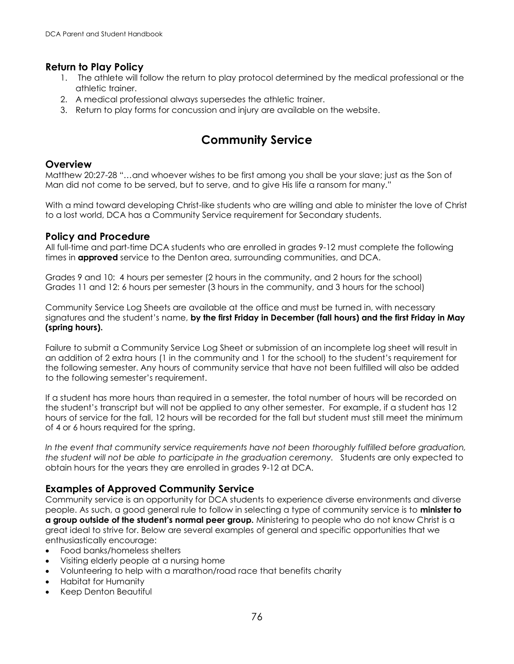# **Return to Play Policy**

- 1. The athlete will follow the return to play protocol determined by the medical professional or the athletic trainer.
- 2. A medical professional always supersedes the athletic trainer.
- 3. Return to play forms for concussion and injury are available on the website.

# **Community Service**

# **Overview**

Matthew 20:27-28 "…and whoever wishes to be first among you shall be your slave; just as the Son of Man did not come to be served, but to serve, and to give His life a ransom for many."

With a mind toward developing Christ-like students who are willing and able to minister the love of Christ to a lost world, DCA has a Community Service requirement for Secondary students.

### **Policy and Procedure**

All full-time and part-time DCA students who are enrolled in grades 9-12 must complete the following times in **approved** service to the Denton area, surrounding communities, and DCA.

Grades 9 and 10: 4 hours per semester (2 hours in the community, and 2 hours for the school) Grades 11 and 12: 6 hours per semester (3 hours in the community, and 3 hours for the school)

Community Service Log Sheets are available at the office and must be turned in, with necessary signatures and the student's name, **by the first Friday in December (fall hours) and the first Friday in May (spring hours).**

Failure to submit a Community Service Log Sheet or submission of an incomplete log sheet will result in an addition of 2 extra hours (1 in the community and 1 for the school) to the student's requirement for the following semester. Any hours of community service that have not been fulfilled will also be added to the following semester's requirement.

If a student has more hours than required in a semester, the total number of hours will be recorded on the student's transcript but will not be applied to any other semester. For example, if a student has 12 hours of service for the fall, 12 hours will be recorded for the fall but student must still meet the minimum of 4 or 6 hours required for the spring.

*In the event that community service requirements have not been thoroughly fulfilled before graduation, the student will not be able to participate in the graduation ceremony.* Students are only expected to obtain hours for the years they are enrolled in grades 9-12 at DCA.

# **Examples of Approved Community Service**

Community service is an opportunity for DCA students to experience diverse environments and diverse people. As such, a good general rule to follow in selecting a type of community service is to **minister to a group outside of the student's normal peer group.** Ministering to people who do not know Christ is a great ideal to strive for. Below are several examples of general and specific opportunities that we enthusiastically encourage:

- Food banks/homeless shelters
- Visiting elderly people at a nursing home
- Volunteering to help with a marathon/road race that benefits charity
- Habitat for Humanity
- Keep Denton Beautiful